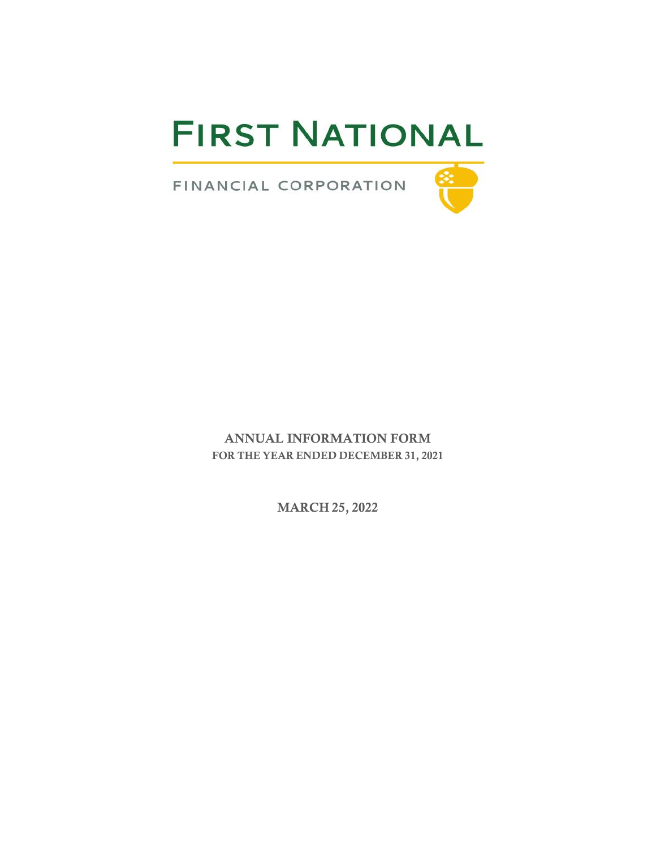# **FIRST NATIONAL**

FINANCIAL CORPORATION

ANNUAL INFORMATION FORM FOR THE YEAR ENDED DECEMBER 31, 2021

MARCH 25, 2022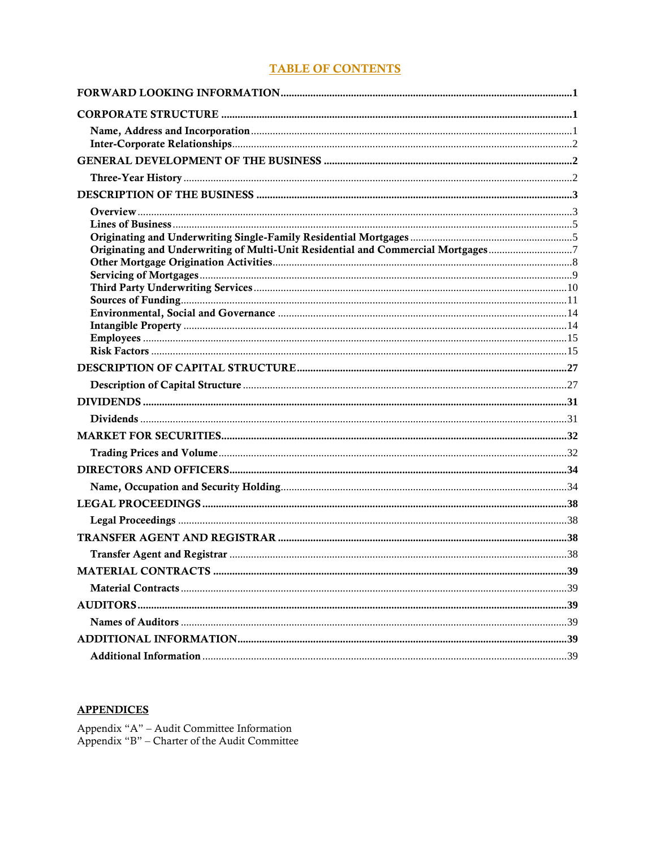## **TABLE OF CONTENTS**

| Originating and Underwriting of Multi-Unit Residential and Commercial Mortgages7 |  |
|----------------------------------------------------------------------------------|--|
|                                                                                  |  |
|                                                                                  |  |
|                                                                                  |  |
|                                                                                  |  |
|                                                                                  |  |
|                                                                                  |  |
|                                                                                  |  |
|                                                                                  |  |
|                                                                                  |  |
|                                                                                  |  |
|                                                                                  |  |
|                                                                                  |  |
|                                                                                  |  |
|                                                                                  |  |
|                                                                                  |  |
|                                                                                  |  |
|                                                                                  |  |
|                                                                                  |  |
|                                                                                  |  |
|                                                                                  |  |
|                                                                                  |  |
|                                                                                  |  |
|                                                                                  |  |
|                                                                                  |  |

# **APPENDICES**

Appendix "A" – Audit Committee Information<br> Appendix "B" – Charter of the Audit Committee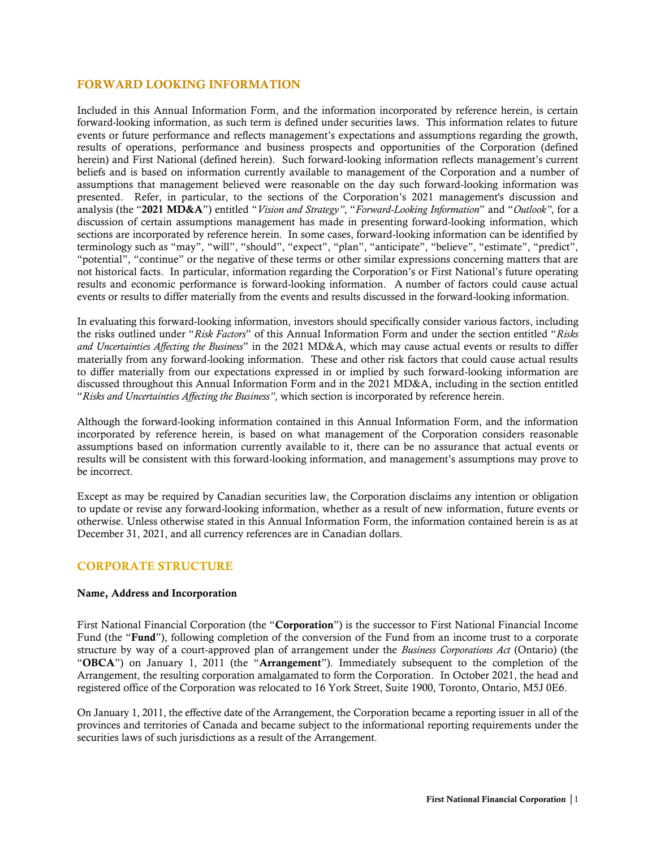## <span id="page-2-0"></span>FORWARD LOOKING INFORMATION

Included in this Annual Information Form, and the information incorporated by reference herein, is certain forward-looking information, as such term is defined under securities laws. This information relates to future events or future performance and reflects management's expectations and assumptions regarding the growth, results of operations, performance and business prospects and opportunities of the Corporation (defined herein) and First National (defined herein). Such forward-looking information reflects management's current beliefs and is based on information currently available to management of the Corporation and a number of assumptions that management believed were reasonable on the day such forward-looking information was presented. Refer, in particular, to the sections of the Corporation's 2021 management's discussion and analysis (the "2021 MD&A") entitled "*Vision and Strategy"*, "*Forward-Looking Information*" and "*Outlook"*, for a discussion of certain assumptions management has made in presenting forward-looking information, which sections are incorporated by reference herein. In some cases, forward-looking information can be identified by terminology such as "may", "will", "should", "expect", "plan", "anticipate", "believe", "estimate", "predict", "potential", "continue" or the negative of these terms or other similar expressions concerning matters that are not historical facts. In particular, information regarding the Corporation's or First National's future operating results and economic performance is forward-looking information. A number of factors could cause actual events or results to differ materially from the events and results discussed in the forward-looking information.

In evaluating this forward-looking information, investors should specifically consider various factors, including the risks outlined under "*Risk Factors*" of this Annual Information Form and under the section entitled "*Risks and Uncertainties Affecting the Business*" in the 2021 MD&A, which may cause actual events or results to differ materially from any forward-looking information. These and other risk factors that could cause actual results to differ materially from our expectations expressed in or implied by such forward-looking information are discussed throughout this Annual Information Form and in the 2021 MD&A, including in the section entitled "*Risks and Uncertainties Affecting the Business"*, which section is incorporated by reference herein.

Although the forward-looking information contained in this Annual Information Form, and the information incorporated by reference herein, is based on what management of the Corporation considers reasonable assumptions based on information currently available to it, there can be no assurance that actual events or results will be consistent with this forward-looking information, and management's assumptions may prove to be incorrect.

Except as may be required by Canadian securities law, the Corporation disclaims any intention or obligation to update or revise any forward-looking information, whether as a result of new information, future events or otherwise. Unless otherwise stated in this Annual Information Form, the information contained herein is as at December 31, 2021, and all currency references are in Canadian dollars.

## <span id="page-2-1"></span>CORPORATE STRUCTURE

## <span id="page-2-2"></span>Name, Address and Incorporation

First National Financial Corporation (the "Corporation") is the successor to First National Financial Income Fund (the "Fund"), following completion of the conversion of the Fund from an income trust to a corporate structure by way of a court-approved plan of arrangement under the *Business Corporations Act* (Ontario) (the "OBCA") on January 1, 2011 (the "Arrangement"). Immediately subsequent to the completion of the Arrangement, the resulting corporation amalgamated to form the Corporation. In October 2021, the head and registered office of the Corporation was relocated to 16 York Street, Suite 1900, Toronto, Ontario, M5J 0E6.

On January 1, 2011, the effective date of the Arrangement, the Corporation became a reporting issuer in all of the provinces and territories of Canada and became subject to the informational reporting requirements under the securities laws of such jurisdictions as a result of the Arrangement.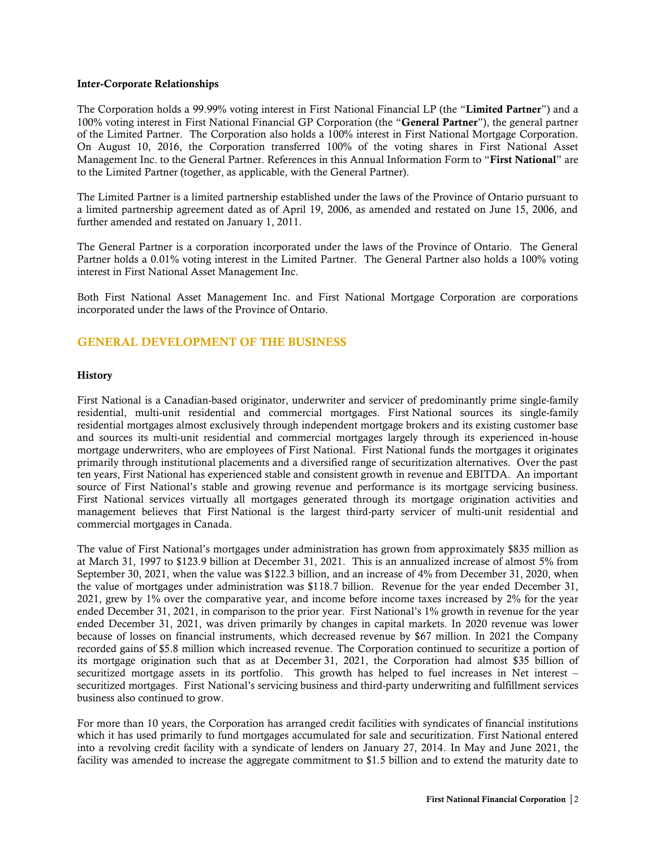#### <span id="page-3-0"></span>Inter-Corporate Relationships

The Corporation holds a 99.99% voting interest in First National Financial LP (the "Limited Partner") and a 100% voting interest in First National Financial GP Corporation (the "General Partner"), the general partner of the Limited Partner. The Corporation also holds a 100% interest in First National Mortgage Corporation. On August 10, 2016, the Corporation transferred 100% of the voting shares in First National Asset Management Inc. to the General Partner. References in this Annual Information Form to "First National" are to the Limited Partner (together, as applicable, with the General Partner).

The Limited Partner is a limited partnership established under the laws of the Province of Ontario pursuant to a limited partnership agreement dated as of April 19, 2006, as amended and restated on June 15, 2006, and further amended and restated on January 1, 2011.

The General Partner is a corporation incorporated under the laws of the Province of Ontario. The General Partner holds a 0.01% voting interest in the Limited Partner. The General Partner also holds a 100% voting interest in First National Asset Management Inc.

Both First National Asset Management Inc. and First National Mortgage Corporation are corporations incorporated under the laws of the Province of Ontario.

## <span id="page-3-1"></span>GENERAL DEVELOPMENT OF THE BUSINESS

#### <span id="page-3-2"></span>**History**

First National is a Canadian-based originator, underwriter and servicer of predominantly prime single-family residential, multi-unit residential and commercial mortgages. First National sources its single-family residential mortgages almost exclusively through independent mortgage brokers and its existing customer base and sources its multi-unit residential and commercial mortgages largely through its experienced in-house mortgage underwriters, who are employees of First National. First National funds the mortgages it originates primarily through institutional placements and a diversified range of securitization alternatives. Over the past ten years, First National has experienced stable and consistent growth in revenue and EBITDA. An important source of First National's stable and growing revenue and performance is its mortgage servicing business. First National services virtually all mortgages generated through its mortgage origination activities and management believes that First National is the largest third-party servicer of multi-unit residential and commercial mortgages in Canada.

The value of First National's mortgages under administration has grown from approximately \$835 million as at March 31, 1997 to \$123.9 billion at December 31, 2021. This is an annualized increase of almost 5% from September 30, 2021, when the value was \$122.3 billion, and an increase of 4% from December 31, 2020, when the value of mortgages under administration was \$118.7 billion. Revenue for the year ended December 31, 2021, grew by 1% over the comparative year, and income before income taxes increased by 2% for the year ended December 31, 2021, in comparison to the prior year. First National's 1% growth in revenue for the year ended December 31, 2021, was driven primarily by changes in capital markets. In 2020 revenue was lower because of losses on financial instruments, which decreased revenue by \$67 million. In 2021 the Company recorded gains of \$5.8 million which increased revenue. The Corporation continued to securitize a portion of its mortgage origination such that as at December 31, 2021, the Corporation had almost \$35 billion of securitized mortgage assets in its portfolio. This growth has helped to fuel increases in Net interest – securitized mortgages. First National's servicing business and third-party underwriting and fulfillment services business also continued to grow.

For more than 10 years, the Corporation has arranged credit facilities with syndicates of financial institutions which it has used primarily to fund mortgages accumulated for sale and securitization. First National entered into a revolving credit facility with a syndicate of lenders on January 27, 2014. In May and June 2021, the facility was amended to increase the aggregate commitment to \$1.5 billion and to extend the maturity date to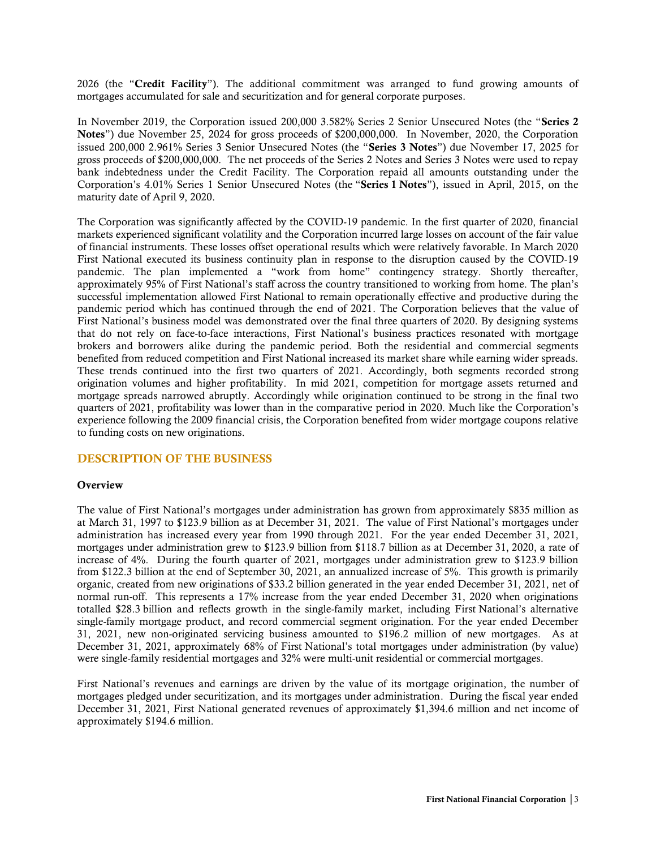2026 (the "Credit Facility"). The additional commitment was arranged to fund growing amounts of mortgages accumulated for sale and securitization and for general corporate purposes.

In November 2019, the Corporation issued 200,000 3.582% Series 2 Senior Unsecured Notes (the "Series 2 Notes") due November 25, 2024 for gross proceeds of \$200,000,000. In November, 2020, the Corporation issued 200,000 2.961% Series 3 Senior Unsecured Notes (the "Series 3 Notes") due November 17, 2025 for gross proceeds of \$200,000,000. The net proceeds of the Series 2 Notes and Series 3 Notes were used to repay bank indebtedness under the Credit Facility. The Corporation repaid all amounts outstanding under the Corporation's 4.01% Series 1 Senior Unsecured Notes (the "Series 1 Notes"), issued in April, 2015, on the maturity date of April 9, 2020.

The Corporation was significantly affected by the COVID-19 pandemic. In the first quarter of 2020, financial markets experienced significant volatility and the Corporation incurred large losses on account of the fair value of financial instruments. These losses offset operational results which were relatively favorable. In March 2020 First National executed its business continuity plan in response to the disruption caused by the COVID-19 pandemic. The plan implemented a "work from home" contingency strategy. Shortly thereafter, approximately 95% of First National's staff across the country transitioned to working from home. The plan's successful implementation allowed First National to remain operationally effective and productive during the pandemic period which has continued through the end of 2021. The Corporation believes that the value of First National's business model was demonstrated over the final three quarters of 2020. By designing systems that do not rely on face-to-face interactions, First National's business practices resonated with mortgage brokers and borrowers alike during the pandemic period. Both the residential and commercial segments benefited from reduced competition and First National increased its market share while earning wider spreads. These trends continued into the first two quarters of 2021. Accordingly, both segments recorded strong origination volumes and higher profitability. In mid 2021, competition for mortgage assets returned and mortgage spreads narrowed abruptly. Accordingly while origination continued to be strong in the final two quarters of 2021, profitability was lower than in the comparative period in 2020. Much like the Corporation's experience following the 2009 financial crisis, the Corporation benefited from wider mortgage coupons relative to funding costs on new originations.

## <span id="page-4-0"></span>DESCRIPTION OF THE BUSINESS

#### <span id="page-4-1"></span>**Overview**

The value of First National's mortgages under administration has grown from approximately \$835 million as at March 31, 1997 to \$123.9 billion as at December 31, 2021. The value of First National's mortgages under administration has increased every year from 1990 through 2021. For the year ended December 31, 2021, mortgages under administration grew to \$123.9 billion from \$118.7 billion as at December 31, 2020, a rate of increase of 4%. During the fourth quarter of 2021, mortgages under administration grew to \$123.9 billion from \$122.3 billion at the end of September 30, 2021, an annualized increase of 5%. This growth is primarily organic, created from new originations of \$33.2 billion generated in the year ended December 31, 2021, net of normal run-off. This represents a 17% increase from the year ended December 31, 2020 when originations totalled \$28.3 billion and reflects growth in the single-family market, including First National's alternative single-family mortgage product, and record commercial segment origination. For the year ended December 31, 2021, new non-originated servicing business amounted to \$196.2 million of new mortgages. As at December 31, 2021, approximately 68% of First National's total mortgages under administration (by value) were single-family residential mortgages and 32% were multi-unit residential or commercial mortgages.

First National's revenues and earnings are driven by the value of its mortgage origination, the number of mortgages pledged under securitization, and its mortgages under administration. During the fiscal year ended December 31, 2021, First National generated revenues of approximately \$1,394.6 million and net income of approximately \$194.6 million.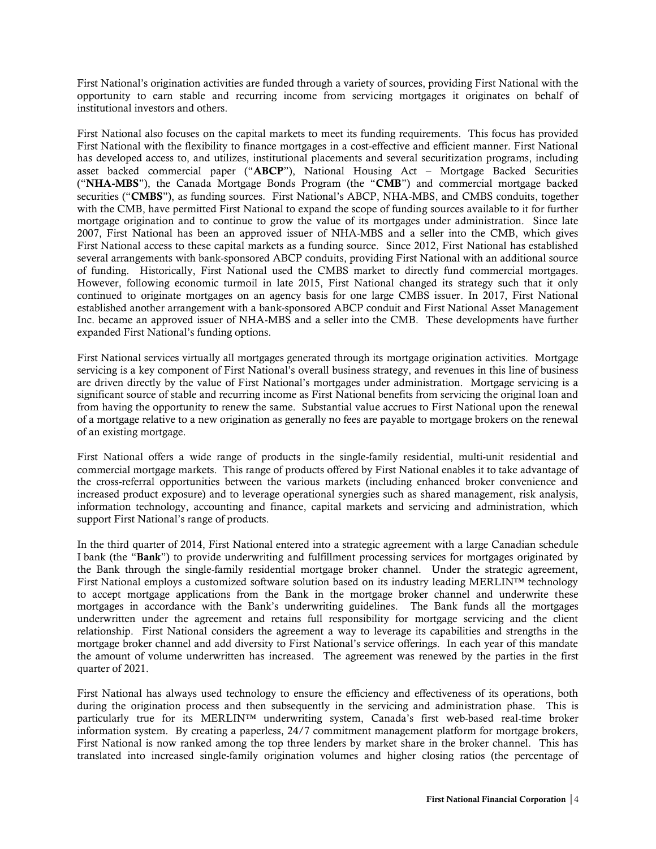First National's origination activities are funded through a variety of sources, providing First National with the opportunity to earn stable and recurring income from servicing mortgages it originates on behalf of institutional investors and others.

First National also focuses on the capital markets to meet its funding requirements. This focus has provided First National with the flexibility to finance mortgages in a cost-effective and efficient manner. First National has developed access to, and utilizes, institutional placements and several securitization programs, including asset backed commercial paper ("ABCP"), National Housing Act – Mortgage Backed Securities ("NHA-MBS"), the Canada Mortgage Bonds Program (the "CMB") and commercial mortgage backed securities ("CMBS"), as funding sources. First National's ABCP, NHA-MBS, and CMBS conduits, together with the CMB, have permitted First National to expand the scope of funding sources available to it for further mortgage origination and to continue to grow the value of its mortgages under administration. Since late 2007, First National has been an approved issuer of NHA-MBS and a seller into the CMB, which gives First National access to these capital markets as a funding source. Since 2012, First National has established several arrangements with bank-sponsored ABCP conduits, providing First National with an additional source of funding. Historically, First National used the CMBS market to directly fund commercial mortgages. However, following economic turmoil in late 2015, First National changed its strategy such that it only continued to originate mortgages on an agency basis for one large CMBS issuer. In 2017, First National established another arrangement with a bank-sponsored ABCP conduit and First National Asset Management Inc. became an approved issuer of NHA-MBS and a seller into the CMB. These developments have further expanded First National's funding options.

First National services virtually all mortgages generated through its mortgage origination activities. Mortgage servicing is a key component of First National's overall business strategy, and revenues in this line of business are driven directly by the value of First National's mortgages under administration. Mortgage servicing is a significant source of stable and recurring income as First National benefits from servicing the original loan and from having the opportunity to renew the same. Substantial value accrues to First National upon the renewal of a mortgage relative to a new origination as generally no fees are payable to mortgage brokers on the renewal of an existing mortgage.

First National offers a wide range of products in the single-family residential, multi-unit residential and commercial mortgage markets. This range of products offered by First National enables it to take advantage of the cross-referral opportunities between the various markets (including enhanced broker convenience and increased product exposure) and to leverage operational synergies such as shared management, risk analysis, information technology, accounting and finance, capital markets and servicing and administration, which support First National's range of products.

In the third quarter of 2014, First National entered into a strategic agreement with a large Canadian schedule I bank (the "Bank") to provide underwriting and fulfillment processing services for mortgages originated by the Bank through the single-family residential mortgage broker channel. Under the strategic agreement, First National employs a customized software solution based on its industry leading MERLIN™ technology to accept mortgage applications from the Bank in the mortgage broker channel and underwrite these mortgages in accordance with the Bank's underwriting guidelines. The Bank funds all the mortgages underwritten under the agreement and retains full responsibility for mortgage servicing and the client relationship. First National considers the agreement a way to leverage its capabilities and strengths in the mortgage broker channel and add diversity to First National's service offerings. In each year of this mandate the amount of volume underwritten has increased. The agreement was renewed by the parties in the first quarter of 2021.

First National has always used technology to ensure the efficiency and effectiveness of its operations, both during the origination process and then subsequently in the servicing and administration phase. This is particularly true for its MERLIN™ underwriting system, Canada's first web-based real-time broker information system. By creating a paperless, 24/7 commitment management platform for mortgage brokers, First National is now ranked among the top three lenders by market share in the broker channel. This has translated into increased single-family origination volumes and higher closing ratios (the percentage of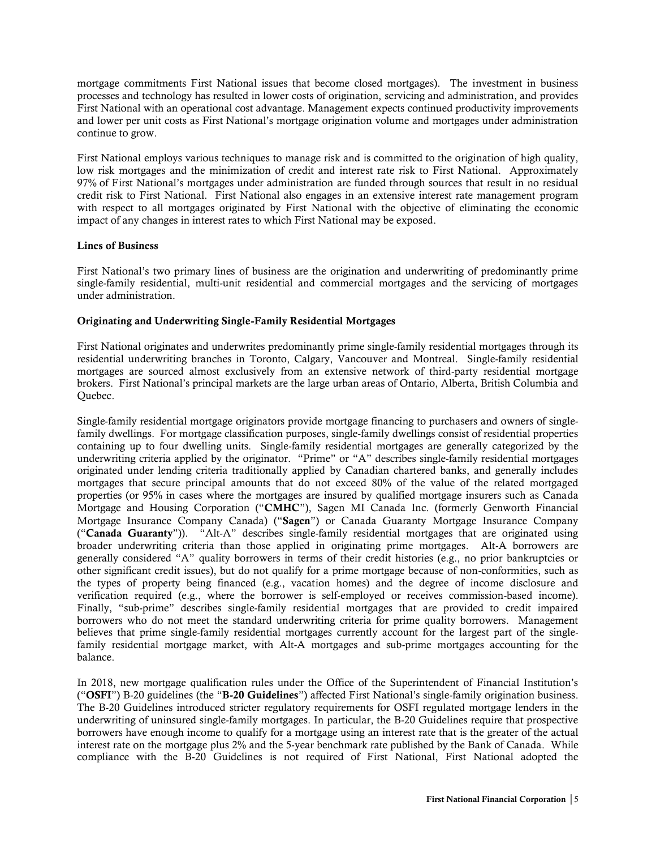mortgage commitments First National issues that become closed mortgages). The investment in business processes and technology has resulted in lower costs of origination, servicing and administration, and provides First National with an operational cost advantage. Management expects continued productivity improvements and lower per unit costs as First National's mortgage origination volume and mortgages under administration continue to grow.

First National employs various techniques to manage risk and is committed to the origination of high quality, low risk mortgages and the minimization of credit and interest rate risk to First National. Approximately 97% of First National's mortgages under administration are funded through sources that result in no residual credit risk to First National. First National also engages in an extensive interest rate management program with respect to all mortgages originated by First National with the objective of eliminating the economic impact of any changes in interest rates to which First National may be exposed.

## <span id="page-6-0"></span>Lines of Business

First National's two primary lines of business are the origination and underwriting of predominantly prime single-family residential, multi-unit residential and commercial mortgages and the servicing of mortgages under administration.

#### <span id="page-6-1"></span>Originating and Underwriting Single-Family Residential Mortgages

First National originates and underwrites predominantly prime single-family residential mortgages through its residential underwriting branches in Toronto, Calgary, Vancouver and Montreal. Single-family residential mortgages are sourced almost exclusively from an extensive network of third-party residential mortgage brokers. First National's principal markets are the large urban areas of Ontario, Alberta, British Columbia and Quebec.

Single-family residential mortgage originators provide mortgage financing to purchasers and owners of singlefamily dwellings. For mortgage classification purposes, single-family dwellings consist of residential properties containing up to four dwelling units. Single-family residential mortgages are generally categorized by the underwriting criteria applied by the originator. "Prime" or "A" describes single-family residential mortgages originated under lending criteria traditionally applied by Canadian chartered banks, and generally includes mortgages that secure principal amounts that do not exceed 80% of the value of the related mortgaged properties (or 95% in cases where the mortgages are insured by qualified mortgage insurers such as Canada Mortgage and Housing Corporation ("CMHC"), Sagen MI Canada Inc. (formerly Genworth Financial Mortgage Insurance Company Canada) ("Sagen") or Canada Guaranty Mortgage Insurance Company ("Canada Guaranty")). "Alt-A" describes single-family residential mortgages that are originated using broader underwriting criteria than those applied in originating prime mortgages. Alt-A borrowers are generally considered "A" quality borrowers in terms of their credit histories (e.g., no prior bankruptcies or other significant credit issues), but do not qualify for a prime mortgage because of non-conformities, such as the types of property being financed (e.g., vacation homes) and the degree of income disclosure and verification required (e.g., where the borrower is self-employed or receives commission-based income). Finally, "sub-prime" describes single-family residential mortgages that are provided to credit impaired borrowers who do not meet the standard underwriting criteria for prime quality borrowers. Management believes that prime single-family residential mortgages currently account for the largest part of the singlefamily residential mortgage market, with Alt-A mortgages and sub-prime mortgages accounting for the balance.

In 2018, new mortgage qualification rules under the Office of the Superintendent of Financial Institution's ("OSFI") B-20 guidelines (the "B-20 Guidelines") affected First National's single-family origination business. The B-20 Guidelines introduced stricter regulatory requirements for OSFI regulated mortgage lenders in the underwriting of uninsured single-family mortgages. In particular, the B-20 Guidelines require that prospective borrowers have enough income to qualify for a mortgage using an interest rate that is the greater of the actual interest rate on the mortgage plus 2% and the 5-year benchmark rate published by the Bank of Canada. While compliance with the B-20 Guidelines is not required of First National, First National adopted the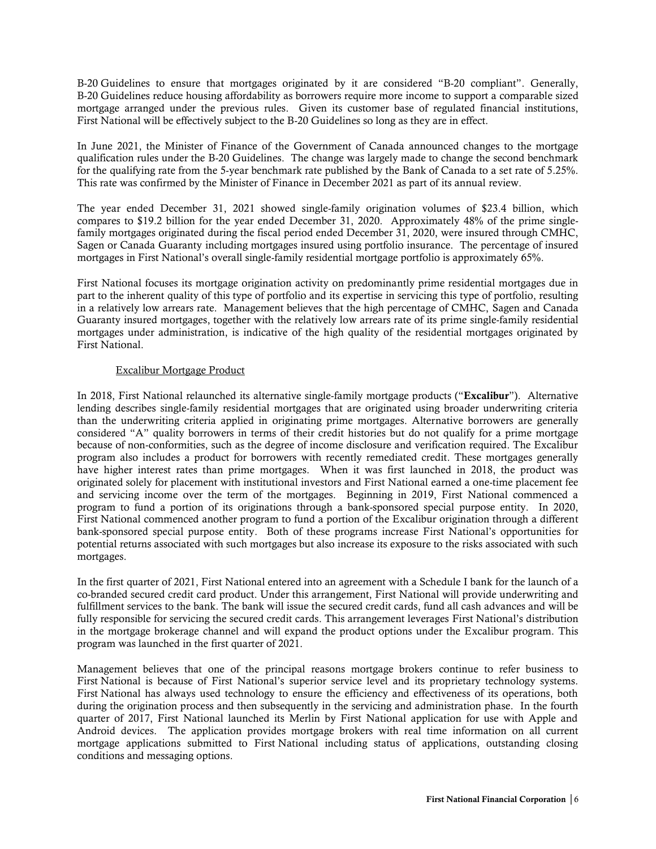B-20 Guidelines to ensure that mortgages originated by it are considered "B-20 compliant". Generally, B-20 Guidelines reduce housing affordability as borrowers require more income to support a comparable sized mortgage arranged under the previous rules. Given its customer base of regulated financial institutions, First National will be effectively subject to the B-20 Guidelines so long as they are in effect.

In June 2021, the Minister of Finance of the Government of Canada announced changes to the mortgage qualification rules under the B-20 Guidelines. The change was largely made to change the second benchmark for the qualifying rate from the 5-year benchmark rate published by the Bank of Canada to a set rate of 5.25%. This rate was confirmed by the Minister of Finance in December 2021 as part of its annual review.

The year ended December 31, 2021 showed single-family origination volumes of \$23.4 billion, which compares to \$19.2 billion for the year ended December 31, 2020. Approximately 48% of the prime singlefamily mortgages originated during the fiscal period ended December 31, 2020, were insured through CMHC, Sagen or Canada Guaranty including mortgages insured using portfolio insurance. The percentage of insured mortgages in First National's overall single-family residential mortgage portfolio is approximately 65%.

First National focuses its mortgage origination activity on predominantly prime residential mortgages due in part to the inherent quality of this type of portfolio and its expertise in servicing this type of portfolio, resulting in a relatively low arrears rate. Management believes that the high percentage of CMHC, Sagen and Canada Guaranty insured mortgages, together with the relatively low arrears rate of its prime single-family residential mortgages under administration, is indicative of the high quality of the residential mortgages originated by First National.

## Excalibur Mortgage Product

In 2018, First National relaunched its alternative single-family mortgage products ("Excalibur"). Alternative lending describes single-family residential mortgages that are originated using broader underwriting criteria than the underwriting criteria applied in originating prime mortgages. Alternative borrowers are generally considered "A" quality borrowers in terms of their credit histories but do not qualify for a prime mortgage because of non-conformities, such as the degree of income disclosure and verification required. The Excalibur program also includes a product for borrowers with recently remediated credit. These mortgages generally have higher interest rates than prime mortgages. When it was first launched in 2018, the product was originated solely for placement with institutional investors and First National earned a one-time placement fee and servicing income over the term of the mortgages. Beginning in 2019, First National commenced a program to fund a portion of its originations through a bank-sponsored special purpose entity. In 2020, First National commenced another program to fund a portion of the Excalibur origination through a different bank-sponsored special purpose entity. Both of these programs increase First National's opportunities for potential returns associated with such mortgages but also increase its exposure to the risks associated with such mortgages.

In the first quarter of 2021, First National entered into an agreement with a Schedule I bank for the launch of a co-branded secured credit card product. Under this arrangement, First National will provide underwriting and fulfillment services to the bank. The bank will issue the secured credit cards, fund all cash advances and will be fully responsible for servicing the secured credit cards. This arrangement leverages First National's distribution in the mortgage brokerage channel and will expand the product options under the Excalibur program. This program was launched in the first quarter of 2021.

Management believes that one of the principal reasons mortgage brokers continue to refer business to First National is because of First National's superior service level and its proprietary technology systems. First National has always used technology to ensure the efficiency and effectiveness of its operations, both during the origination process and then subsequently in the servicing and administration phase. In the fourth quarter of 2017, First National launched its Merlin by First National application for use with Apple and Android devices. The application provides mortgage brokers with real time information on all current mortgage applications submitted to First National including status of applications, outstanding closing conditions and messaging options.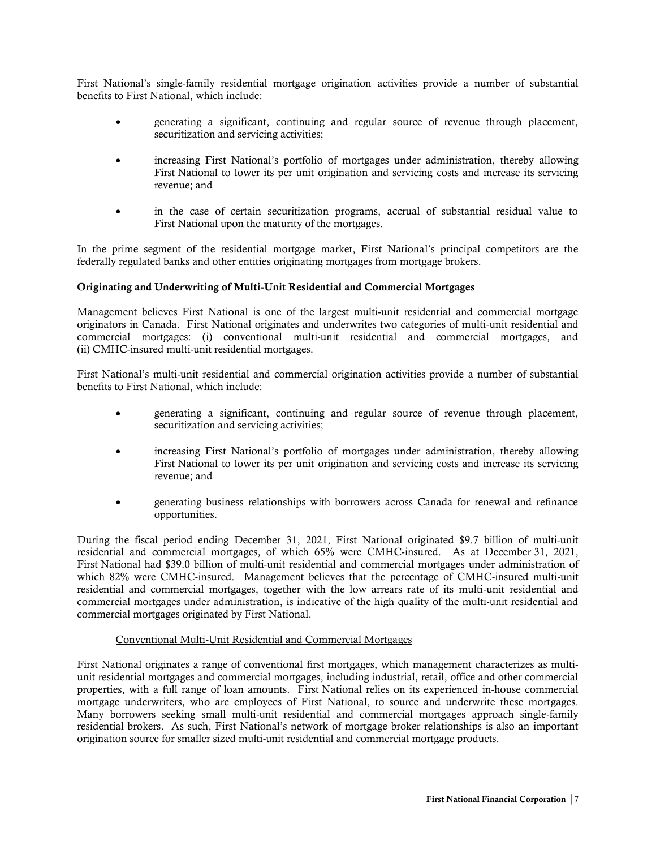First National's single-family residential mortgage origination activities provide a number of substantial benefits to First National, which include:

- generating a significant, continuing and regular source of revenue through placement, securitization and servicing activities;
- increasing First National's portfolio of mortgages under administration, thereby allowing First National to lower its per unit origination and servicing costs and increase its servicing revenue; and
- in the case of certain securitization programs, accrual of substantial residual value to First National upon the maturity of the mortgages.

In the prime segment of the residential mortgage market, First National's principal competitors are the federally regulated banks and other entities originating mortgages from mortgage brokers.

## <span id="page-8-0"></span>Originating and Underwriting of Multi-Unit Residential and Commercial Mortgages

Management believes First National is one of the largest multi-unit residential and commercial mortgage originators in Canada. First National originates and underwrites two categories of multi-unit residential and commercial mortgages: (i) conventional multi-unit residential and commercial mortgages, and (ii) CMHC-insured multi-unit residential mortgages.

First National's multi-unit residential and commercial origination activities provide a number of substantial benefits to First National, which include:

- generating a significant, continuing and regular source of revenue through placement, securitization and servicing activities;
- increasing First National's portfolio of mortgages under administration, thereby allowing First National to lower its per unit origination and servicing costs and increase its servicing revenue; and
- generating business relationships with borrowers across Canada for renewal and refinance opportunities.

During the fiscal period ending December 31, 2021, First National originated \$9.7 billion of multi-unit residential and commercial mortgages, of which 65% were CMHC-insured. As at December 31, 2021, First National had \$39.0 billion of multi-unit residential and commercial mortgages under administration of which 82% were CMHC-insured. Management believes that the percentage of CMHC-insured multi-unit residential and commercial mortgages, together with the low arrears rate of its multi-unit residential and commercial mortgages under administration, is indicative of the high quality of the multi-unit residential and commercial mortgages originated by First National.

## Conventional Multi-Unit Residential and Commercial Mortgages

First National originates a range of conventional first mortgages, which management characterizes as multiunit residential mortgages and commercial mortgages, including industrial, retail, office and other commercial properties, with a full range of loan amounts. First National relies on its experienced in-house commercial mortgage underwriters, who are employees of First National, to source and underwrite these mortgages. Many borrowers seeking small multi-unit residential and commercial mortgages approach single-family residential brokers. As such, First National's network of mortgage broker relationships is also an important origination source for smaller sized multi-unit residential and commercial mortgage products.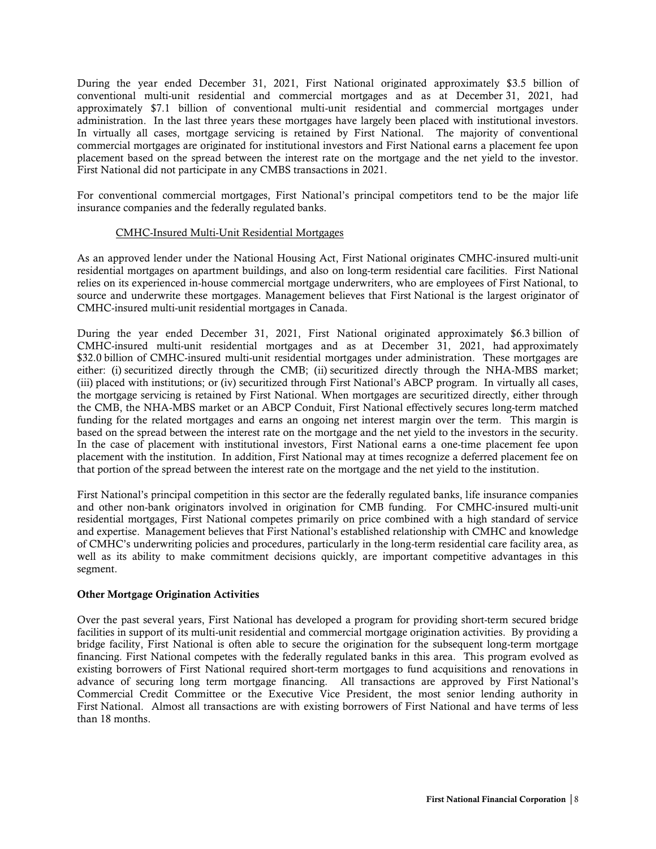During the year ended December 31, 2021, First National originated approximately \$3.5 billion of conventional multi-unit residential and commercial mortgages and as at December 31, 2021, had approximately \$7.1 billion of conventional multi-unit residential and commercial mortgages under administration. In the last three years these mortgages have largely been placed with institutional investors. In virtually all cases, mortgage servicing is retained by First National. The majority of conventional commercial mortgages are originated for institutional investors and First National earns a placement fee upon placement based on the spread between the interest rate on the mortgage and the net yield to the investor. First National did not participate in any CMBS transactions in 2021.

For conventional commercial mortgages, First National's principal competitors tend to be the major life insurance companies and the federally regulated banks.

## CMHC-Insured Multi-Unit Residential Mortgages

As an approved lender under the National Housing Act, First National originates CMHC-insured multi-unit residential mortgages on apartment buildings, and also on long-term residential care facilities. First National relies on its experienced in-house commercial mortgage underwriters, who are employees of First National, to source and underwrite these mortgages. Management believes that First National is the largest originator of CMHC-insured multi-unit residential mortgages in Canada.

During the year ended December 31, 2021, First National originated approximately \$6.3 billion of CMHC-insured multi-unit residential mortgages and as at December 31, 2021, had approximately \$32.0 billion of CMHC-insured multi-unit residential mortgages under administration. These mortgages are either: (i) securitized directly through the CMB; (ii) securitized directly through the NHA-MBS market; (iii) placed with institutions; or (iv) securitized through First National's ABCP program. In virtually all cases, the mortgage servicing is retained by First National. When mortgages are securitized directly, either through the CMB, the NHA-MBS market or an ABCP Conduit, First National effectively secures long-term matched funding for the related mortgages and earns an ongoing net interest margin over the term. This margin is based on the spread between the interest rate on the mortgage and the net yield to the investors in the security. In the case of placement with institutional investors, First National earns a one-time placement fee upon placement with the institution. In addition, First National may at times recognize a deferred placement fee on that portion of the spread between the interest rate on the mortgage and the net yield to the institution.

First National's principal competition in this sector are the federally regulated banks, life insurance companies and other non-bank originators involved in origination for CMB funding. For CMHC-insured multi-unit residential mortgages, First National competes primarily on price combined with a high standard of service and expertise. Management believes that First National's established relationship with CMHC and knowledge of CMHC's underwriting policies and procedures, particularly in the long-term residential care facility area, as well as its ability to make commitment decisions quickly, are important competitive advantages in this segment.

#### <span id="page-9-0"></span>Other Mortgage Origination Activities

Over the past several years, First National has developed a program for providing short-term secured bridge facilities in support of its multi-unit residential and commercial mortgage origination activities. By providing a bridge facility, First National is often able to secure the origination for the subsequent long-term mortgage financing. First National competes with the federally regulated banks in this area. This program evolved as existing borrowers of First National required short-term mortgages to fund acquisitions and renovations in advance of securing long term mortgage financing. All transactions are approved by First National's Commercial Credit Committee or the Executive Vice President, the most senior lending authority in First National. Almost all transactions are with existing borrowers of First National and have terms of less than 18 months.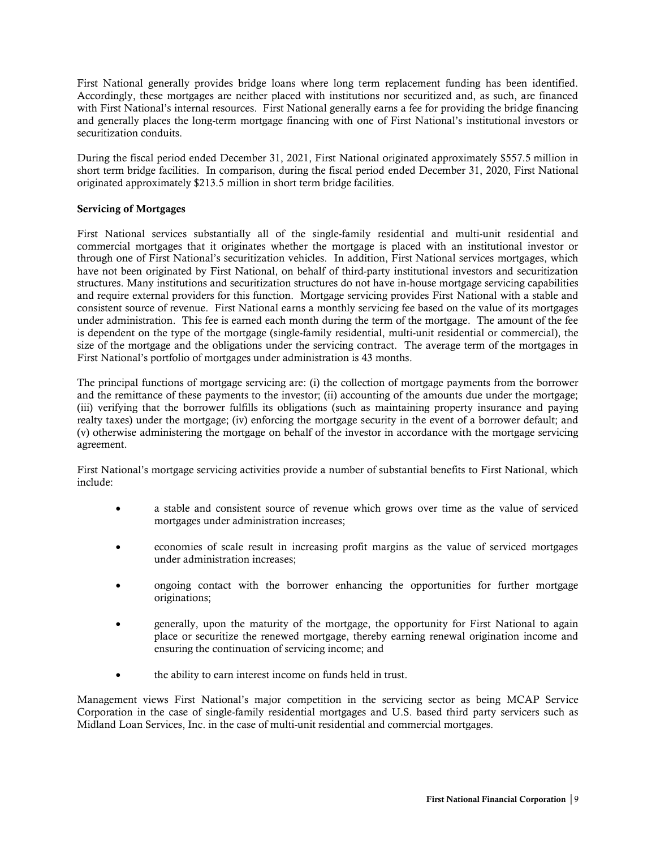First National generally provides bridge loans where long term replacement funding has been identified. Accordingly, these mortgages are neither placed with institutions nor securitized and, as such, are financed with First National's internal resources. First National generally earns a fee for providing the bridge financing and generally places the long-term mortgage financing with one of First National's institutional investors or securitization conduits.

During the fiscal period ended December 31, 2021, First National originated approximately \$557.5 million in short term bridge facilities. In comparison, during the fiscal period ended December 31, 2020, First National originated approximately \$213.5 million in short term bridge facilities.

## <span id="page-10-0"></span>Servicing of Mortgages

First National services substantially all of the single-family residential and multi-unit residential and commercial mortgages that it originates whether the mortgage is placed with an institutional investor or through one of First National's securitization vehicles. In addition, First National services mortgages, which have not been originated by First National, on behalf of third-party institutional investors and securitization structures. Many institutions and securitization structures do not have in-house mortgage servicing capabilities and require external providers for this function. Mortgage servicing provides First National with a stable and consistent source of revenue. First National earns a monthly servicing fee based on the value of its mortgages under administration. This fee is earned each month during the term of the mortgage. The amount of the fee is dependent on the type of the mortgage (single-family residential, multi-unit residential or commercial), the size of the mortgage and the obligations under the servicing contract. The average term of the mortgages in First National's portfolio of mortgages under administration is 43 months.

The principal functions of mortgage servicing are: (i) the collection of mortgage payments from the borrower and the remittance of these payments to the investor; (ii) accounting of the amounts due under the mortgage; (iii) verifying that the borrower fulfills its obligations (such as maintaining property insurance and paying realty taxes) under the mortgage; (iv) enforcing the mortgage security in the event of a borrower default; and (v) otherwise administering the mortgage on behalf of the investor in accordance with the mortgage servicing agreement.

First National's mortgage servicing activities provide a number of substantial benefits to First National, which include:

- a stable and consistent source of revenue which grows over time as the value of serviced mortgages under administration increases;
- economies of scale result in increasing profit margins as the value of serviced mortgages under administration increases;
- ongoing contact with the borrower enhancing the opportunities for further mortgage originations;
- generally, upon the maturity of the mortgage, the opportunity for First National to again place or securitize the renewed mortgage, thereby earning renewal origination income and ensuring the continuation of servicing income; and
- the ability to earn interest income on funds held in trust.

Management views First National's major competition in the servicing sector as being MCAP Service Corporation in the case of single-family residential mortgages and U.S. based third party servicers such as Midland Loan Services, Inc. in the case of multi-unit residential and commercial mortgages.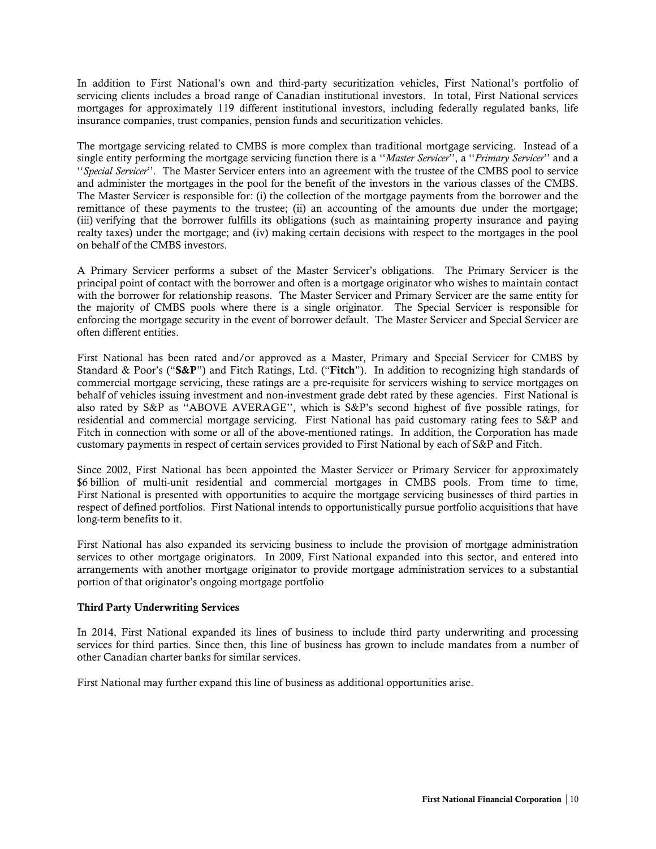In addition to First National's own and third-party securitization vehicles, First National's portfolio of servicing clients includes a broad range of Canadian institutional investors. In total, First National services mortgages for approximately 119 different institutional investors, including federally regulated banks, life insurance companies, trust companies, pension funds and securitization vehicles.

The mortgage servicing related to CMBS is more complex than traditional mortgage servicing. Instead of a single entity performing the mortgage servicing function there is a ''*Master Servicer*'', a ''*Primary Servicer*'' and a ''*Special Servicer*''. The Master Servicer enters into an agreement with the trustee of the CMBS pool to service and administer the mortgages in the pool for the benefit of the investors in the various classes of the CMBS. The Master Servicer is responsible for: (i) the collection of the mortgage payments from the borrower and the remittance of these payments to the trustee; (ii) an accounting of the amounts due under the mortgage; (iii) verifying that the borrower fulfills its obligations (such as maintaining property insurance and paying realty taxes) under the mortgage; and (iv) making certain decisions with respect to the mortgages in the pool on behalf of the CMBS investors.

A Primary Servicer performs a subset of the Master Servicer's obligations. The Primary Servicer is the principal point of contact with the borrower and often is a mortgage originator who wishes to maintain contact with the borrower for relationship reasons. The Master Servicer and Primary Servicer are the same entity for the majority of CMBS pools where there is a single originator. The Special Servicer is responsible for enforcing the mortgage security in the event of borrower default. The Master Servicer and Special Servicer are often different entities.

First National has been rated and/or approved as a Master, Primary and Special Servicer for CMBS by Standard & Poor's ("S&P") and Fitch Ratings, Ltd. ("Fitch"). In addition to recognizing high standards of commercial mortgage servicing, these ratings are a pre-requisite for servicers wishing to service mortgages on behalf of vehicles issuing investment and non-investment grade debt rated by these agencies. First National is also rated by S&P as ''ABOVE AVERAGE'', which is S&P's second highest of five possible ratings, for residential and commercial mortgage servicing. First National has paid customary rating fees to S&P and Fitch in connection with some or all of the above-mentioned ratings. In addition, the Corporation has made customary payments in respect of certain services provided to First National by each of S&P and Fitch.

Since 2002, First National has been appointed the Master Servicer or Primary Servicer for approximately \$6 billion of multi-unit residential and commercial mortgages in CMBS pools. From time to time, First National is presented with opportunities to acquire the mortgage servicing businesses of third parties in respect of defined portfolios. First National intends to opportunistically pursue portfolio acquisitions that have long-term benefits to it.

First National has also expanded its servicing business to include the provision of mortgage administration services to other mortgage originators. In 2009, First National expanded into this sector, and entered into arrangements with another mortgage originator to provide mortgage administration services to a substantial portion of that originator's ongoing mortgage portfolio

## <span id="page-11-0"></span>Third Party Underwriting Services

In 2014, First National expanded its lines of business to include third party underwriting and processing services for third parties. Since then, this line of business has grown to include mandates from a number of other Canadian charter banks for similar services.

First National may further expand this line of business as additional opportunities arise.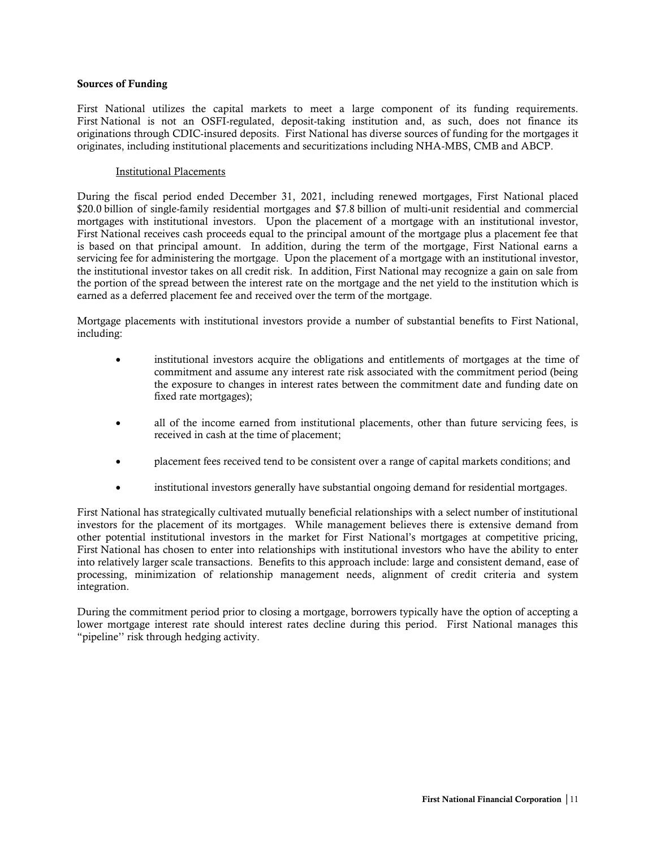#### <span id="page-12-0"></span>Sources of Funding

First National utilizes the capital markets to meet a large component of its funding requirements. First National is not an OSFI-regulated, deposit-taking institution and, as such, does not finance its originations through CDIC-insured deposits. First National has diverse sources of funding for the mortgages it originates, including institutional placements and securitizations including NHA-MBS, CMB and ABCP.

#### Institutional Placements

During the fiscal period ended December 31, 2021, including renewed mortgages, First National placed \$20.0 billion of single-family residential mortgages and \$7.8 billion of multi-unit residential and commercial mortgages with institutional investors. Upon the placement of a mortgage with an institutional investor, First National receives cash proceeds equal to the principal amount of the mortgage plus a placement fee that is based on that principal amount. In addition, during the term of the mortgage, First National earns a servicing fee for administering the mortgage. Upon the placement of a mortgage with an institutional investor, the institutional investor takes on all credit risk. In addition, First National may recognize a gain on sale from the portion of the spread between the interest rate on the mortgage and the net yield to the institution which is earned as a deferred placement fee and received over the term of the mortgage.

Mortgage placements with institutional investors provide a number of substantial benefits to First National, including:

- institutional investors acquire the obligations and entitlements of mortgages at the time of commitment and assume any interest rate risk associated with the commitment period (being the exposure to changes in interest rates between the commitment date and funding date on fixed rate mortgages);
- all of the income earned from institutional placements, other than future servicing fees, is received in cash at the time of placement;
- placement fees received tend to be consistent over a range of capital markets conditions; and
- institutional investors generally have substantial ongoing demand for residential mortgages.

First National has strategically cultivated mutually beneficial relationships with a select number of institutional investors for the placement of its mortgages. While management believes there is extensive demand from other potential institutional investors in the market for First National's mortgages at competitive pricing, First National has chosen to enter into relationships with institutional investors who have the ability to enter into relatively larger scale transactions. Benefits to this approach include: large and consistent demand, ease of processing, minimization of relationship management needs, alignment of credit criteria and system integration.

During the commitment period prior to closing a mortgage, borrowers typically have the option of accepting a lower mortgage interest rate should interest rates decline during this period. First National manages this "pipeline'' risk through hedging activity.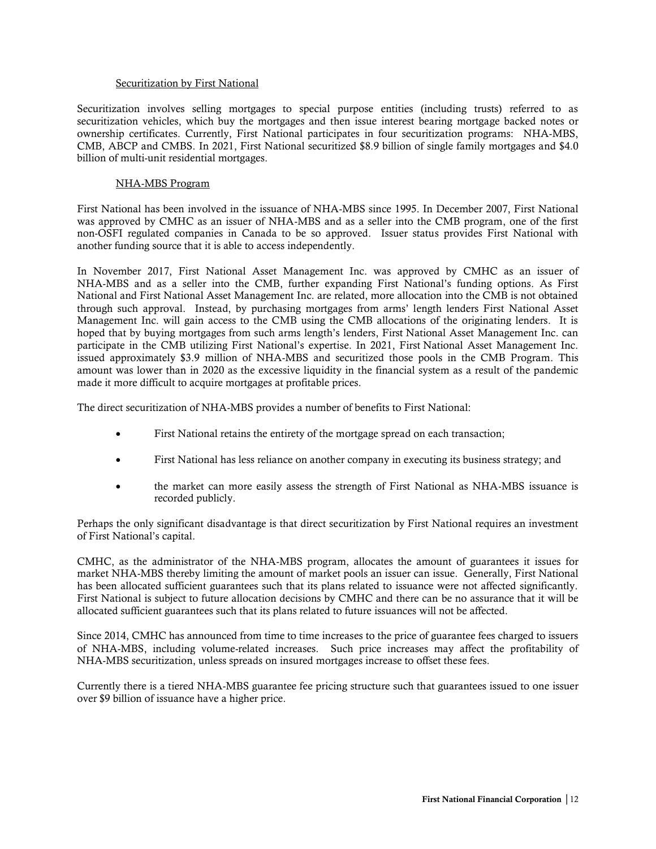#### Securitization by First National

Securitization involves selling mortgages to special purpose entities (including trusts) referred to as securitization vehicles, which buy the mortgages and then issue interest bearing mortgage backed notes or ownership certificates. Currently, First National participates in four securitization programs: NHA-MBS, CMB, ABCP and CMBS. In 2021, First National securitized \$8.9 billion of single family mortgages and \$4.0 billion of multi-unit residential mortgages.

#### NHA-MBS Program

First National has been involved in the issuance of NHA-MBS since 1995. In December 2007, First National was approved by CMHC as an issuer of NHA-MBS and as a seller into the CMB program, one of the first non-OSFI regulated companies in Canada to be so approved. Issuer status provides First National with another funding source that it is able to access independently.

In November 2017, First National Asset Management Inc. was approved by CMHC as an issuer of NHA-MBS and as a seller into the CMB, further expanding First National's funding options. As First National and First National Asset Management Inc. are related, more allocation into the CMB is not obtained through such approval. Instead, by purchasing mortgages from arms' length lenders First National Asset Management Inc. will gain access to the CMB using the CMB allocations of the originating lenders. It is hoped that by buying mortgages from such arms length's lenders, First National Asset Management Inc. can participate in the CMB utilizing First National's expertise. In 2021, First National Asset Management Inc. issued approximately \$3.9 million of NHA-MBS and securitized those pools in the CMB Program. This amount was lower than in 2020 as the excessive liquidity in the financial system as a result of the pandemic made it more difficult to acquire mortgages at profitable prices.

The direct securitization of NHA-MBS provides a number of benefits to First National:

- First National retains the entirety of the mortgage spread on each transaction;
- First National has less reliance on another company in executing its business strategy; and
- the market can more easily assess the strength of First National as NHA-MBS issuance is recorded publicly.

Perhaps the only significant disadvantage is that direct securitization by First National requires an investment of First National's capital.

CMHC, as the administrator of the NHA-MBS program, allocates the amount of guarantees it issues for market NHA-MBS thereby limiting the amount of market pools an issuer can issue. Generally, First National has been allocated sufficient guarantees such that its plans related to issuance were not affected significantly. First National is subject to future allocation decisions by CMHC and there can be no assurance that it will be allocated sufficient guarantees such that its plans related to future issuances will not be affected.

Since 2014, CMHC has announced from time to time increases to the price of guarantee fees charged to issuers of NHA-MBS, including volume-related increases. Such price increases may affect the profitability of NHA-MBS securitization, unless spreads on insured mortgages increase to offset these fees.

Currently there is a tiered NHA-MBS guarantee fee pricing structure such that guarantees issued to one issuer over \$9 billion of issuance have a higher price.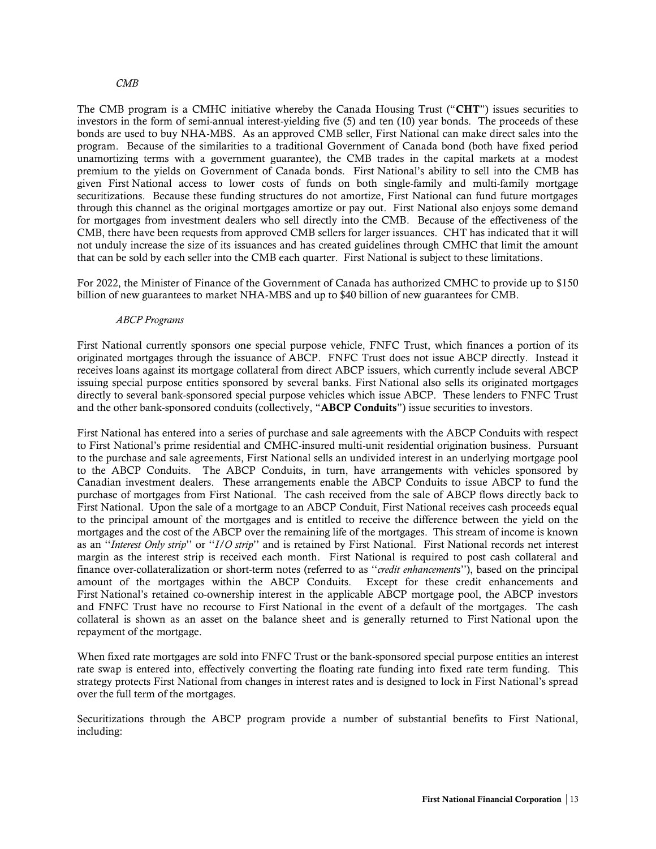#### *CMB*

The CMB program is a CMHC initiative whereby the Canada Housing Trust ("CHT") issues securities to investors in the form of semi-annual interest-yielding five (5) and ten (10) year bonds. The proceeds of these bonds are used to buy NHA-MBS. As an approved CMB seller, First National can make direct sales into the program. Because of the similarities to a traditional Government of Canada bond (both have fixed period unamortizing terms with a government guarantee), the CMB trades in the capital markets at a modest premium to the yields on Government of Canada bonds. First National's ability to sell into the CMB has given First National access to lower costs of funds on both single-family and multi-family mortgage securitizations. Because these funding structures do not amortize, First National can fund future mortgages through this channel as the original mortgages amortize or pay out. First National also enjoys some demand for mortgages from investment dealers who sell directly into the CMB. Because of the effectiveness of the CMB, there have been requests from approved CMB sellers for larger issuances. CHT has indicated that it will not unduly increase the size of its issuances and has created guidelines through CMHC that limit the amount that can be sold by each seller into the CMB each quarter. First National is subject to these limitations.

For 2022, the Minister of Finance of the Government of Canada has authorized CMHC to provide up to \$150 billion of new guarantees to market NHA-MBS and up to \$40 billion of new guarantees for CMB.

#### *ABCP Programs*

First National currently sponsors one special purpose vehicle, FNFC Trust, which finances a portion of its originated mortgages through the issuance of ABCP. FNFC Trust does not issue ABCP directly. Instead it receives loans against its mortgage collateral from direct ABCP issuers, which currently include several ABCP issuing special purpose entities sponsored by several banks. First National also sells its originated mortgages directly to several bank-sponsored special purpose vehicles which issue ABCP. These lenders to FNFC Trust and the other bank-sponsored conduits (collectively, "ABCP Conduits") issue securities to investors.

First National has entered into a series of purchase and sale agreements with the ABCP Conduits with respect to First National's prime residential and CMHC-insured multi-unit residential origination business. Pursuant to the purchase and sale agreements, First National sells an undivided interest in an underlying mortgage pool to the ABCP Conduits. The ABCP Conduits, in turn, have arrangements with vehicles sponsored by Canadian investment dealers. These arrangements enable the ABCP Conduits to issue ABCP to fund the purchase of mortgages from First National. The cash received from the sale of ABCP flows directly back to First National. Upon the sale of a mortgage to an ABCP Conduit, First National receives cash proceeds equal to the principal amount of the mortgages and is entitled to receive the difference between the yield on the mortgages and the cost of the ABCP over the remaining life of the mortgages. This stream of income is known as an ''*Interest Only strip*'' or ''*I/O strip*'' and is retained by First National. First National records net interest margin as the interest strip is received each month. First National is required to post cash collateral and finance over-collateralization or short-term notes (referred to as ''*credit enhancement*s''), based on the principal amount of the mortgages within the ABCP Conduits. Except for these credit enhancements and First National's retained co-ownership interest in the applicable ABCP mortgage pool, the ABCP investors and FNFC Trust have no recourse to First National in the event of a default of the mortgages. The cash collateral is shown as an asset on the balance sheet and is generally returned to First National upon the repayment of the mortgage.

When fixed rate mortgages are sold into FNFC Trust or the bank-sponsored special purpose entities an interest rate swap is entered into, effectively converting the floating rate funding into fixed rate term funding. This strategy protects First National from changes in interest rates and is designed to lock in First National's spread over the full term of the mortgages.

Securitizations through the ABCP program provide a number of substantial benefits to First National, including: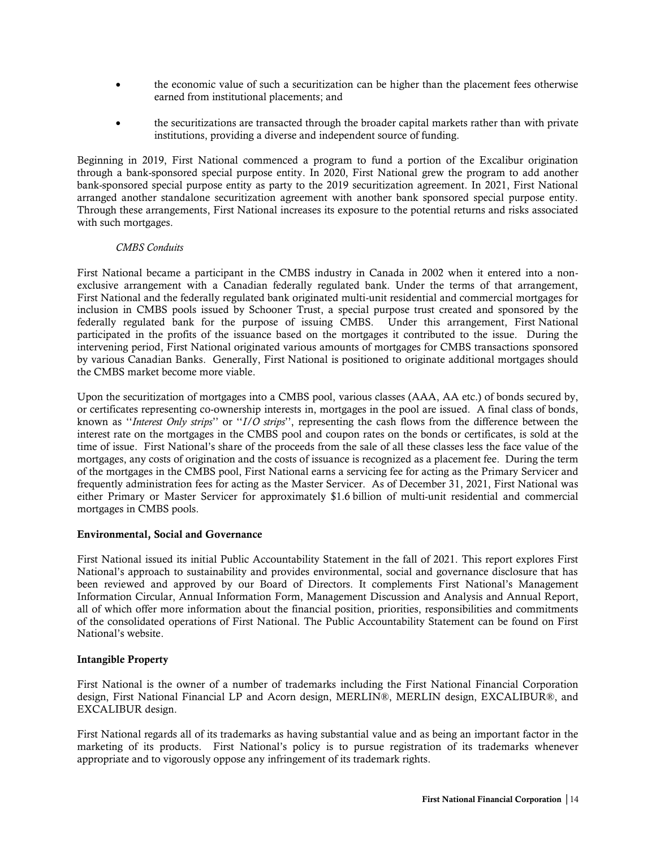- the economic value of such a securitization can be higher than the placement fees otherwise earned from institutional placements; and
- the securitizations are transacted through the broader capital markets rather than with private institutions, providing a diverse and independent source of funding.

Beginning in 2019, First National commenced a program to fund a portion of the Excalibur origination through a bank-sponsored special purpose entity. In 2020, First National grew the program to add another bank-sponsored special purpose entity as party to the 2019 securitization agreement. In 2021, First National arranged another standalone securitization agreement with another bank sponsored special purpose entity. Through these arrangements, First National increases its exposure to the potential returns and risks associated with such mortgages.

## *CMBS Conduits*

First National became a participant in the CMBS industry in Canada in 2002 when it entered into a nonexclusive arrangement with a Canadian federally regulated bank. Under the terms of that arrangement, First National and the federally regulated bank originated multi-unit residential and commercial mortgages for inclusion in CMBS pools issued by Schooner Trust, a special purpose trust created and sponsored by the federally regulated bank for the purpose of issuing CMBS. Under this arrangement, First National participated in the profits of the issuance based on the mortgages it contributed to the issue. During the intervening period, First National originated various amounts of mortgages for CMBS transactions sponsored by various Canadian Banks. Generally, First National is positioned to originate additional mortgages should the CMBS market become more viable.

Upon the securitization of mortgages into a CMBS pool, various classes (AAA, AA etc.) of bonds secured by, or certificates representing co-ownership interests in, mortgages in the pool are issued. A final class of bonds, known as ''*Interest Only strips*'' or ''*I/O strips*'', representing the cash flows from the difference between the interest rate on the mortgages in the CMBS pool and coupon rates on the bonds or certificates, is sold at the time of issue. First National's share of the proceeds from the sale of all these classes less the face value of the mortgages, any costs of origination and the costs of issuance is recognized as a placement fee. During the term of the mortgages in the CMBS pool, First National earns a servicing fee for acting as the Primary Servicer and frequently administration fees for acting as the Master Servicer. As of December 31, 2021, First National was either Primary or Master Servicer for approximately \$1.6 billion of multi-unit residential and commercial mortgages in CMBS pools.

## <span id="page-15-0"></span>Environmental, Social and Governance

First National issued its initial Public Accountability Statement in the fall of 2021. This report explores First National's approach to sustainability and provides environmental, social and governance disclosure that has been reviewed and approved by our Board of Directors. It complements First National's Management Information Circular, Annual Information Form, Management Discussion and Analysis and Annual Report, all of which offer more information about the financial position, priorities, responsibilities and commitments of the consolidated operations of First National. The Public Accountability Statement can be found on First National's website.

## <span id="page-15-1"></span>Intangible Property

First National is the owner of a number of trademarks including the First National Financial Corporation design, First National Financial LP and Acorn design, MERLIN®, MERLIN design, EXCALIBUR®, and EXCALIBUR design.

First National regards all of its trademarks as having substantial value and as being an important factor in the marketing of its products. First National's policy is to pursue registration of its trademarks whenever appropriate and to vigorously oppose any infringement of its trademark rights.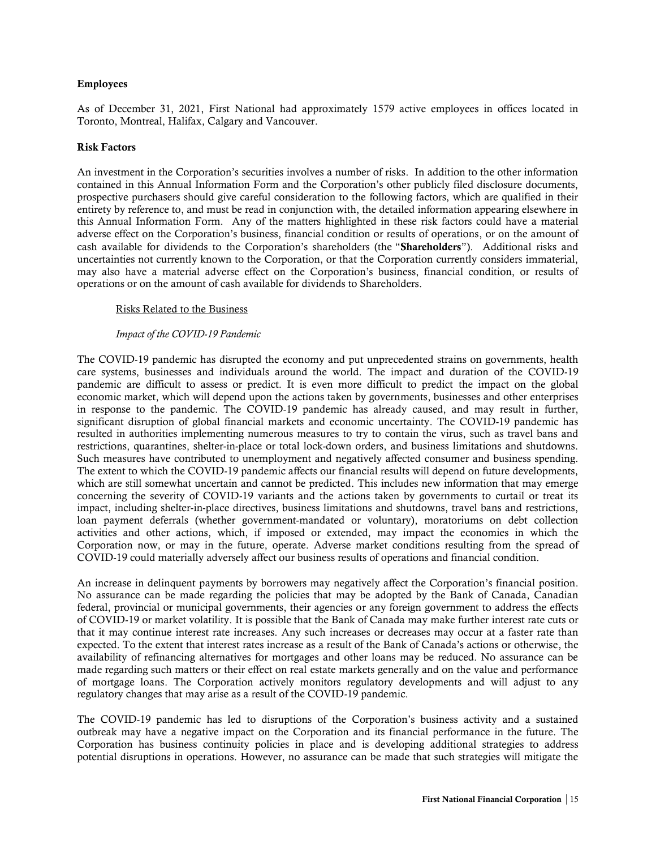## <span id="page-16-0"></span>Employees

As of December 31, 2021, First National had approximately 1579 active employees in offices located in Toronto, Montreal, Halifax, Calgary and Vancouver.

#### <span id="page-16-1"></span>Risk Factors

An investment in the Corporation's securities involves a number of risks. In addition to the other information contained in this Annual Information Form and the Corporation's other publicly filed disclosure documents, prospective purchasers should give careful consideration to the following factors, which are qualified in their entirety by reference to, and must be read in conjunction with, the detailed information appearing elsewhere in this Annual Information Form. Any of the matters highlighted in these risk factors could have a material adverse effect on the Corporation's business, financial condition or results of operations, or on the amount of cash available for dividends to the Corporation's shareholders (the "Shareholders"). Additional risks and uncertainties not currently known to the Corporation, or that the Corporation currently considers immaterial, may also have a material adverse effect on the Corporation's business, financial condition, or results of operations or on the amount of cash available for dividends to Shareholders.

## Risks Related to the Business

#### *Impact of the COVID-19 Pandemic*

The COVID-19 pandemic has disrupted the economy and put unprecedented strains on governments, health care systems, businesses and individuals around the world. The impact and duration of the COVID-19 pandemic are difficult to assess or predict. It is even more difficult to predict the impact on the global economic market, which will depend upon the actions taken by governments, businesses and other enterprises in response to the pandemic. The COVID-19 pandemic has already caused, and may result in further, significant disruption of global financial markets and economic uncertainty. The COVID-19 pandemic has resulted in authorities implementing numerous measures to try to contain the virus, such as travel bans and restrictions, quarantines, shelter-in-place or total lock-down orders, and business limitations and shutdowns. Such measures have contributed to unemployment and negatively affected consumer and business spending. The extent to which the COVID-19 pandemic affects our financial results will depend on future developments, which are still somewhat uncertain and cannot be predicted. This includes new information that may emerge concerning the severity of COVID-19 variants and the actions taken by governments to curtail or treat its impact, including shelter-in-place directives, business limitations and shutdowns, travel bans and restrictions, loan payment deferrals (whether government-mandated or voluntary), moratoriums on debt collection activities and other actions, which, if imposed or extended, may impact the economies in which the Corporation now, or may in the future, operate. Adverse market conditions resulting from the spread of COVID-19 could materially adversely affect our business results of operations and financial condition.

An increase in delinquent payments by borrowers may negatively affect the Corporation's financial position. No assurance can be made regarding the policies that may be adopted by the Bank of Canada, Canadian federal, provincial or municipal governments, their agencies or any foreign government to address the effects of COVID-19 or market volatility. It is possible that the Bank of Canada may make further interest rate cuts or that it may continue interest rate increases. Any such increases or decreases may occur at a faster rate than expected. To the extent that interest rates increase as a result of the Bank of Canada's actions or otherwise, the availability of refinancing alternatives for mortgages and other loans may be reduced. No assurance can be made regarding such matters or their effect on real estate markets generally and on the value and performance of mortgage loans. The Corporation actively monitors regulatory developments and will adjust to any regulatory changes that may arise as a result of the COVID-19 pandemic.

The COVID-19 pandemic has led to disruptions of the Corporation's business activity and a sustained outbreak may have a negative impact on the Corporation and its financial performance in the future. The Corporation has business continuity policies in place and is developing additional strategies to address potential disruptions in operations. However, no assurance can be made that such strategies will mitigate the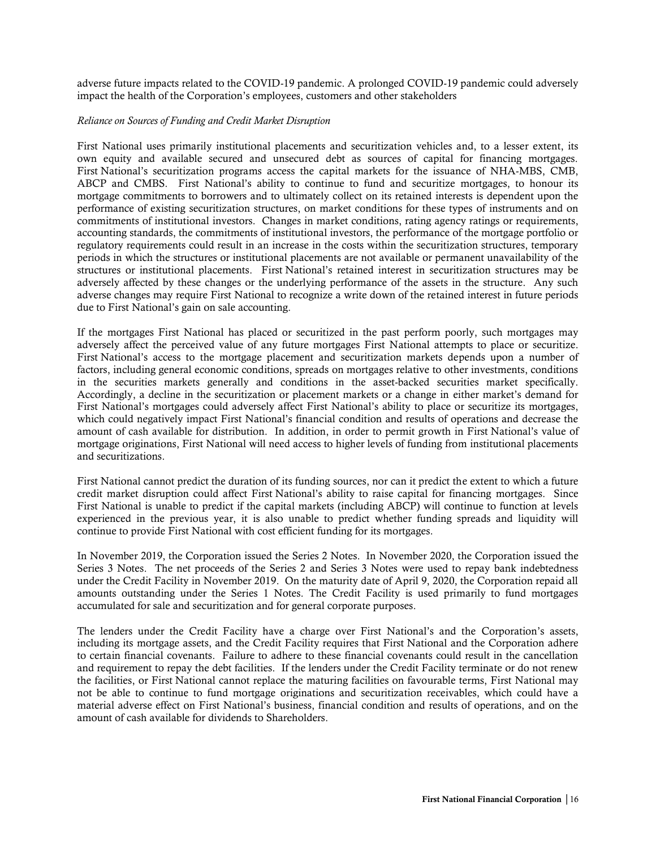adverse future impacts related to the COVID-19 pandemic. A prolonged COVID-19 pandemic could adversely impact the health of the Corporation's employees, customers and other stakeholders

### *Reliance on Sources of Funding and Credit Market Disruption*

First National uses primarily institutional placements and securitization vehicles and, to a lesser extent, its own equity and available secured and unsecured debt as sources of capital for financing mortgages. First National's securitization programs access the capital markets for the issuance of NHA-MBS, CMB, ABCP and CMBS. First National's ability to continue to fund and securitize mortgages, to honour its mortgage commitments to borrowers and to ultimately collect on its retained interests is dependent upon the performance of existing securitization structures, on market conditions for these types of instruments and on commitments of institutional investors. Changes in market conditions, rating agency ratings or requirements, accounting standards, the commitments of institutional investors, the performance of the mortgage portfolio or regulatory requirements could result in an increase in the costs within the securitization structures, temporary periods in which the structures or institutional placements are not available or permanent unavailability of the structures or institutional placements. First National's retained interest in securitization structures may be adversely affected by these changes or the underlying performance of the assets in the structure. Any such adverse changes may require First National to recognize a write down of the retained interest in future periods due to First National's gain on sale accounting.

If the mortgages First National has placed or securitized in the past perform poorly, such mortgages may adversely affect the perceived value of any future mortgages First National attempts to place or securitize. First National's access to the mortgage placement and securitization markets depends upon a number of factors, including general economic conditions, spreads on mortgages relative to other investments, conditions in the securities markets generally and conditions in the asset-backed securities market specifically. Accordingly, a decline in the securitization or placement markets or a change in either market's demand for First National's mortgages could adversely affect First National's ability to place or securitize its mortgages, which could negatively impact First National's financial condition and results of operations and decrease the amount of cash available for distribution. In addition, in order to permit growth in First National's value of mortgage originations, First National will need access to higher levels of funding from institutional placements and securitizations.

First National cannot predict the duration of its funding sources, nor can it predict the extent to which a future credit market disruption could affect First National's ability to raise capital for financing mortgages. Since First National is unable to predict if the capital markets (including ABCP) will continue to function at levels experienced in the previous year, it is also unable to predict whether funding spreads and liquidity will continue to provide First National with cost efficient funding for its mortgages.

In November 2019, the Corporation issued the Series 2 Notes. In November 2020, the Corporation issued the Series 3 Notes. The net proceeds of the Series 2 and Series 3 Notes were used to repay bank indebtedness under the Credit Facility in November 2019. On the maturity date of April 9, 2020, the Corporation repaid all amounts outstanding under the Series 1 Notes. The Credit Facility is used primarily to fund mortgages accumulated for sale and securitization and for general corporate purposes.

The lenders under the Credit Facility have a charge over First National's and the Corporation's assets, including its mortgage assets, and the Credit Facility requires that First National and the Corporation adhere to certain financial covenants. Failure to adhere to these financial covenants could result in the cancellation and requirement to repay the debt facilities. If the lenders under the Credit Facility terminate or do not renew the facilities, or First National cannot replace the maturing facilities on favourable terms, First National may not be able to continue to fund mortgage originations and securitization receivables, which could have a material adverse effect on First National's business, financial condition and results of operations, and on the amount of cash available for dividends to Shareholders.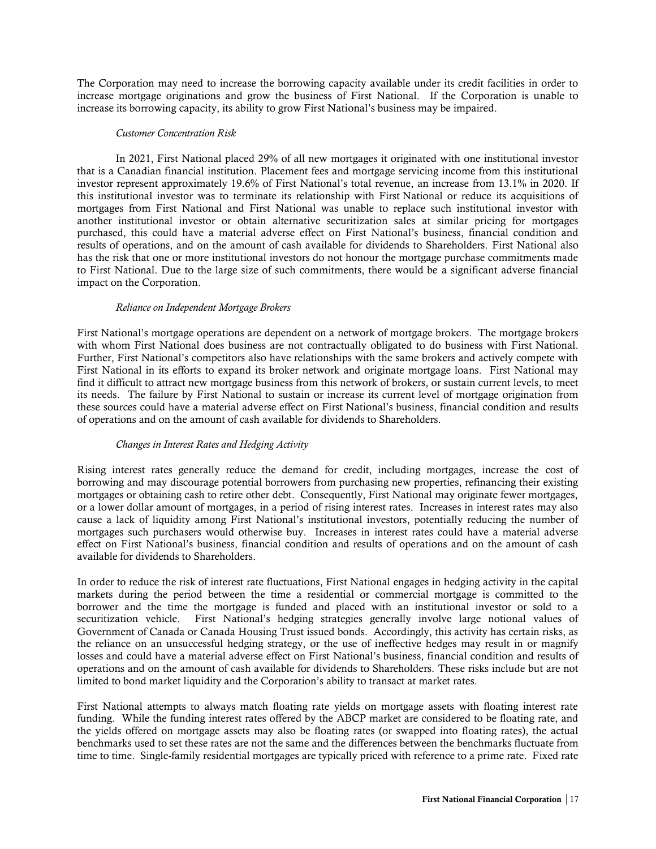The Corporation may need to increase the borrowing capacity available under its credit facilities in order to increase mortgage originations and grow the business of First National. If the Corporation is unable to increase its borrowing capacity, its ability to grow First National's business may be impaired.

#### *Customer Concentration Risk*

In 2021, First National placed 29% of all new mortgages it originated with one institutional investor that is a Canadian financial institution. Placement fees and mortgage servicing income from this institutional investor represent approximately 19.6% of First National's total revenue, an increase from 13.1% in 2020. If this institutional investor was to terminate its relationship with First National or reduce its acquisitions of mortgages from First National and First National was unable to replace such institutional investor with another institutional investor or obtain alternative securitization sales at similar pricing for mortgages purchased, this could have a material adverse effect on First National's business, financial condition and results of operations, and on the amount of cash available for dividends to Shareholders. First National also has the risk that one or more institutional investors do not honour the mortgage purchase commitments made to First National. Due to the large size of such commitments, there would be a significant adverse financial impact on the Corporation.

#### *Reliance on Independent Mortgage Brokers*

First National's mortgage operations are dependent on a network of mortgage brokers. The mortgage brokers with whom First National does business are not contractually obligated to do business with First National. Further, First National's competitors also have relationships with the same brokers and actively compete with First National in its efforts to expand its broker network and originate mortgage loans. First National may find it difficult to attract new mortgage business from this network of brokers, or sustain current levels, to meet its needs. The failure by First National to sustain or increase its current level of mortgage origination from these sources could have a material adverse effect on First National's business, financial condition and results of operations and on the amount of cash available for dividends to Shareholders.

## *Changes in Interest Rates and Hedging Activity*

Rising interest rates generally reduce the demand for credit, including mortgages, increase the cost of borrowing and may discourage potential borrowers from purchasing new properties, refinancing their existing mortgages or obtaining cash to retire other debt. Consequently, First National may originate fewer mortgages, or a lower dollar amount of mortgages, in a period of rising interest rates. Increases in interest rates may also cause a lack of liquidity among First National's institutional investors, potentially reducing the number of mortgages such purchasers would otherwise buy. Increases in interest rates could have a material adverse effect on First National's business, financial condition and results of operations and on the amount of cash available for dividends to Shareholders.

In order to reduce the risk of interest rate fluctuations, First National engages in hedging activity in the capital markets during the period between the time a residential or commercial mortgage is committed to the borrower and the time the mortgage is funded and placed with an institutional investor or sold to a securitization vehicle. First National's hedging strategies generally involve large notional values of Government of Canada or Canada Housing Trust issued bonds. Accordingly, this activity has certain risks, as the reliance on an unsuccessful hedging strategy, or the use of ineffective hedges may result in or magnify losses and could have a material adverse effect on First National's business, financial condition and results of operations and on the amount of cash available for dividends to Shareholders. These risks include but are not limited to bond market liquidity and the Corporation's ability to transact at market rates.

First National attempts to always match floating rate yields on mortgage assets with floating interest rate funding. While the funding interest rates offered by the ABCP market are considered to be floating rate, and the yields offered on mortgage assets may also be floating rates (or swapped into floating rates), the actual benchmarks used to set these rates are not the same and the differences between the benchmarks fluctuate from time to time. Single-family residential mortgages are typically priced with reference to a prime rate. Fixed rate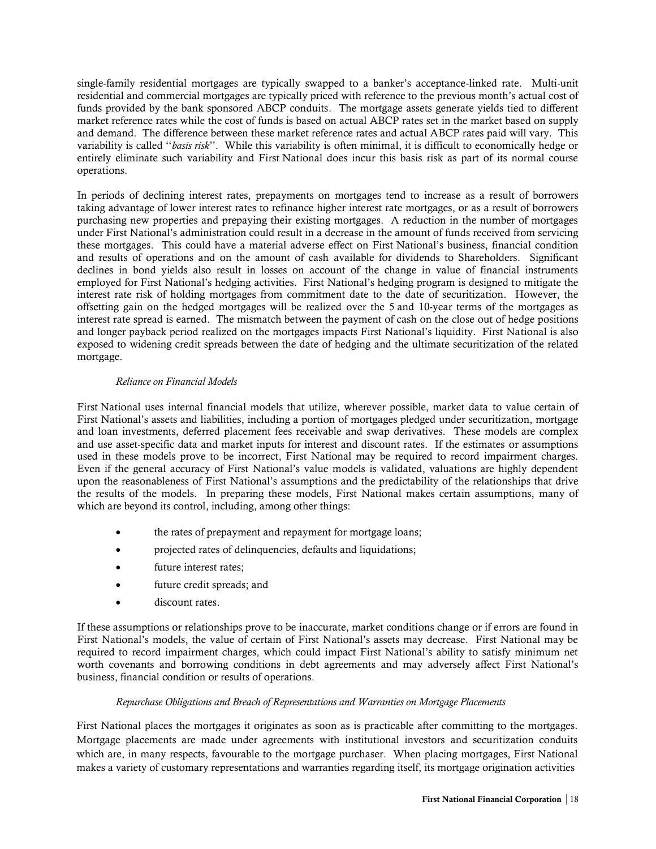single-family residential mortgages are typically swapped to a banker's acceptance-linked rate. Multi-unit residential and commercial mortgages are typically priced with reference to the previous month's actual cost of funds provided by the bank sponsored ABCP conduits. The mortgage assets generate yields tied to different market reference rates while the cost of funds is based on actual ABCP rates set in the market based on supply and demand. The difference between these market reference rates and actual ABCP rates paid will vary. This variability is called ''*basis risk*''. While this variability is often minimal, it is difficult to economically hedge or entirely eliminate such variability and First National does incur this basis risk as part of its normal course operations.

In periods of declining interest rates, prepayments on mortgages tend to increase as a result of borrowers taking advantage of lower interest rates to refinance higher interest rate mortgages, or as a result of borrowers purchasing new properties and prepaying their existing mortgages. A reduction in the number of mortgages under First National's administration could result in a decrease in the amount of funds received from servicing these mortgages. This could have a material adverse effect on First National's business, financial condition and results of operations and on the amount of cash available for dividends to Shareholders. Significant declines in bond yields also result in losses on account of the change in value of financial instruments employed for First National's hedging activities. First National's hedging program is designed to mitigate the interest rate risk of holding mortgages from commitment date to the date of securitization. However, the offsetting gain on the hedged mortgages will be realized over the 5 and 10-year terms of the mortgages as interest rate spread is earned. The mismatch between the payment of cash on the close out of hedge positions and longer payback period realized on the mortgages impacts First National's liquidity. First National is also exposed to widening credit spreads between the date of hedging and the ultimate securitization of the related mortgage.

## *Reliance on Financial Models*

First National uses internal financial models that utilize, wherever possible, market data to value certain of First National's assets and liabilities, including a portion of mortgages pledged under securitization, mortgage and loan investments, deferred placement fees receivable and swap derivatives. These models are complex and use asset-specific data and market inputs for interest and discount rates. If the estimates or assumptions used in these models prove to be incorrect, First National may be required to record impairment charges. Even if the general accuracy of First National's value models is validated, valuations are highly dependent upon the reasonableness of First National's assumptions and the predictability of the relationships that drive the results of the models. In preparing these models, First National makes certain assumptions, many of which are beyond its control, including, among other things:

- the rates of prepayment and repayment for mortgage loans;
- projected rates of delinquencies, defaults and liquidations;
- future interest rates;
- future credit spreads; and
- discount rates.

If these assumptions or relationships prove to be inaccurate, market conditions change or if errors are found in First National's models, the value of certain of First National's assets may decrease. First National may be required to record impairment charges, which could impact First National's ability to satisfy minimum net worth covenants and borrowing conditions in debt agreements and may adversely affect First National's business, financial condition or results of operations.

## *Repurchase Obligations and Breach of Representations and Warranties on Mortgage Placements*

First National places the mortgages it originates as soon as is practicable after committing to the mortgages. Mortgage placements are made under agreements with institutional investors and securitization conduits which are, in many respects, favourable to the mortgage purchaser. When placing mortgages, First National makes a variety of customary representations and warranties regarding itself, its mortgage origination activities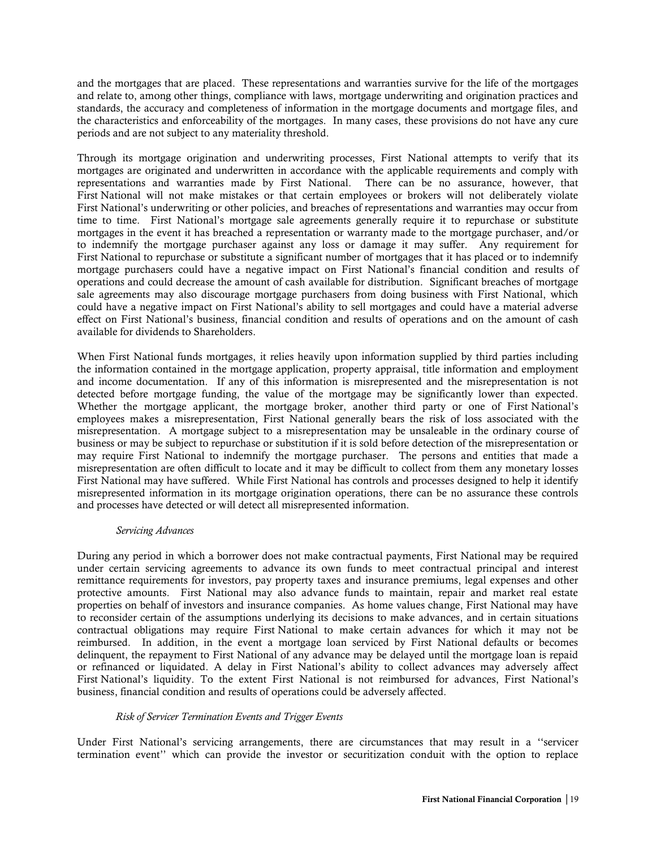and the mortgages that are placed. These representations and warranties survive for the life of the mortgages and relate to, among other things, compliance with laws, mortgage underwriting and origination practices and standards, the accuracy and completeness of information in the mortgage documents and mortgage files, and the characteristics and enforceability of the mortgages. In many cases, these provisions do not have any cure periods and are not subject to any materiality threshold.

Through its mortgage origination and underwriting processes, First National attempts to verify that its mortgages are originated and underwritten in accordance with the applicable requirements and comply with representations and warranties made by First National. There can be no assurance, however, that First National will not make mistakes or that certain employees or brokers will not deliberately violate First National's underwriting or other policies, and breaches of representations and warranties may occur from time to time. First National's mortgage sale agreements generally require it to repurchase or substitute mortgages in the event it has breached a representation or warranty made to the mortgage purchaser, and/or to indemnify the mortgage purchaser against any loss or damage it may suffer. Any requirement for First National to repurchase or substitute a significant number of mortgages that it has placed or to indemnify mortgage purchasers could have a negative impact on First National's financial condition and results of operations and could decrease the amount of cash available for distribution. Significant breaches of mortgage sale agreements may also discourage mortgage purchasers from doing business with First National, which could have a negative impact on First National's ability to sell mortgages and could have a material adverse effect on First National's business, financial condition and results of operations and on the amount of cash available for dividends to Shareholders.

When First National funds mortgages, it relies heavily upon information supplied by third parties including the information contained in the mortgage application, property appraisal, title information and employment and income documentation. If any of this information is misrepresented and the misrepresentation is not detected before mortgage funding, the value of the mortgage may be significantly lower than expected. Whether the mortgage applicant, the mortgage broker, another third party or one of First National's employees makes a misrepresentation, First National generally bears the risk of loss associated with the misrepresentation. A mortgage subject to a misrepresentation may be unsaleable in the ordinary course of business or may be subject to repurchase or substitution if it is sold before detection of the misrepresentation or may require First National to indemnify the mortgage purchaser. The persons and entities that made a misrepresentation are often difficult to locate and it may be difficult to collect from them any monetary losses First National may have suffered. While First National has controls and processes designed to help it identify misrepresented information in its mortgage origination operations, there can be no assurance these controls and processes have detected or will detect all misrepresented information.

## *Servicing Advances*

During any period in which a borrower does not make contractual payments, First National may be required under certain servicing agreements to advance its own funds to meet contractual principal and interest remittance requirements for investors, pay property taxes and insurance premiums, legal expenses and other protective amounts. First National may also advance funds to maintain, repair and market real estate properties on behalf of investors and insurance companies. As home values change, First National may have to reconsider certain of the assumptions underlying its decisions to make advances, and in certain situations contractual obligations may require First National to make certain advances for which it may not be reimbursed. In addition, in the event a mortgage loan serviced by First National defaults or becomes delinquent, the repayment to First National of any advance may be delayed until the mortgage loan is repaid or refinanced or liquidated. A delay in First National's ability to collect advances may adversely affect First National's liquidity. To the extent First National is not reimbursed for advances, First National's business, financial condition and results of operations could be adversely affected.

## *Risk of Servicer Termination Events and Trigger Events*

Under First National's servicing arrangements, there are circumstances that may result in a ''servicer termination event'' which can provide the investor or securitization conduit with the option to replace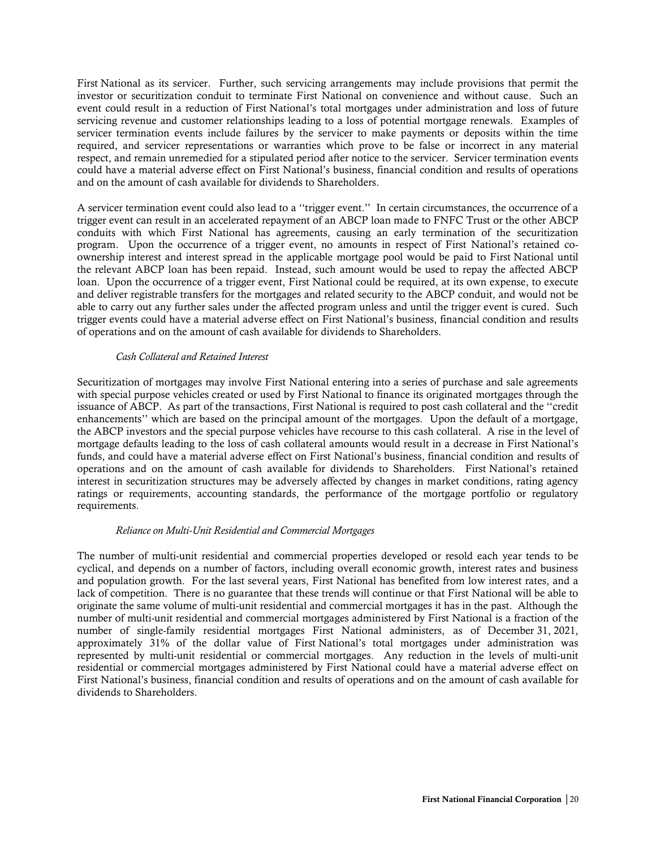First National as its servicer. Further, such servicing arrangements may include provisions that permit the investor or securitization conduit to terminate First National on convenience and without cause. Such an event could result in a reduction of First National's total mortgages under administration and loss of future servicing revenue and customer relationships leading to a loss of potential mortgage renewals. Examples of servicer termination events include failures by the servicer to make payments or deposits within the time required, and servicer representations or warranties which prove to be false or incorrect in any material respect, and remain unremedied for a stipulated period after notice to the servicer. Servicer termination events could have a material adverse effect on First National's business, financial condition and results of operations and on the amount of cash available for dividends to Shareholders.

A servicer termination event could also lead to a ''trigger event.'' In certain circumstances, the occurrence of a trigger event can result in an accelerated repayment of an ABCP loan made to FNFC Trust or the other ABCP conduits with which First National has agreements, causing an early termination of the securitization program. Upon the occurrence of a trigger event, no amounts in respect of First National's retained coownership interest and interest spread in the applicable mortgage pool would be paid to First National until the relevant ABCP loan has been repaid. Instead, such amount would be used to repay the affected ABCP loan. Upon the occurrence of a trigger event, First National could be required, at its own expense, to execute and deliver registrable transfers for the mortgages and related security to the ABCP conduit, and would not be able to carry out any further sales under the affected program unless and until the trigger event is cured. Such trigger events could have a material adverse effect on First National's business, financial condition and results of operations and on the amount of cash available for dividends to Shareholders.

## *Cash Collateral and Retained Interest*

Securitization of mortgages may involve First National entering into a series of purchase and sale agreements with special purpose vehicles created or used by First National to finance its originated mortgages through the issuance of ABCP. As part of the transactions, First National is required to post cash collateral and the ''credit enhancements'' which are based on the principal amount of the mortgages. Upon the default of a mortgage, the ABCP investors and the special purpose vehicles have recourse to this cash collateral. A rise in the level of mortgage defaults leading to the loss of cash collateral amounts would result in a decrease in First National's funds, and could have a material adverse effect on First National's business, financial condition and results of operations and on the amount of cash available for dividends to Shareholders. First National's retained interest in securitization structures may be adversely affected by changes in market conditions, rating agency ratings or requirements, accounting standards, the performance of the mortgage portfolio or regulatory requirements.

## *Reliance on Multi-Unit Residential and Commercial Mortgages*

The number of multi-unit residential and commercial properties developed or resold each year tends to be cyclical, and depends on a number of factors, including overall economic growth, interest rates and business and population growth. For the last several years, First National has benefited from low interest rates, and a lack of competition. There is no guarantee that these trends will continue or that First National will be able to originate the same volume of multi-unit residential and commercial mortgages it has in the past. Although the number of multi-unit residential and commercial mortgages administered by First National is a fraction of the number of single-family residential mortgages First National administers, as of December 31, 2021, approximately 31% of the dollar value of First National's total mortgages under administration was represented by multi-unit residential or commercial mortgages. Any reduction in the levels of multi-unit residential or commercial mortgages administered by First National could have a material adverse effect on First National's business, financial condition and results of operations and on the amount of cash available for dividends to Shareholders.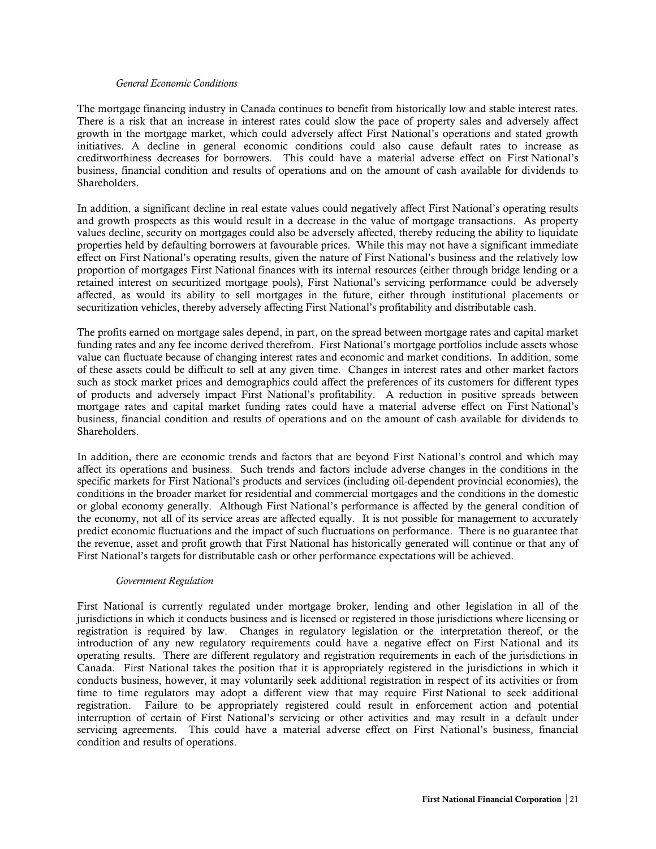#### *General Economic Conditions*

The mortgage financing industry in Canada continues to benefit from historically low and stable interest rates. There is a risk that an increase in interest rates could slow the pace of property sales and adversely affect growth in the mortgage market, which could adversely affect First National's operations and stated growth initiatives. A decline in general economic conditions could also cause default rates to increase as creditworthiness decreases for borrowers. This could have a material adverse effect on First National's business, financial condition and results of operations and on the amount of cash available for dividends to Shareholders.

In addition, a significant decline in real estate values could negatively affect First National's operating results and growth prospects as this would result in a decrease in the value of mortgage transactions. As property values decline, security on mortgages could also be adversely affected, thereby reducing the ability to liquidate properties held by defaulting borrowers at favourable prices. While this may not have a significant immediate effect on First National's operating results, given the nature of First National's business and the relatively low proportion of mortgages First National finances with its internal resources (either through bridge lending or a retained interest on securitized mortgage pools), First National's servicing performance could be adversely affected, as would its ability to sell mortgages in the future, either through institutional placements or securitization vehicles, thereby adversely affecting First National's profitability and distributable cash.

The profits earned on mortgage sales depend, in part, on the spread between mortgage rates and capital market funding rates and any fee income derived therefrom. First National's mortgage portfolios include assets whose value can fluctuate because of changing interest rates and economic and market conditions. In addition, some of these assets could be difficult to sell at any given time. Changes in interest rates and other market factors such as stock market prices and demographics could affect the preferences of its customers for different types of products and adversely impact First National's profitability. A reduction in positive spreads between mortgage rates and capital market funding rates could have a material adverse effect on First National's business, financial condition and results of operations and on the amount of cash available for dividends to Shareholders.

In addition, there are economic trends and factors that are beyond First National's control and which may affect its operations and business. Such trends and factors include adverse changes in the conditions in the specific markets for First National's products and services (including oil-dependent provincial economies), the conditions in the broader market for residential and commercial mortgages and the conditions in the domestic or global economy generally. Although First National's performance is affected by the general condition of the economy, not all of its service areas are affected equally. It is not possible for management to accurately predict economic fluctuations and the impact of such fluctuations on performance. There is no guarantee that the revenue, asset and profit growth that First National has historically generated will continue or that any of First National's targets for distributable cash or other performance expectations will be achieved.

## *Government Regulation*

First National is currently regulated under mortgage broker, lending and other legislation in all of the jurisdictions in which it conducts business and is licensed or registered in those jurisdictions where licensing or registration is required by law. Changes in regulatory legislation or the interpretation thereof, or the introduction of any new regulatory requirements could have a negative effect on First National and its operating results. There are different regulatory and registration requirements in each of the jurisdictions in Canada. First National takes the position that it is appropriately registered in the jurisdictions in which it conducts business, however, it may voluntarily seek additional registration in respect of its activities or from time to time regulators may adopt a different view that may require First National to seek additional registration. Failure to be appropriately registered could result in enforcement action and potential interruption of certain of First National's servicing or other activities and may result in a default under servicing agreements. This could have a material adverse effect on First National's business, financial condition and results of operations.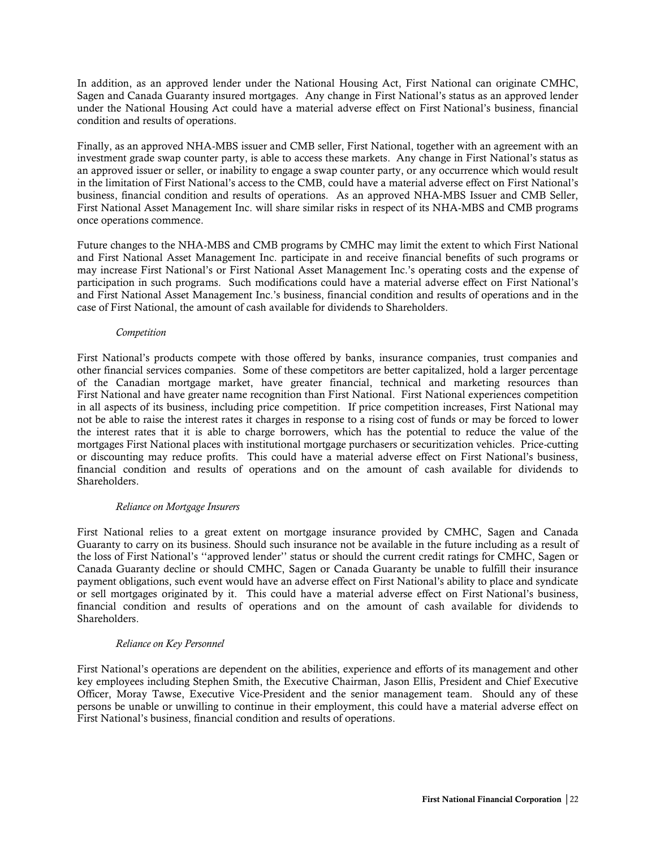In addition, as an approved lender under the National Housing Act, First National can originate CMHC, Sagen and Canada Guaranty insured mortgages. Any change in First National's status as an approved lender under the National Housing Act could have a material adverse effect on First National's business, financial condition and results of operations.

Finally, as an approved NHA-MBS issuer and CMB seller, First National, together with an agreement with an investment grade swap counter party, is able to access these markets. Any change in First National's status as an approved issuer or seller, or inability to engage a swap counter party, or any occurrence which would result in the limitation of First National's access to the CMB, could have a material adverse effect on First National's business, financial condition and results of operations. As an approved NHA-MBS Issuer and CMB Seller, First National Asset Management Inc. will share similar risks in respect of its NHA-MBS and CMB programs once operations commence.

Future changes to the NHA-MBS and CMB programs by CMHC may limit the extent to which First National and First National Asset Management Inc. participate in and receive financial benefits of such programs or may increase First National's or First National Asset Management Inc.'s operating costs and the expense of participation in such programs. Such modifications could have a material adverse effect on First National's and First National Asset Management Inc.'s business, financial condition and results of operations and in the case of First National, the amount of cash available for dividends to Shareholders.

#### *Competition*

First National's products compete with those offered by banks, insurance companies, trust companies and other financial services companies. Some of these competitors are better capitalized, hold a larger percentage of the Canadian mortgage market, have greater financial, technical and marketing resources than First National and have greater name recognition than First National. First National experiences competition in all aspects of its business, including price competition. If price competition increases, First National may not be able to raise the interest rates it charges in response to a rising cost of funds or may be forced to lower the interest rates that it is able to charge borrowers, which has the potential to reduce the value of the mortgages First National places with institutional mortgage purchasers or securitization vehicles. Price-cutting or discounting may reduce profits. This could have a material adverse effect on First National's business, financial condition and results of operations and on the amount of cash available for dividends to Shareholders.

#### *Reliance on Mortgage Insurers*

First National relies to a great extent on mortgage insurance provided by CMHC, Sagen and Canada Guaranty to carry on its business. Should such insurance not be available in the future including as a result of the loss of First National's ''approved lender'' status or should the current credit ratings for CMHC, Sagen or Canada Guaranty decline or should CMHC, Sagen or Canada Guaranty be unable to fulfill their insurance payment obligations, such event would have an adverse effect on First National's ability to place and syndicate or sell mortgages originated by it. This could have a material adverse effect on First National's business, financial condition and results of operations and on the amount of cash available for dividends to Shareholders.

## *Reliance on Key Personnel*

First National's operations are dependent on the abilities, experience and efforts of its management and other key employees including Stephen Smith, the Executive Chairman, Jason Ellis, President and Chief Executive Officer, Moray Tawse, Executive Vice-President and the senior management team. Should any of these persons be unable or unwilling to continue in their employment, this could have a material adverse effect on First National's business, financial condition and results of operations.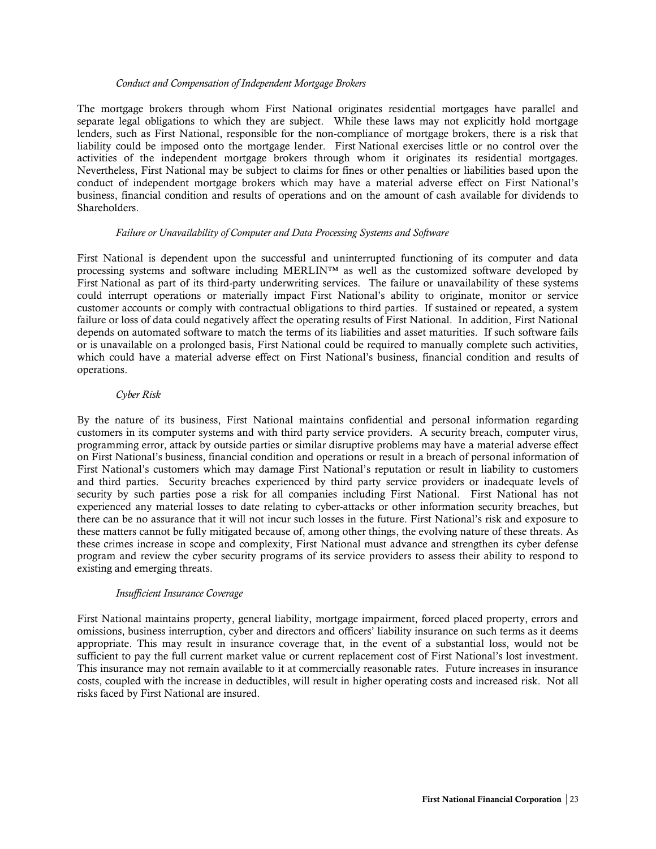#### *Conduct and Compensation of Independent Mortgage Brokers*

The mortgage brokers through whom First National originates residential mortgages have parallel and separate legal obligations to which they are subject. While these laws may not explicitly hold mortgage lenders, such as First National, responsible for the non-compliance of mortgage brokers, there is a risk that liability could be imposed onto the mortgage lender. First National exercises little or no control over the activities of the independent mortgage brokers through whom it originates its residential mortgages. Nevertheless, First National may be subject to claims for fines or other penalties or liabilities based upon the conduct of independent mortgage brokers which may have a material adverse effect on First National's business, financial condition and results of operations and on the amount of cash available for dividends to Shareholders.

#### *Failure or Unavailability of Computer and Data Processing Systems and Software*

First National is dependent upon the successful and uninterrupted functioning of its computer and data processing systems and software including MERLIN™ as well as the customized software developed by First National as part of its third-party underwriting services. The failure or unavailability of these systems could interrupt operations or materially impact First National's ability to originate, monitor or service customer accounts or comply with contractual obligations to third parties. If sustained or repeated, a system failure or loss of data could negatively affect the operating results of First National. In addition, First National depends on automated software to match the terms of its liabilities and asset maturities. If such software fails or is unavailable on a prolonged basis, First National could be required to manually complete such activities, which could have a material adverse effect on First National's business, financial condition and results of operations.

## *Cyber Risk*

By the nature of its business, First National maintains confidential and personal information regarding customers in its computer systems and with third party service providers. A security breach, computer virus, programming error, attack by outside parties or similar disruptive problems may have a material adverse effect on First National's business, financial condition and operations or result in a breach of personal information of First National's customers which may damage First National's reputation or result in liability to customers and third parties. Security breaches experienced by third party service providers or inadequate levels of security by such parties pose a risk for all companies including First National. First National has not experienced any material losses to date relating to cyber-attacks or other information security breaches, but there can be no assurance that it will not incur such losses in the future. First National's risk and exposure to these matters cannot be fully mitigated because of, among other things, the evolving nature of these threats. As these crimes increase in scope and complexity, First National must advance and strengthen its cyber defense program and review the cyber security programs of its service providers to assess their ability to respond to existing and emerging threats.

## *Insufficient Insurance Coverage*

First National maintains property, general liability, mortgage impairment, forced placed property, errors and omissions, business interruption, cyber and directors and officers' liability insurance on such terms as it deems appropriate. This may result in insurance coverage that, in the event of a substantial loss, would not be sufficient to pay the full current market value or current replacement cost of First National's lost investment. This insurance may not remain available to it at commercially reasonable rates. Future increases in insurance costs, coupled with the increase in deductibles, will result in higher operating costs and increased risk. Not all risks faced by First National are insured.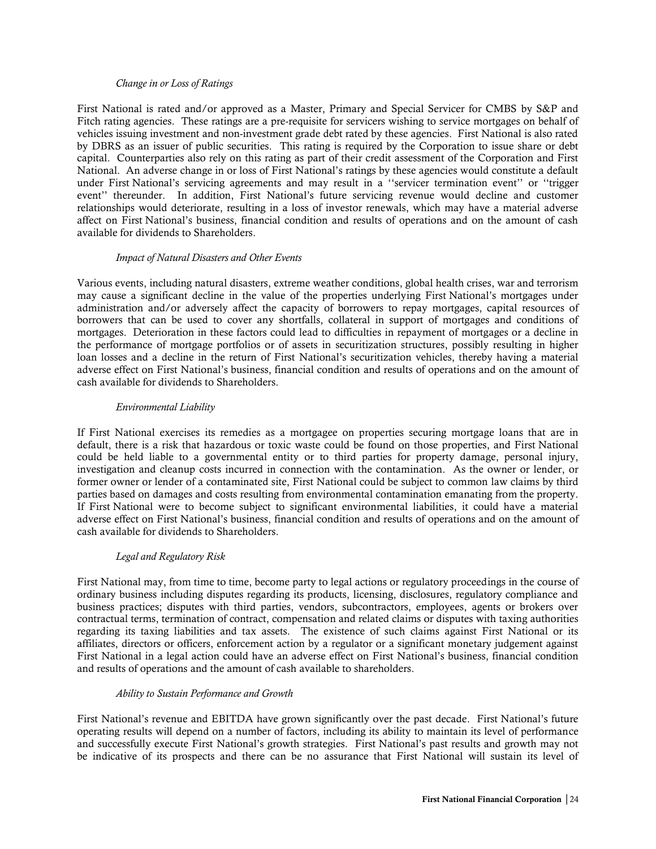#### *Change in or Loss of Ratings*

First National is rated and/or approved as a Master, Primary and Special Servicer for CMBS by S&P and Fitch rating agencies. These ratings are a pre-requisite for servicers wishing to service mortgages on behalf of vehicles issuing investment and non-investment grade debt rated by these agencies. First National is also rated by DBRS as an issuer of public securities. This rating is required by the Corporation to issue share or debt capital. Counterparties also rely on this rating as part of their credit assessment of the Corporation and First National. An adverse change in or loss of First National's ratings by these agencies would constitute a default under First National's servicing agreements and may result in a ''servicer termination event'' or ''trigger event'' thereunder. In addition, First National's future servicing revenue would decline and customer relationships would deteriorate, resulting in a loss of investor renewals, which may have a material adverse affect on First National's business, financial condition and results of operations and on the amount of cash available for dividends to Shareholders.

#### *Impact of Natural Disasters and Other Events*

Various events, including natural disasters, extreme weather conditions, global health crises, war and terrorism may cause a significant decline in the value of the properties underlying First National's mortgages under administration and/or adversely affect the capacity of borrowers to repay mortgages, capital resources of borrowers that can be used to cover any shortfalls, collateral in support of mortgages and conditions of mortgages. Deterioration in these factors could lead to difficulties in repayment of mortgages or a decline in the performance of mortgage portfolios or of assets in securitization structures, possibly resulting in higher loan losses and a decline in the return of First National's securitization vehicles, thereby having a material adverse effect on First National's business, financial condition and results of operations and on the amount of cash available for dividends to Shareholders.

#### *Environmental Liability*

If First National exercises its remedies as a mortgagee on properties securing mortgage loans that are in default, there is a risk that hazardous or toxic waste could be found on those properties, and First National could be held liable to a governmental entity or to third parties for property damage, personal injury, investigation and cleanup costs incurred in connection with the contamination. As the owner or lender, or former owner or lender of a contaminated site, First National could be subject to common law claims by third parties based on damages and costs resulting from environmental contamination emanating from the property. If First National were to become subject to significant environmental liabilities, it could have a material adverse effect on First National's business, financial condition and results of operations and on the amount of cash available for dividends to Shareholders.

## *Legal and Regulatory Risk*

First National may, from time to time, become party to legal actions or regulatory proceedings in the course of ordinary business including disputes regarding its products, licensing, disclosures, regulatory compliance and business practices; disputes with third parties, vendors, subcontractors, employees, agents or brokers over contractual terms, termination of contract, compensation and related claims or disputes with taxing authorities regarding its taxing liabilities and tax assets. The existence of such claims against First National or its affiliates, directors or officers, enforcement action by a regulator or a significant monetary judgement against First National in a legal action could have an adverse effect on First National's business, financial condition and results of operations and the amount of cash available to shareholders.

#### *Ability to Sustain Performance and Growth*

First National's revenue and EBITDA have grown significantly over the past decade. First National's future operating results will depend on a number of factors, including its ability to maintain its level of performance and successfully execute First National's growth strategies. First National's past results and growth may not be indicative of its prospects and there can be no assurance that First National will sustain its level of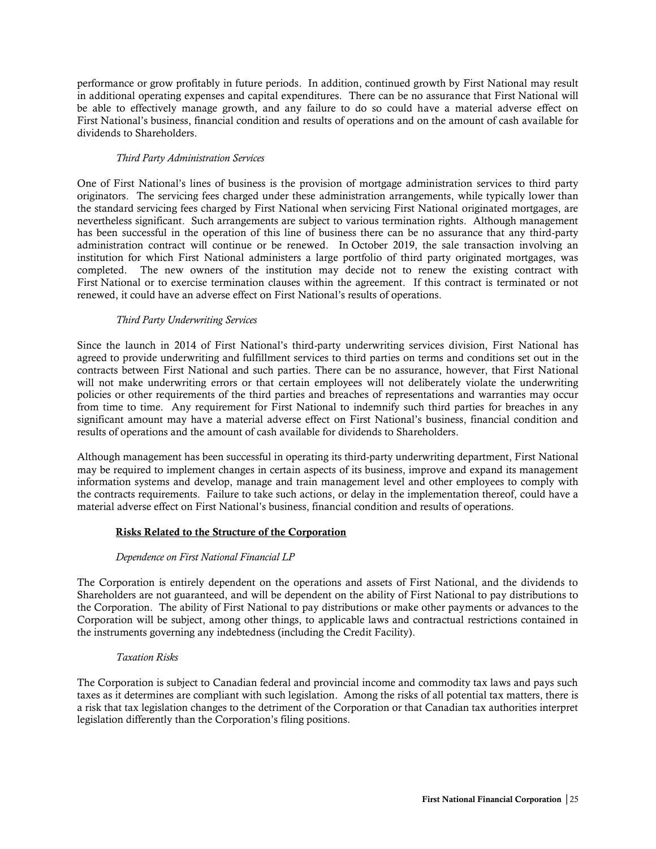performance or grow profitably in future periods. In addition, continued growth by First National may result in additional operating expenses and capital expenditures. There can be no assurance that First National will be able to effectively manage growth, and any failure to do so could have a material adverse effect on First National's business, financial condition and results of operations and on the amount of cash available for dividends to Shareholders.

## *Third Party Administration Services*

One of First National's lines of business is the provision of mortgage administration services to third party originators. The servicing fees charged under these administration arrangements, while typically lower than the standard servicing fees charged by First National when servicing First National originated mortgages, are nevertheless significant. Such arrangements are subject to various termination rights. Although management has been successful in the operation of this line of business there can be no assurance that any third-party administration contract will continue or be renewed. In October 2019, the sale transaction involving an institution for which First National administers a large portfolio of third party originated mortgages, was completed. The new owners of the institution may decide not to renew the existing contract with First National or to exercise termination clauses within the agreement. If this contract is terminated or not renewed, it could have an adverse effect on First National's results of operations.

## *Third Party Underwriting Services*

Since the launch in 2014 of First National's third-party underwriting services division, First National has agreed to provide underwriting and fulfillment services to third parties on terms and conditions set out in the contracts between First National and such parties. There can be no assurance, however, that First National will not make underwriting errors or that certain employees will not deliberately violate the underwriting policies or other requirements of the third parties and breaches of representations and warranties may occur from time to time. Any requirement for First National to indemnify such third parties for breaches in any significant amount may have a material adverse effect on First National's business, financial condition and results of operations and the amount of cash available for dividends to Shareholders.

Although management has been successful in operating its third-party underwriting department, First National may be required to implement changes in certain aspects of its business, improve and expand its management information systems and develop, manage and train management level and other employees to comply with the contracts requirements. Failure to take such actions, or delay in the implementation thereof, could have a material adverse effect on First National's business, financial condition and results of operations.

## Risks Related to the Structure of the Corporation

## *Dependence on First National Financial LP*

The Corporation is entirely dependent on the operations and assets of First National, and the dividends to Shareholders are not guaranteed, and will be dependent on the ability of First National to pay distributions to the Corporation. The ability of First National to pay distributions or make other payments or advances to the Corporation will be subject, among other things, to applicable laws and contractual restrictions contained in the instruments governing any indebtedness (including the Credit Facility).

## *Taxation Risks*

The Corporation is subject to Canadian federal and provincial income and commodity tax laws and pays such taxes as it determines are compliant with such legislation. Among the risks of all potential tax matters, there is a risk that tax legislation changes to the detriment of the Corporation or that Canadian tax authorities interpret legislation differently than the Corporation's filing positions.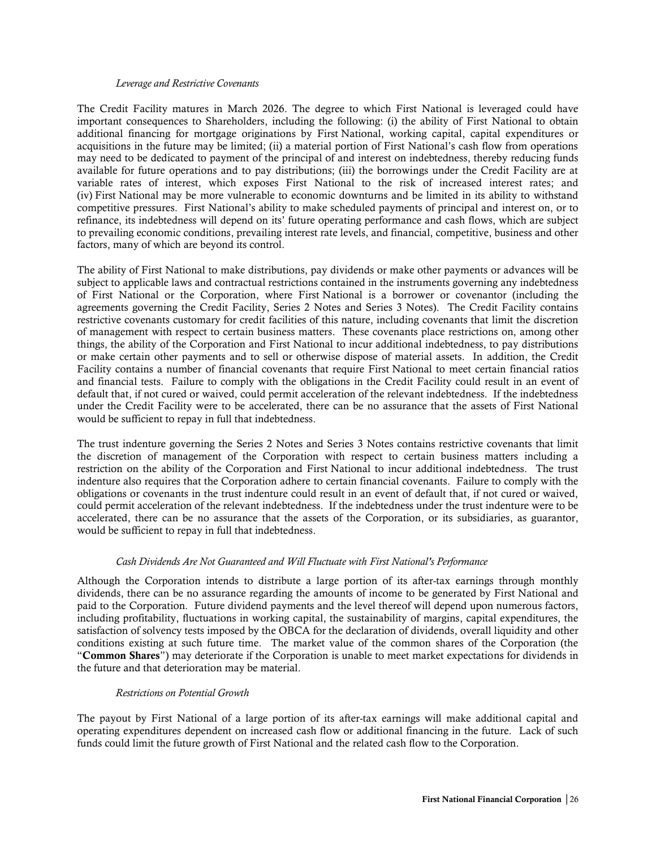#### *Leverage and Restrictive Covenants*

The Credit Facility matures in March 2026. The degree to which First National is leveraged could have important consequences to Shareholders, including the following: (i) the ability of First National to obtain additional financing for mortgage originations by First National, working capital, capital expenditures or acquisitions in the future may be limited; (ii) a material portion of First National's cash flow from operations may need to be dedicated to payment of the principal of and interest on indebtedness, thereby reducing funds available for future operations and to pay distributions; (iii) the borrowings under the Credit Facility are at variable rates of interest, which exposes First National to the risk of increased interest rates; and (iv) First National may be more vulnerable to economic downturns and be limited in its ability to withstand competitive pressures. First National's ability to make scheduled payments of principal and interest on, or to refinance, its indebtedness will depend on its' future operating performance and cash flows, which are subject to prevailing economic conditions, prevailing interest rate levels, and financial, competitive, business and other factors, many of which are beyond its control.

The ability of First National to make distributions, pay dividends or make other payments or advances will be subject to applicable laws and contractual restrictions contained in the instruments governing any indebtedness of First National or the Corporation, where First National is a borrower or covenantor (including the agreements governing the Credit Facility, Series 2 Notes and Series 3 Notes). The Credit Facility contains restrictive covenants customary for credit facilities of this nature, including covenants that limit the discretion of management with respect to certain business matters. These covenants place restrictions on, among other things, the ability of the Corporation and First National to incur additional indebtedness, to pay distributions or make certain other payments and to sell or otherwise dispose of material assets. In addition, the Credit Facility contains a number of financial covenants that require First National to meet certain financial ratios and financial tests. Failure to comply with the obligations in the Credit Facility could result in an event of default that, if not cured or waived, could permit acceleration of the relevant indebtedness. If the indebtedness under the Credit Facility were to be accelerated, there can be no assurance that the assets of First National would be sufficient to repay in full that indebtedness.

The trust indenture governing the Series 2 Notes and Series 3 Notes contains restrictive covenants that limit the discretion of management of the Corporation with respect to certain business matters including a restriction on the ability of the Corporation and First National to incur additional indebtedness. The trust indenture also requires that the Corporation adhere to certain financial covenants. Failure to comply with the obligations or covenants in the trust indenture could result in an event of default that, if not cured or waived, could permit acceleration of the relevant indebtedness. If the indebtedness under the trust indenture were to be accelerated, there can be no assurance that the assets of the Corporation, or its subsidiaries, as guarantor, would be sufficient to repay in full that indebtedness.

## *Cash Dividends Are Not Guaranteed and Will Fluctuate with First National's Performance*

Although the Corporation intends to distribute a large portion of its after-tax earnings through monthly dividends, there can be no assurance regarding the amounts of income to be generated by First National and paid to the Corporation. Future dividend payments and the level thereof will depend upon numerous factors, including profitability, fluctuations in working capital, the sustainability of margins, capital expenditures, the satisfaction of solvency tests imposed by the OBCA for the declaration of dividends, overall liquidity and other conditions existing at such future time. The market value of the common shares of the Corporation (the "Common Shares") may deteriorate if the Corporation is unable to meet market expectations for dividends in the future and that deterioration may be material.

## *Restrictions on Potential Growth*

The payout by First National of a large portion of its after-tax earnings will make additional capital and operating expenditures dependent on increased cash flow or additional financing in the future. Lack of such funds could limit the future growth of First National and the related cash flow to the Corporation.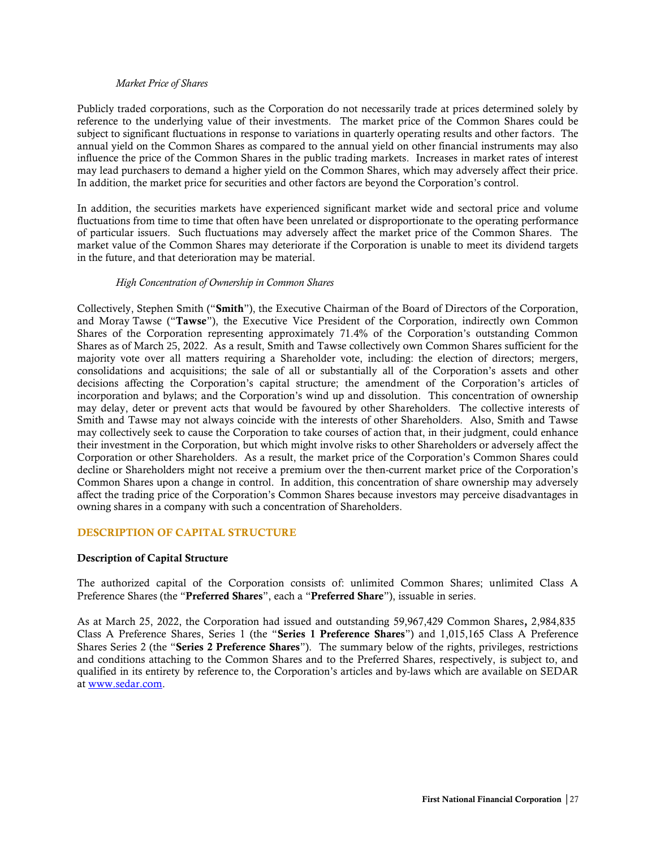#### *Market Price of Shares*

Publicly traded corporations, such as the Corporation do not necessarily trade at prices determined solely by reference to the underlying value of their investments. The market price of the Common Shares could be subject to significant fluctuations in response to variations in quarterly operating results and other factors. The annual yield on the Common Shares as compared to the annual yield on other financial instruments may also influence the price of the Common Shares in the public trading markets. Increases in market rates of interest may lead purchasers to demand a higher yield on the Common Shares, which may adversely affect their price. In addition, the market price for securities and other factors are beyond the Corporation's control.

In addition, the securities markets have experienced significant market wide and sectoral price and volume fluctuations from time to time that often have been unrelated or disproportionate to the operating performance of particular issuers. Such fluctuations may adversely affect the market price of the Common Shares. The market value of the Common Shares may deteriorate if the Corporation is unable to meet its dividend targets in the future, and that deterioration may be material.

#### *High Concentration of Ownership in Common Shares*

Collectively, Stephen Smith ("Smith"), the Executive Chairman of the Board of Directors of the Corporation, and Moray Tawse ("Tawse"), the Executive Vice President of the Corporation, indirectly own Common Shares of the Corporation representing approximately 71.4% of the Corporation's outstanding Common Shares as of March 25, 2022. As a result, Smith and Tawse collectively own Common Shares sufficient for the majority vote over all matters requiring a Shareholder vote, including: the election of directors; mergers, consolidations and acquisitions; the sale of all or substantially all of the Corporation's assets and other decisions affecting the Corporation's capital structure; the amendment of the Corporation's articles of incorporation and bylaws; and the Corporation's wind up and dissolution. This concentration of ownership may delay, deter or prevent acts that would be favoured by other Shareholders. The collective interests of Smith and Tawse may not always coincide with the interests of other Shareholders. Also, Smith and Tawse may collectively seek to cause the Corporation to take courses of action that, in their judgment, could enhance their investment in the Corporation, but which might involve risks to other Shareholders or adversely affect the Corporation or other Shareholders. As a result, the market price of the Corporation's Common Shares could decline or Shareholders might not receive a premium over the then-current market price of the Corporation's Common Shares upon a change in control. In addition, this concentration of share ownership may adversely affect the trading price of the Corporation's Common Shares because investors may perceive disadvantages in owning shares in a company with such a concentration of Shareholders.

## <span id="page-28-0"></span>DESCRIPTION OF CAPITAL STRUCTURE

## <span id="page-28-1"></span>Description of Capital Structure

The authorized capital of the Corporation consists of: unlimited Common Shares; unlimited Class A Preference Shares (the "Preferred Shares", each a "Preferred Share"), issuable in series.

As at March 25, 2022, the Corporation had issued and outstanding 59,967,429 Common Shares, 2,984,835 Class A Preference Shares, Series 1 (the "Series 1 Preference Shares") and 1,015,165 Class A Preference Shares Series 2 (the "Series 2 Preference Shares"). The summary below of the rights, privileges, restrictions and conditions attaching to the Common Shares and to the Preferred Shares, respectively, is subject to, and qualified in its entirety by reference to, the Corporation's articles and by-laws which are available on SEDAR at [www.sedar.com.](http://www.sedar.com/)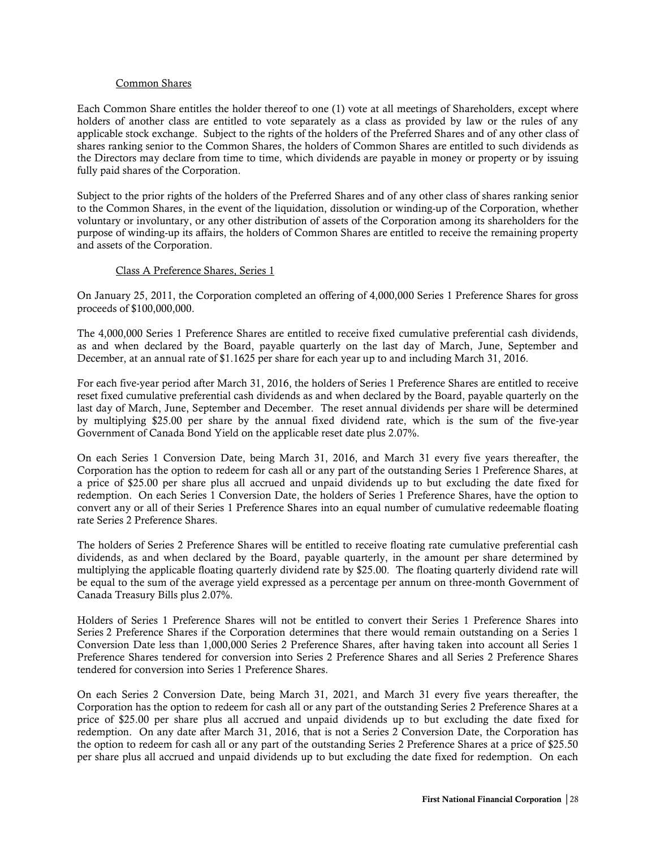#### Common Shares

Each Common Share entitles the holder thereof to one (1) vote at all meetings of Shareholders, except where holders of another class are entitled to vote separately as a class as provided by law or the rules of any applicable stock exchange. Subject to the rights of the holders of the Preferred Shares and of any other class of shares ranking senior to the Common Shares, the holders of Common Shares are entitled to such dividends as the Directors may declare from time to time, which dividends are payable in money or property or by issuing fully paid shares of the Corporation.

Subject to the prior rights of the holders of the Preferred Shares and of any other class of shares ranking senior to the Common Shares, in the event of the liquidation, dissolution or winding-up of the Corporation, whether voluntary or involuntary, or any other distribution of assets of the Corporation among its shareholders for the purpose of winding-up its affairs, the holders of Common Shares are entitled to receive the remaining property and assets of the Corporation.

## Class A Preference Shares, Series 1

On January 25, 2011, the Corporation completed an offering of 4,000,000 Series 1 Preference Shares for gross proceeds of \$100,000,000.

The 4,000,000 Series 1 Preference Shares are entitled to receive fixed cumulative preferential cash dividends, as and when declared by the Board, payable quarterly on the last day of March, June, September and December, at an annual rate of \$1.1625 per share for each year up to and including March 31, 2016.

For each five-year period after March 31, 2016, the holders of Series 1 Preference Shares are entitled to receive reset fixed cumulative preferential cash dividends as and when declared by the Board, payable quarterly on the last day of March, June, September and December. The reset annual dividends per share will be determined by multiplying \$25.00 per share by the annual fixed dividend rate, which is the sum of the five-year Government of Canada Bond Yield on the applicable reset date plus 2.07%.

On each Series 1 Conversion Date, being March 31, 2016, and March 31 every five years thereafter, the Corporation has the option to redeem for cash all or any part of the outstanding Series 1 Preference Shares, at a price of \$25.00 per share plus all accrued and unpaid dividends up to but excluding the date fixed for redemption. On each Series 1 Conversion Date, the holders of Series 1 Preference Shares, have the option to convert any or all of their Series 1 Preference Shares into an equal number of cumulative redeemable floating rate Series 2 Preference Shares.

The holders of Series 2 Preference Shares will be entitled to receive floating rate cumulative preferential cash dividends, as and when declared by the Board, payable quarterly, in the amount per share determined by multiplying the applicable floating quarterly dividend rate by \$25.00. The floating quarterly dividend rate will be equal to the sum of the average yield expressed as a percentage per annum on three-month Government of Canada Treasury Bills plus 2.07%.

Holders of Series 1 Preference Shares will not be entitled to convert their Series 1 Preference Shares into Series 2 Preference Shares if the Corporation determines that there would remain outstanding on a Series 1 Conversion Date less than 1,000,000 Series 2 Preference Shares, after having taken into account all Series 1 Preference Shares tendered for conversion into Series 2 Preference Shares and all Series 2 Preference Shares tendered for conversion into Series 1 Preference Shares.

On each Series 2 Conversion Date, being March 31, 2021, and March 31 every five years thereafter, the Corporation has the option to redeem for cash all or any part of the outstanding Series 2 Preference Shares at a price of \$25.00 per share plus all accrued and unpaid dividends up to but excluding the date fixed for redemption. On any date after March 31, 2016, that is not a Series 2 Conversion Date, the Corporation has the option to redeem for cash all or any part of the outstanding Series 2 Preference Shares at a price of \$25.50 per share plus all accrued and unpaid dividends up to but excluding the date fixed for redemption. On each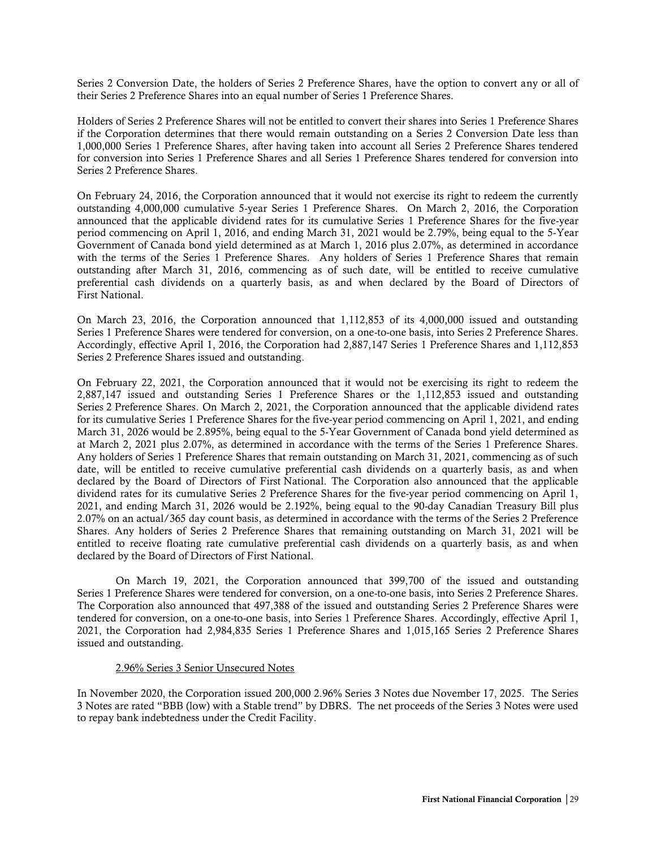Series 2 Conversion Date, the holders of Series 2 Preference Shares, have the option to convert any or all of their Series 2 Preference Shares into an equal number of Series 1 Preference Shares.

Holders of Series 2 Preference Shares will not be entitled to convert their shares into Series 1 Preference Shares if the Corporation determines that there would remain outstanding on a Series 2 Conversion Date less than 1,000,000 Series 1 Preference Shares, after having taken into account all Series 2 Preference Shares tendered for conversion into Series 1 Preference Shares and all Series 1 Preference Shares tendered for conversion into Series 2 Preference Shares.

On February 24, 2016, the Corporation announced that it would not exercise its right to redeem the currently outstanding 4,000,000 cumulative 5-year Series 1 Preference Shares. On March 2, 2016, the Corporation announced that the applicable dividend rates for its cumulative Series 1 Preference Shares for the five-year period commencing on April 1, 2016, and ending March 31, 2021 would be 2.79%, being equal to the 5-Year Government of Canada bond yield determined as at March 1, 2016 plus 2.07%, as determined in accordance with the terms of the Series 1 Preference Shares. Any holders of Series 1 Preference Shares that remain outstanding after March 31, 2016, commencing as of such date, will be entitled to receive cumulative preferential cash dividends on a quarterly basis, as and when declared by the Board of Directors of First National.

On March 23, 2016, the Corporation announced that 1,112,853 of its 4,000,000 issued and outstanding Series 1 Preference Shares were tendered for conversion, on a one-to-one basis, into Series 2 Preference Shares. Accordingly, effective April 1, 2016, the Corporation had 2,887,147 Series 1 Preference Shares and 1,112,853 Series 2 Preference Shares issued and outstanding.

On February 22, 2021, the Corporation announced that it would not be exercising its right to redeem the 2,887,147 issued and outstanding Series 1 Preference Shares or the 1,112,853 issued and outstanding Series 2 Preference Shares. On March 2, 2021, the Corporation announced that the applicable dividend rates for its cumulative Series 1 Preference Shares for the five-year period commencing on April 1, 2021, and ending March 31, 2026 would be 2.895%, being equal to the 5-Year Government of Canada bond yield determined as at March 2, 2021 plus 2.07%, as determined in accordance with the terms of the Series 1 Preference Shares. Any holders of Series 1 Preference Shares that remain outstanding on March 31, 2021, commencing as of such date, will be entitled to receive cumulative preferential cash dividends on a quarterly basis, as and when declared by the Board of Directors of First National. The Corporation also announced that the applicable dividend rates for its cumulative Series 2 Preference Shares for the five-year period commencing on April 1, 2021, and ending March 31, 2026 would be 2.192%, being equal to the 90-day Canadian Treasury Bill plus 2.07% on an actual/365 day count basis, as determined in accordance with the terms of the Series 2 Preference Shares. Any holders of Series 2 Preference Shares that remaining outstanding on March 31, 2021 will be entitled to receive floating rate cumulative preferential cash dividends on a quarterly basis, as and when declared by the Board of Directors of First National.

On March 19, 2021, the Corporation announced that 399,700 of the issued and outstanding Series 1 Preference Shares were tendered for conversion, on a one-to-one basis, into Series 2 Preference Shares. The Corporation also announced that 497,388 of the issued and outstanding Series 2 Preference Shares were tendered for conversion, on a one-to-one basis, into Series 1 Preference Shares. Accordingly, effective April 1, 2021, the Corporation had 2,984,835 Series 1 Preference Shares and 1,015,165 Series 2 Preference Shares issued and outstanding.

#### 2.96% Series 3 Senior Unsecured Notes

In November 2020, the Corporation issued 200,000 2.96% Series 3 Notes due November 17, 2025. The Series 3 Notes are rated "BBB (low) with a Stable trend" by DBRS. The net proceeds of the Series 3 Notes were used to repay bank indebtedness under the Credit Facility.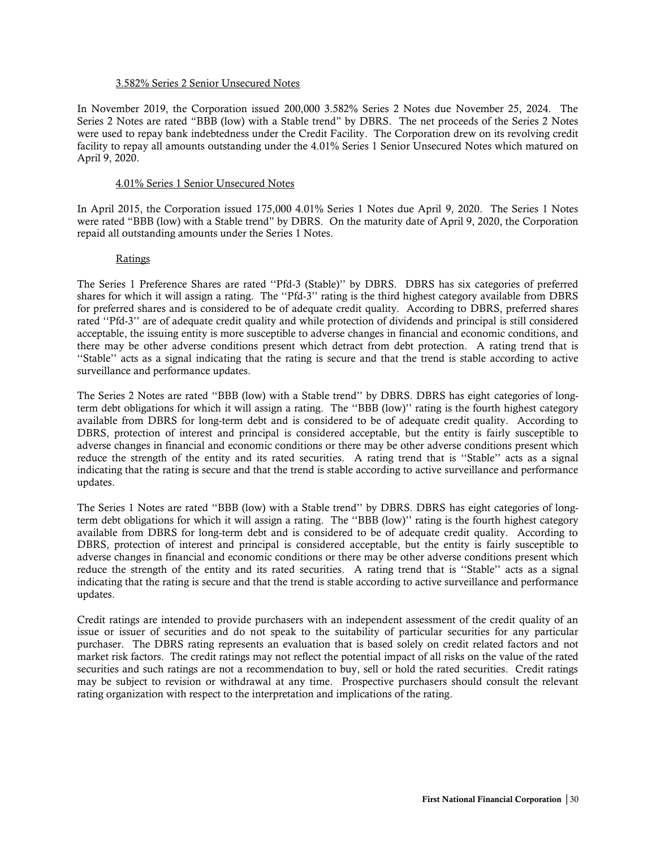## 3.582% Series 2 Senior Unsecured Notes

In November 2019, the Corporation issued 200,000 3.582% Series 2 Notes due November 25, 2024. The Series 2 Notes are rated "BBB (low) with a Stable trend" by DBRS. The net proceeds of the Series 2 Notes were used to repay bank indebtedness under the Credit Facility. The Corporation drew on its revolving credit facility to repay all amounts outstanding under the 4.01% Series 1 Senior Unsecured Notes which matured on April 9, 2020.

#### 4.01% Series 1 Senior Unsecured Notes

In April 2015, the Corporation issued 175,000 4.01% Series 1 Notes due April 9, 2020. The Series 1 Notes were rated "BBB (low) with a Stable trend" by DBRS. On the maturity date of April 9, 2020, the Corporation repaid all outstanding amounts under the Series 1 Notes.

#### Ratings

The Series 1 Preference Shares are rated ''Pfd-3 (Stable)'' by DBRS. DBRS has six categories of preferred shares for which it will assign a rating. The ''Pfd-3'' rating is the third highest category available from DBRS for preferred shares and is considered to be of adequate credit quality. According to DBRS, preferred shares rated ''Pfd-3'' are of adequate credit quality and while protection of dividends and principal is still considered acceptable, the issuing entity is more susceptible to adverse changes in financial and economic conditions, and there may be other adverse conditions present which detract from debt protection. A rating trend that is ''Stable'' acts as a signal indicating that the rating is secure and that the trend is stable according to active surveillance and performance updates.

The Series 2 Notes are rated ''BBB (low) with a Stable trend'' by DBRS. DBRS has eight categories of longterm debt obligations for which it will assign a rating. The ''BBB (low)'' rating is the fourth highest category available from DBRS for long-term debt and is considered to be of adequate credit quality. According to DBRS, protection of interest and principal is considered acceptable, but the entity is fairly susceptible to adverse changes in financial and economic conditions or there may be other adverse conditions present which reduce the strength of the entity and its rated securities. A rating trend that is ''Stable'' acts as a signal indicating that the rating is secure and that the trend is stable according to active surveillance and performance updates.

The Series 1 Notes are rated ''BBB (low) with a Stable trend'' by DBRS. DBRS has eight categories of longterm debt obligations for which it will assign a rating. The ''BBB (low)'' rating is the fourth highest category available from DBRS for long-term debt and is considered to be of adequate credit quality. According to DBRS, protection of interest and principal is considered acceptable, but the entity is fairly susceptible to adverse changes in financial and economic conditions or there may be other adverse conditions present which reduce the strength of the entity and its rated securities. A rating trend that is ''Stable'' acts as a signal indicating that the rating is secure and that the trend is stable according to active surveillance and performance updates.

Credit ratings are intended to provide purchasers with an independent assessment of the credit quality of an issue or issuer of securities and do not speak to the suitability of particular securities for any particular purchaser. The DBRS rating represents an evaluation that is based solely on credit related factors and not market risk factors. The credit ratings may not reflect the potential impact of all risks on the value of the rated securities and such ratings are not a recommendation to buy, sell or hold the rated securities. Credit ratings may be subject to revision or withdrawal at any time. Prospective purchasers should consult the relevant rating organization with respect to the interpretation and implications of the rating.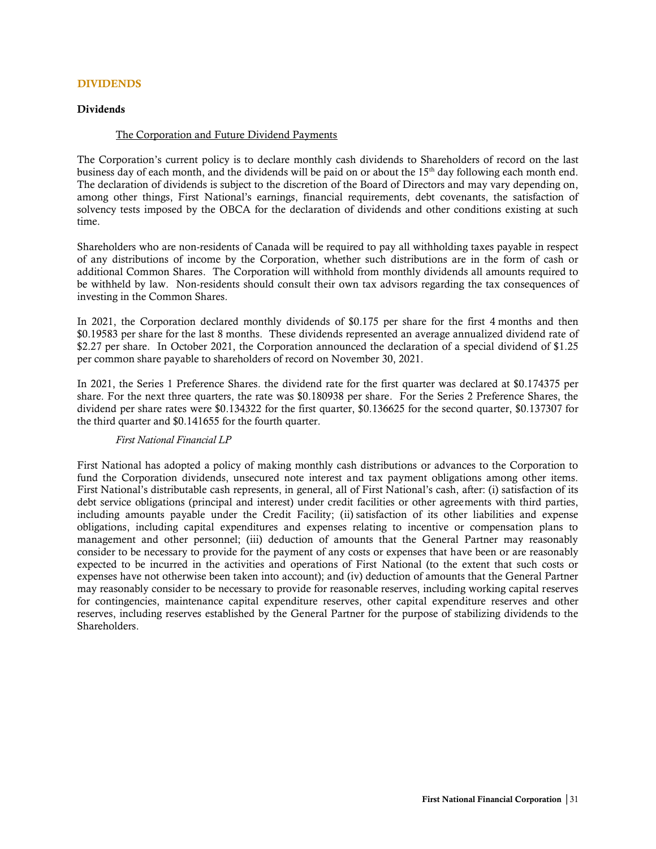#### <span id="page-32-0"></span>DIVIDENDS

#### <span id="page-32-1"></span>Dividends

#### The Corporation and Future Dividend Payments

The Corporation's current policy is to declare monthly cash dividends to Shareholders of record on the last business day of each month, and the dividends will be paid on or about the 15<sup>th</sup> day following each month end. The declaration of dividends is subject to the discretion of the Board of Directors and may vary depending on, among other things, First National's earnings, financial requirements, debt covenants, the satisfaction of solvency tests imposed by the OBCA for the declaration of dividends and other conditions existing at such time.

Shareholders who are non-residents of Canada will be required to pay all withholding taxes payable in respect of any distributions of income by the Corporation, whether such distributions are in the form of cash or additional Common Shares. The Corporation will withhold from monthly dividends all amounts required to be withheld by law. Non-residents should consult their own tax advisors regarding the tax consequences of investing in the Common Shares.

In 2021, the Corporation declared monthly dividends of \$0.175 per share for the first 4 months and then \$0.19583 per share for the last 8 months. These dividends represented an average annualized dividend rate of \$2.27 per share. In October 2021, the Corporation announced the declaration of a special dividend of \$1.25 per common share payable to shareholders of record on November 30, 2021.

In 2021, the Series 1 Preference Shares. the dividend rate for the first quarter was declared at \$0.174375 per share. For the next three quarters, the rate was \$0.180938 per share. For the Series 2 Preference Shares, the dividend per share rates were \$0.134322 for the first quarter, \$0.136625 for the second quarter, \$0.137307 for the third quarter and \$0.141655 for the fourth quarter.

## *First National Financial LP*

First National has adopted a policy of making monthly cash distributions or advances to the Corporation to fund the Corporation dividends, unsecured note interest and tax payment obligations among other items. First National's distributable cash represents, in general, all of First National's cash, after: (i) satisfaction of its debt service obligations (principal and interest) under credit facilities or other agreements with third parties, including amounts payable under the Credit Facility; (ii) satisfaction of its other liabilities and expense obligations, including capital expenditures and expenses relating to incentive or compensation plans to management and other personnel; (iii) deduction of amounts that the General Partner may reasonably consider to be necessary to provide for the payment of any costs or expenses that have been or are reasonably expected to be incurred in the activities and operations of First National (to the extent that such costs or expenses have not otherwise been taken into account); and (iv) deduction of amounts that the General Partner may reasonably consider to be necessary to provide for reasonable reserves, including working capital reserves for contingencies, maintenance capital expenditure reserves, other capital expenditure reserves and other reserves, including reserves established by the General Partner for the purpose of stabilizing dividends to the Shareholders.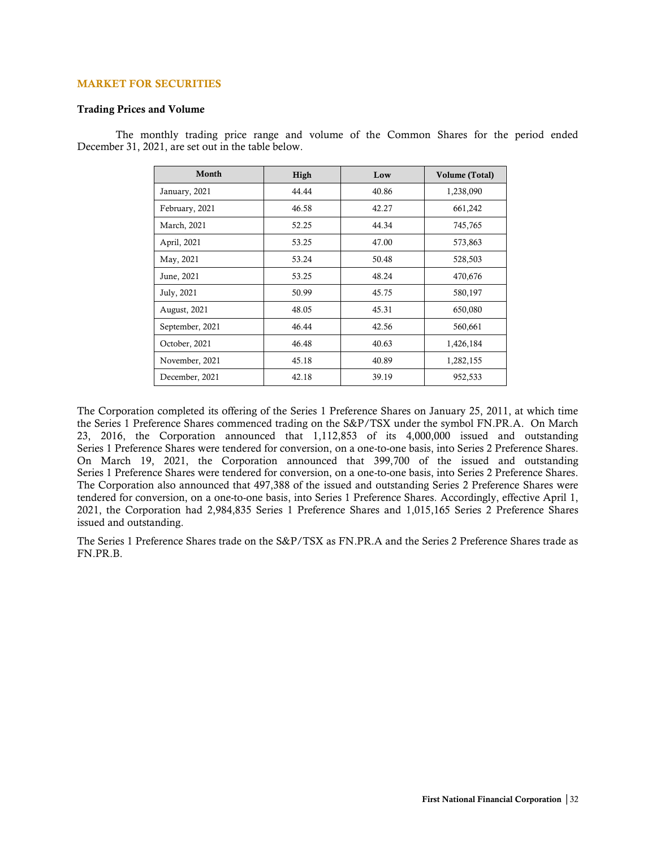#### <span id="page-33-0"></span>MARKET FOR SECURITIES

#### <span id="page-33-1"></span>Trading Prices and Volume

The monthly trading price range and volume of the Common Shares for the period ended December 31, 2021, are set out in the table below.

| Month               | High  | Low   | Volume (Total) |
|---------------------|-------|-------|----------------|
| January, 2021       | 44.44 | 40.86 | 1,238,090      |
| February, 2021      | 46.58 | 42.27 | 661,242        |
| March, 2021         | 52.25 | 44.34 | 745,765        |
| April, 2021         | 53.25 | 47.00 | 573,863        |
| May, 2021           | 53.24 | 50.48 | 528,503        |
| June, 2021          | 53.25 | 48.24 | 470,676        |
| July, 2021          | 50.99 | 45.75 | 580,197        |
| <b>August, 2021</b> | 48.05 | 45.31 | 650,080        |
| September, 2021     | 46.44 | 42.56 | 560,661        |
| October, 2021       | 46.48 | 40.63 | 1,426,184      |
| November, 2021      | 45.18 | 40.89 | 1,282,155      |
| December, 2021      | 42.18 | 39.19 | 952,533        |

The Corporation completed its offering of the Series 1 Preference Shares on January 25, 2011, at which time the Series 1 Preference Shares commenced trading on the S&P/TSX under the symbol FN.PR.A. On March 23, 2016, the Corporation announced that 1,112,853 of its 4,000,000 issued and outstanding Series 1 Preference Shares were tendered for conversion, on a one-to-one basis, into Series 2 Preference Shares. On March 19, 2021, the Corporation announced that 399,700 of the issued and outstanding Series 1 Preference Shares were tendered for conversion, on a one-to-one basis, into Series 2 Preference Shares. The Corporation also announced that 497,388 of the issued and outstanding Series 2 Preference Shares were tendered for conversion, on a one-to-one basis, into Series 1 Preference Shares. Accordingly, effective April 1, 2021, the Corporation had 2,984,835 Series 1 Preference Shares and 1,015,165 Series 2 Preference Shares issued and outstanding.

The Series 1 Preference Shares trade on the S&P/TSX as FN.PR.A and the Series 2 Preference Shares trade as FN.PR.B.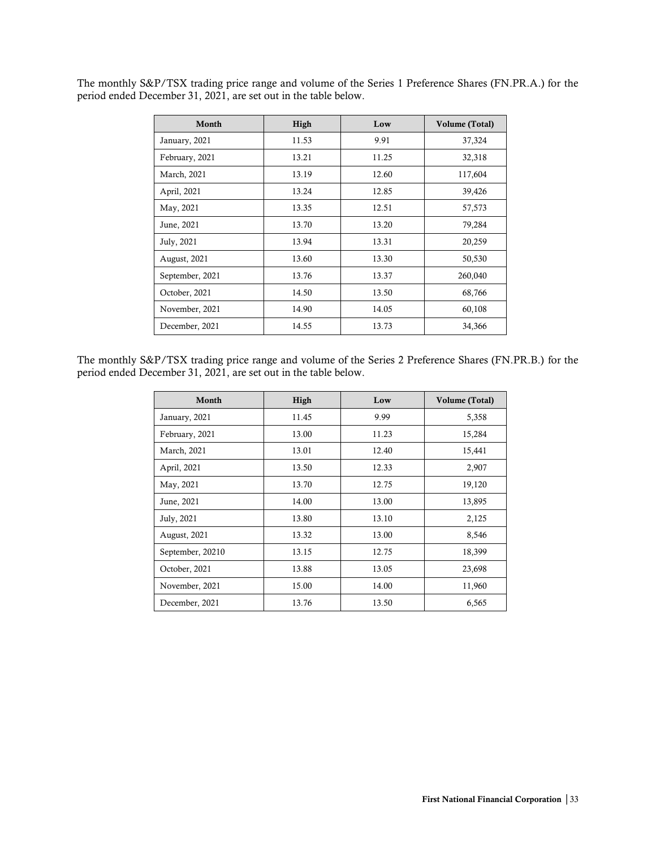The monthly S&P/TSX trading price range and volume of the Series 1 Preference Shares (FN.PR.A.) for the period ended December 31, 2021, are set out in the table below.

| Month           | High  | Low   | Volume (Total) |
|-----------------|-------|-------|----------------|
| January, 2021   | 11.53 | 9.91  | 37,324         |
| February, 2021  | 13.21 | 11.25 | 32,318         |
| March, 2021     | 13.19 | 12.60 | 117,604        |
| April, 2021     | 13.24 | 12.85 | 39,426         |
| May, 2021       | 13.35 | 12.51 | 57,573         |
| June, 2021      | 13.70 | 13.20 | 79,284         |
| July, 2021      | 13.94 | 13.31 | 20,259         |
| August, 2021    | 13.60 | 13.30 | 50,530         |
| September, 2021 | 13.76 | 13.37 | 260,040        |
| October, 2021   | 14.50 | 13.50 | 68,766         |
| November, 2021  | 14.90 | 14.05 | 60,108         |
| December, 2021  | 14.55 | 13.73 | 34,366         |

The monthly S&P/TSX trading price range and volume of the Series 2 Preference Shares (FN.PR.B.) for the period ended December 31, 2021, are set out in the table below.

| Month            | High  | Low   | Volume (Total) |
|------------------|-------|-------|----------------|
| January, 2021    | 11.45 | 9.99  | 5,358          |
| February, 2021   | 13.00 | 11.23 | 15,284         |
| March, 2021      | 13.01 | 12.40 | 15,441         |
| April, 2021      | 13.50 | 12.33 | 2,907          |
| May, 2021        | 13.70 | 12.75 | 19,120         |
| June, 2021       | 14.00 | 13.00 | 13,895         |
| July, 2021       | 13.80 | 13.10 | 2,125          |
| August, 2021     | 13.32 | 13.00 | 8,546          |
| September, 20210 | 13.15 | 12.75 | 18,399         |
| October, 2021    | 13.88 | 13.05 | 23,698         |
| November, 2021   | 15.00 | 14.00 | 11,960         |
| December, 2021   | 13.76 | 13.50 | 6,565          |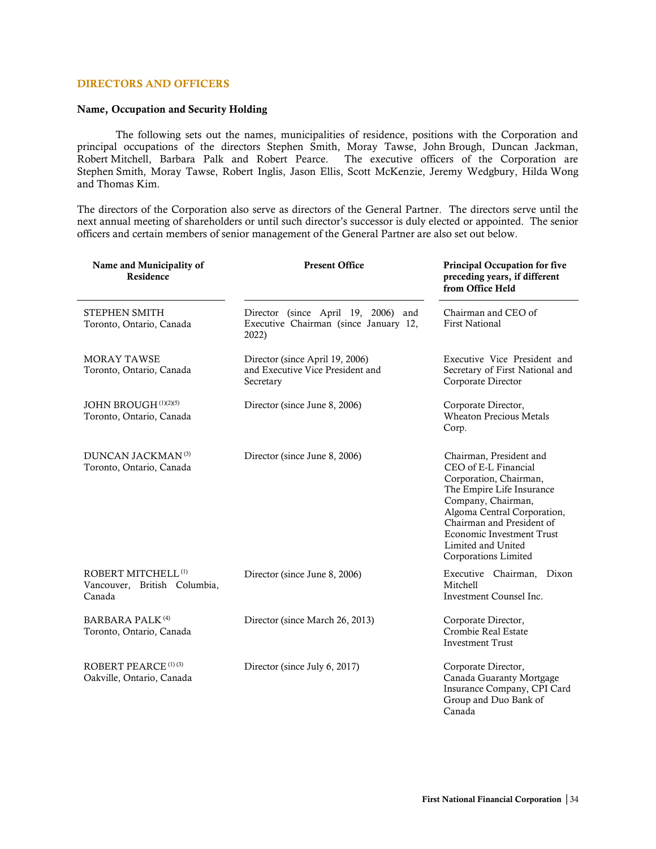## <span id="page-35-0"></span>DIRECTORS AND OFFICERS

#### <span id="page-35-1"></span>Name, Occupation and Security Holding

The following sets out the names, municipalities of residence, positions with the Corporation and principal occupations of the directors Stephen Smith, Moray Tawse, John Brough, Duncan Jackman, Robert Mitchell, Barbara Palk and Robert Pearce. The executive officers of the Corporation are Stephen Smith, Moray Tawse, Robert Inglis, Jason Ellis, Scott McKenzie, Jeremy Wedgbury, Hilda Wong and Thomas Kim.

The directors of the Corporation also serve as directors of the General Partner. The directors serve until the next annual meeting of shareholders or until such director's successor is duly elected or appointed. The senior officers and certain members of senior management of the General Partner are also set out below.

| Name and Municipality of<br>Residence                                    | <b>Present Office</b>                                                                    | <b>Principal Occupation for five</b><br>preceding years, if different<br>from Office Held                                                                                                                                                                                  |
|--------------------------------------------------------------------------|------------------------------------------------------------------------------------------|----------------------------------------------------------------------------------------------------------------------------------------------------------------------------------------------------------------------------------------------------------------------------|
| STEPHEN SMITH<br>Toronto, Ontario, Canada                                | Director (since April 19, 2006)<br>and<br>Executive Chairman (since January 12,<br>2022) | Chairman and CEO of<br><b>First National</b>                                                                                                                                                                                                                               |
| <b>MORAY TAWSE</b><br>Toronto, Ontario, Canada                           | Director (since April 19, 2006)<br>and Executive Vice President and<br>Secretary         | Executive Vice President and<br>Secretary of First National and<br>Corporate Director                                                                                                                                                                                      |
| JOHN BROUGH <sup>(1)(2)(5)</sup><br>Toronto, Ontario, Canada             | Director (since June 8, 2006)                                                            | Corporate Director,<br><b>Wheaton Precious Metals</b><br>Corp.                                                                                                                                                                                                             |
| DUNCAN JACKMAN <sup>(3)</sup><br>Toronto, Ontario, Canada                | Director (since June 8, 2006)                                                            | Chairman, President and<br>CEO of E-L Financial<br>Corporation, Chairman,<br>The Empire Life Insurance<br>Company, Chairman,<br>Algoma Central Corporation,<br>Chairman and President of<br><b>Economic Investment Trust</b><br>Limited and United<br>Corporations Limited |
| ROBERT MITCHELL <sup>(1)</sup><br>Vancouver, British Columbia,<br>Canada | Director (since June 8, 2006)                                                            | Executive Chairman, Dixon<br>Mitchell<br>Investment Counsel Inc.                                                                                                                                                                                                           |
| <b>BARBARA PALK<sup>(4)</sup></b><br>Toronto, Ontario, Canada            | Director (since March 26, 2013)                                                          | Corporate Director,<br>Crombie Real Estate<br><b>Investment Trust</b>                                                                                                                                                                                                      |
| ROBERT PEARCE <sup>(1)(3)</sup><br>Oakville, Ontario, Canada             | Director (since July 6, 2017)                                                            | Corporate Director,<br>Canada Guaranty Mortgage<br>Insurance Company, CPI Card<br>Group and Duo Bank of<br>Canada                                                                                                                                                          |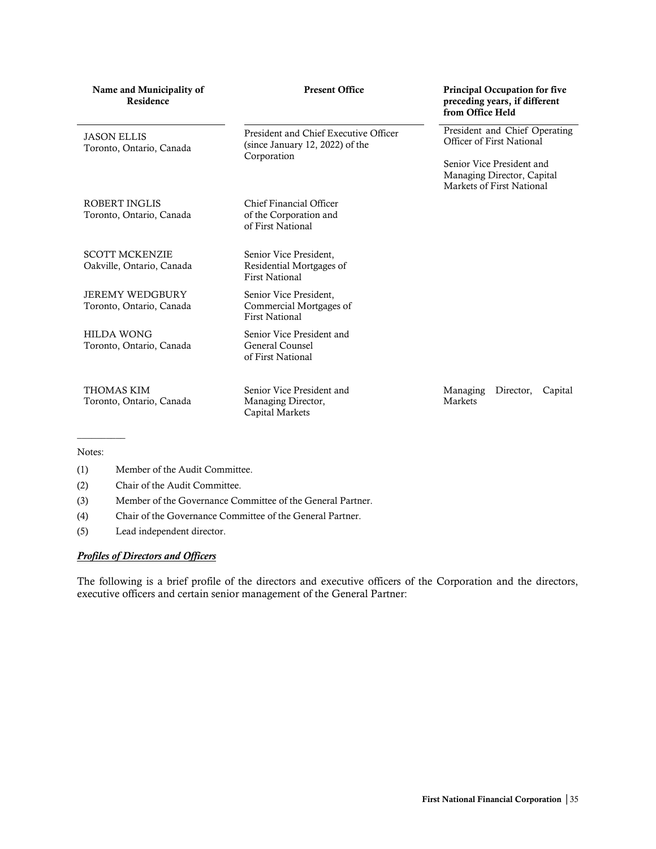| Name and Municipality of<br>Residence              | <b>Present Office</b>                                                                   | <b>Principal Occupation for five</b><br>preceding years, if different<br>from Office Held                             |
|----------------------------------------------------|-----------------------------------------------------------------------------------------|-----------------------------------------------------------------------------------------------------------------------|
| <b>JASON ELLIS</b><br>Toronto, Ontario, Canada     | President and Chief Executive Officer<br>(since January 12, 2022) of the<br>Corporation | President and Chief Operating<br>Officer of First National<br>Senior Vice President and<br>Managing Director, Capital |
| ROBERT INGLIS<br>Toronto, Ontario, Canada          | Chief Financial Officer<br>of the Corporation and<br>of First National                  | Markets of First National                                                                                             |
| <b>SCOTT MCKENZIE</b><br>Oakville, Ontario, Canada | Senior Vice President,<br>Residential Mortgages of<br><b>First National</b>             |                                                                                                                       |
| <b>JEREMY WEDGBURY</b><br>Toronto, Ontario, Canada | Senior Vice President,<br>Commercial Mortgages of<br><b>First National</b>              |                                                                                                                       |
| <b>HILDA WONG</b><br>Toronto, Ontario, Canada      | Senior Vice President and<br>General Counsel<br>of First National                       |                                                                                                                       |
| <b>THOMAS KIM</b><br>Toronto, Ontario, Canada      | Senior Vice President and<br>Managing Director,<br>Capital Markets                      | Managing<br>Director,<br>Capital<br>Markets                                                                           |

#### Notes:

(1) Member of the Audit Committee.

(2) Chair of the Audit Committee.

(3) Member of the Governance Committee of the General Partner.

(4) Chair of the Governance Committee of the General Partner.

(5) Lead independent director.

## *Profiles of Directors and Officers*

The following is a brief profile of the directors and executive officers of the Corporation and the directors, executive officers and certain senior management of the General Partner: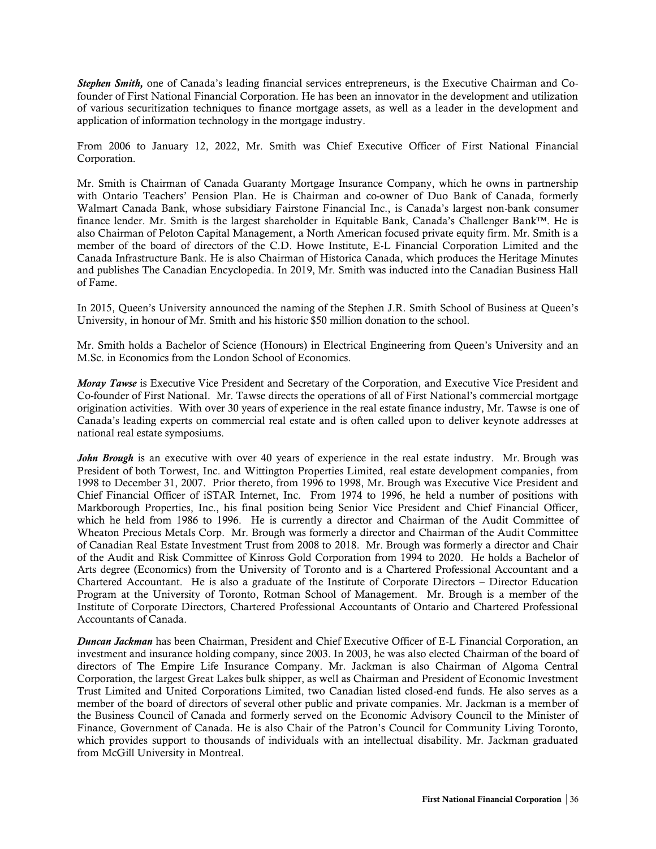*Stephen Smith,* one of Canada's leading financial services entrepreneurs, is the Executive Chairman and Cofounder of First National Financial Corporation. He has been an innovator in the development and utilization of various securitization techniques to finance mortgage assets, as well as a leader in the development and application of information technology in the mortgage industry.

From 2006 to January 12, 2022, Mr. Smith was Chief Executive Officer of First National Financial Corporation.

Mr. Smith is Chairman of Canada Guaranty Mortgage Insurance Company, which he owns in partnership with Ontario Teachers' Pension Plan. He is Chairman and co-owner of Duo Bank of Canada, formerly Walmart Canada Bank, whose subsidiary Fairstone Financial Inc., is Canada's largest non-bank consumer finance lender. Mr. Smith is the largest shareholder in Equitable Bank, Canada's Challenger Bank™. He is also Chairman of Peloton Capital Management, a North American focused private equity firm. Mr. Smith is a member of the board of directors of the C.D. Howe Institute, E-L Financial Corporation Limited and the Canada Infrastructure Bank. He is also Chairman of Historica Canada, which produces the Heritage Minutes and publishes The Canadian Encyclopedia. In 2019, Mr. Smith was inducted into the Canadian Business Hall of Fame.

In 2015, Queen's University announced the naming of the Stephen J.R. Smith School of Business at Queen's University, in honour of Mr. Smith and his historic \$50 million donation to the school.

Mr. Smith holds a Bachelor of Science (Honours) in Electrical Engineering from Queen's University and an M.Sc. in Economics from the London School of Economics.

*Moray Tawse* is Executive Vice President and Secretary of the Corporation, and Executive Vice President and Co-founder of First National. Mr. Tawse directs the operations of all of First National's commercial mortgage origination activities. With over 30 years of experience in the real estate finance industry, Mr. Tawse is one of Canada's leading experts on commercial real estate and is often called upon to deliver keynote addresses at national real estate symposiums.

*John Brough* is an executive with over 40 years of experience in the real estate industry. Mr. Brough was President of both Torwest, Inc. and Wittington Properties Limited, real estate development companies, from 1998 to December 31, 2007. Prior thereto, from 1996 to 1998, Mr. Brough was Executive Vice President and Chief Financial Officer of iSTAR Internet, Inc. From 1974 to 1996, he held a number of positions with Markborough Properties, Inc., his final position being Senior Vice President and Chief Financial Officer, which he held from 1986 to 1996. He is currently a director and Chairman of the Audit Committee of Wheaton Precious Metals Corp. Mr. Brough was formerly a director and Chairman of the Audit Committee of Canadian Real Estate Investment Trust from 2008 to 2018. Mr. Brough was formerly a director and Chair of the Audit and Risk Committee of Kinross Gold Corporation from 1994 to 2020. He holds a Bachelor of Arts degree (Economics) from the University of Toronto and is a Chartered Professional Accountant and a Chartered Accountant. He is also a graduate of the Institute of Corporate Directors – Director Education Program at the University of Toronto, Rotman School of Management. Mr. Brough is a member of the Institute of Corporate Directors, Chartered Professional Accountants of Ontario and Chartered Professional Accountants of Canada.

*Duncan Jackman* has been Chairman, President and Chief Executive Officer of E-L Financial Corporation, an investment and insurance holding company, since 2003. In 2003, he was also elected Chairman of the board of directors of The Empire Life Insurance Company. Mr. Jackman is also Chairman of Algoma Central Corporation, the largest Great Lakes bulk shipper, as well as Chairman and President of Economic Investment Trust Limited and United Corporations Limited, two Canadian listed closed-end funds. He also serves as a member of the board of directors of several other public and private companies. Mr. Jackman is a member of the Business Council of Canada and formerly served on the Economic Advisory Council to the Minister of Finance, Government of Canada. He is also Chair of the Patron's Council for Community Living Toronto, which provides support to thousands of individuals with an intellectual disability. Mr. Jackman graduated from McGill University in Montreal.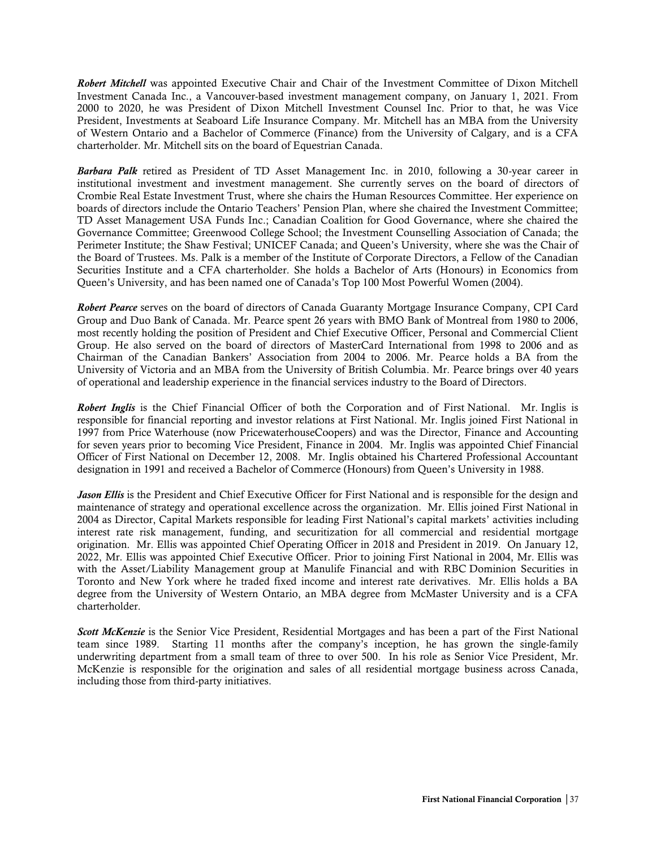*Robert Mitchell* was appointed Executive Chair and Chair of the Investment Committee of Dixon Mitchell Investment Canada Inc., a Vancouver-based investment management company, on January 1, 2021. From 2000 to 2020, he was President of Dixon Mitchell Investment Counsel Inc. Prior to that, he was Vice President, Investments at Seaboard Life Insurance Company. Mr. Mitchell has an MBA from the University of Western Ontario and a Bachelor of Commerce (Finance) from the University of Calgary, and is a CFA charterholder. Mr. Mitchell sits on the board of Equestrian Canada.

*Barbara Palk* retired as President of TD Asset Management Inc. in 2010, following a 30-year career in institutional investment and investment management. She currently serves on the board of directors of Crombie Real Estate Investment Trust, where she chairs the Human Resources Committee. Her experience on boards of directors include the Ontario Teachers' Pension Plan, where she chaired the Investment Committee; TD Asset Management USA Funds Inc.; Canadian Coalition for Good Governance, where she chaired the Governance Committee; Greenwood College School; the Investment Counselling Association of Canada; the Perimeter Institute; the Shaw Festival; UNICEF Canada; and Queen's University, where she was the Chair of the Board of Trustees. Ms. Palk is a member of the Institute of Corporate Directors, a Fellow of the Canadian Securities Institute and a CFA charterholder. She holds a Bachelor of Arts (Honours) in Economics from Queen's University, and has been named one of Canada's Top 100 Most Powerful Women (2004).

*Robert Pearce* serves on the board of directors of Canada Guaranty Mortgage Insurance Company, CPI Card Group and Duo Bank of Canada. Mr. Pearce spent 26 years with BMO Bank of Montreal from 1980 to 2006, most recently holding the position of President and Chief Executive Officer, Personal and Commercial Client Group. He also served on the board of directors of MasterCard International from 1998 to 2006 and as Chairman of the Canadian Bankers' Association from 2004 to 2006. Mr. Pearce holds a BA from the University of Victoria and an MBA from the University of British Columbia. Mr. Pearce brings over 40 years of operational and leadership experience in the financial services industry to the Board of Directors.

*Robert Inglis* is the Chief Financial Officer of both the Corporation and of First National. Mr. Inglis is responsible for financial reporting and investor relations at First National. Mr. Inglis joined First National in 1997 from Price Waterhouse (now PricewaterhouseCoopers) and was the Director, Finance and Accounting for seven years prior to becoming Vice President, Finance in 2004. Mr. Inglis was appointed Chief Financial Officer of First National on December 12, 2008. Mr. Inglis obtained his Chartered Professional Accountant designation in 1991 and received a Bachelor of Commerce (Honours) from Queen's University in 1988.

*Jason Ellis* is the President and Chief Executive Officer for First National and is responsible for the design and maintenance of strategy and operational excellence across the organization. Mr. Ellis joined First National in 2004 as Director, Capital Markets responsible for leading First National's capital markets' activities including interest rate risk management, funding, and securitization for all commercial and residential mortgage origination. Mr. Ellis was appointed Chief Operating Officer in 2018 and President in 2019. On January 12, 2022, Mr. Ellis was appointed Chief Executive Officer. Prior to joining First National in 2004, Mr. Ellis was with the Asset/Liability Management group at Manulife Financial and with RBC Dominion Securities in Toronto and New York where he traded fixed income and interest rate derivatives. Mr. Ellis holds a BA degree from the University of Western Ontario, an MBA degree from McMaster University and is a CFA charterholder.

*Scott McKenzie* is the Senior Vice President, Residential Mortgages and has been a part of the First National team since 1989. Starting 11 months after the company's inception, he has grown the single-family underwriting department from a small team of three to over 500. In his role as Senior Vice President, Mr. McKenzie is responsible for the origination and sales of all residential mortgage business across Canada, including those from third-party initiatives.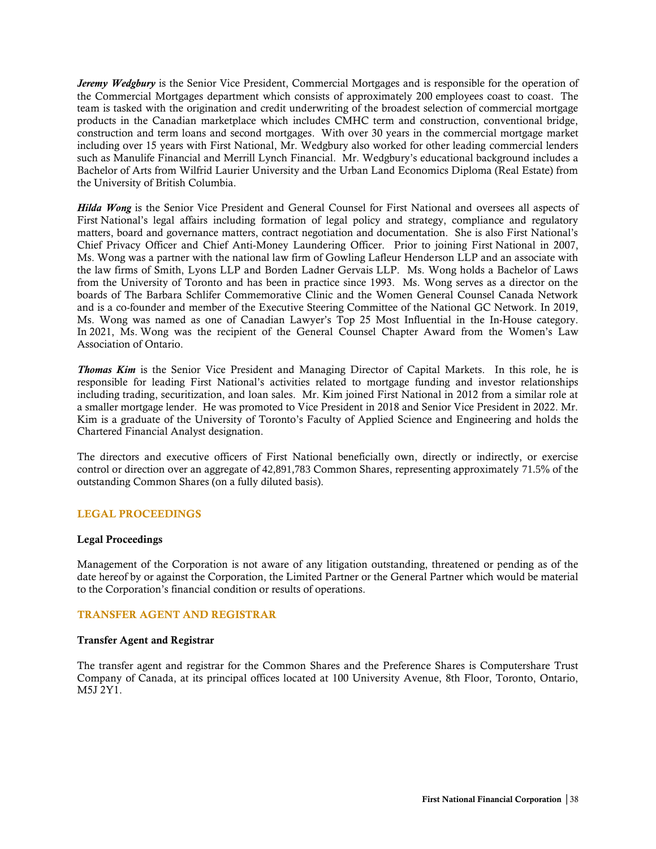*Jeremy Wedgbury* is the Senior Vice President, Commercial Mortgages and is responsible for the operation of the Commercial Mortgages department which consists of approximately 200 employees coast to coast. The team is tasked with the origination and credit underwriting of the broadest selection of commercial mortgage products in the Canadian marketplace which includes CMHC term and construction, conventional bridge, construction and term loans and second mortgages. With over 30 years in the commercial mortgage market including over 15 years with First National, Mr. Wedgbury also worked for other leading commercial lenders such as Manulife Financial and Merrill Lynch Financial. Mr. Wedgbury's educational background includes a Bachelor of Arts from Wilfrid Laurier University and the Urban Land Economics Diploma (Real Estate) from the University of British Columbia.

*Hilda Wong* is the Senior Vice President and General Counsel for First National and oversees all aspects of First National's legal affairs including formation of legal policy and strategy, compliance and regulatory matters, board and governance matters, contract negotiation and documentation. She is also First National's Chief Privacy Officer and Chief Anti-Money Laundering Officer. Prior to joining First National in 2007, Ms. Wong was a partner with the national law firm of Gowling Lafleur Henderson LLP and an associate with the law firms of Smith, Lyons LLP and Borden Ladner Gervais LLP. Ms. Wong holds a Bachelor of Laws from the University of Toronto and has been in practice since 1993. Ms. Wong serves as a director on the boards of The Barbara Schlifer Commemorative Clinic and the Women General Counsel Canada Network and is a co-founder and member of the Executive Steering Committee of the National GC Network. In 2019, Ms. Wong was named as one of Canadian Lawyer's Top 25 Most Influential in the In-House category. In 2021, Ms. Wong was the recipient of the General Counsel Chapter Award from the Women's Law Association of Ontario.

*Thomas Kim* is the Senior Vice President and Managing Director of Capital Markets. In this role, he is responsible for leading First National's activities related to mortgage funding and investor relationships including trading, securitization, and loan sales. Mr. Kim joined First National in 2012 from a similar role at a smaller mortgage lender. He was promoted to Vice President in 2018 and Senior Vice President in 2022. Mr. Kim is a graduate of the University of Toronto's Faculty of Applied Science and Engineering and holds the Chartered Financial Analyst designation.

The directors and executive officers of First National beneficially own, directly or indirectly, or exercise control or direction over an aggregate of 42,891,783 Common Shares, representing approximately 71.5% of the outstanding Common Shares (on a fully diluted basis).

## <span id="page-39-0"></span>LEGAL PROCEEDINGS

#### <span id="page-39-1"></span>Legal Proceedings

Management of the Corporation is not aware of any litigation outstanding, threatened or pending as of the date hereof by or against the Corporation, the Limited Partner or the General Partner which would be material to the Corporation's financial condition or results of operations.

## <span id="page-39-2"></span>TRANSFER AGENT AND REGISTRAR

#### <span id="page-39-3"></span>Transfer Agent and Registrar

The transfer agent and registrar for the Common Shares and the Preference Shares is Computershare Trust Company of Canada, at its principal offices located at 100 University Avenue, 8th Floor, Toronto, Ontario, M5J 2Y1.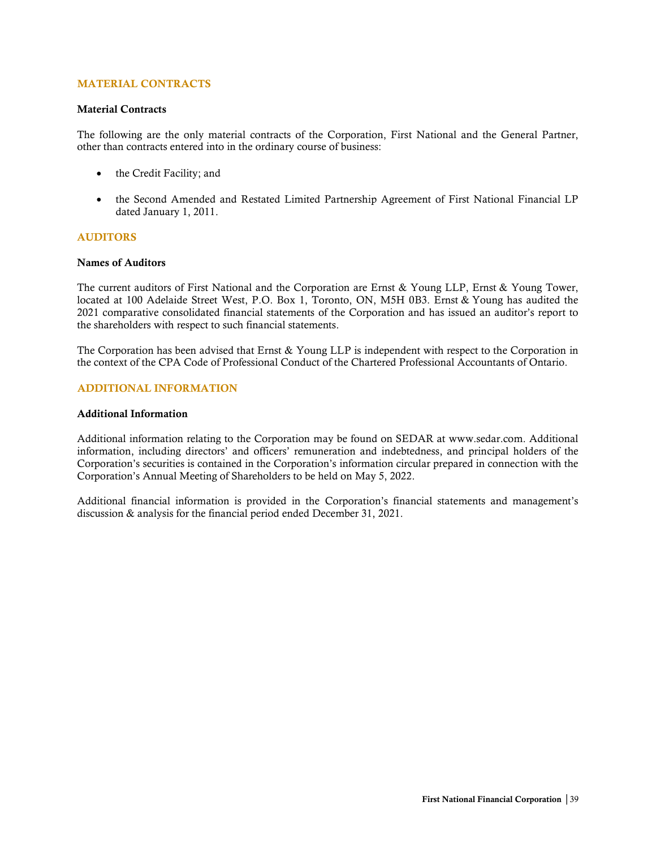## <span id="page-40-0"></span>MATERIAL CONTRACTS

#### <span id="page-40-1"></span>Material Contracts

The following are the only material contracts of the Corporation, First National and the General Partner, other than contracts entered into in the ordinary course of business:

- the Credit Facility; and
- the Second Amended and Restated Limited Partnership Agreement of First National Financial LP dated January 1, 2011.

## <span id="page-40-2"></span>AUDITORS

#### <span id="page-40-3"></span>Names of Auditors

The current auditors of First National and the Corporation are Ernst & Young LLP, Ernst & Young Tower, located at 100 Adelaide Street West, P.O. Box 1, Toronto, ON, M5H 0B3. Ernst & Young has audited the 2021 comparative consolidated financial statements of the Corporation and has issued an auditor's report to the shareholders with respect to such financial statements.

The Corporation has been advised that Ernst & Young LLP is independent with respect to the Corporation in the context of the CPA Code of Professional Conduct of the Chartered Professional Accountants of Ontario.

#### <span id="page-40-4"></span>ADDITIONAL INFORMATION

#### <span id="page-40-5"></span>Additional Information

Additional information relating to the Corporation may be found on SEDAR at www.sedar.com. Additional information, including directors' and officers' remuneration and indebtedness, and principal holders of the Corporation's securities is contained in the Corporation's information circular prepared in connection with the Corporation's Annual Meeting of Shareholders to be held on May 5, 2022.

Additional financial information is provided in the Corporation's financial statements and management's discussion & analysis for the financial period ended December 31, 2021.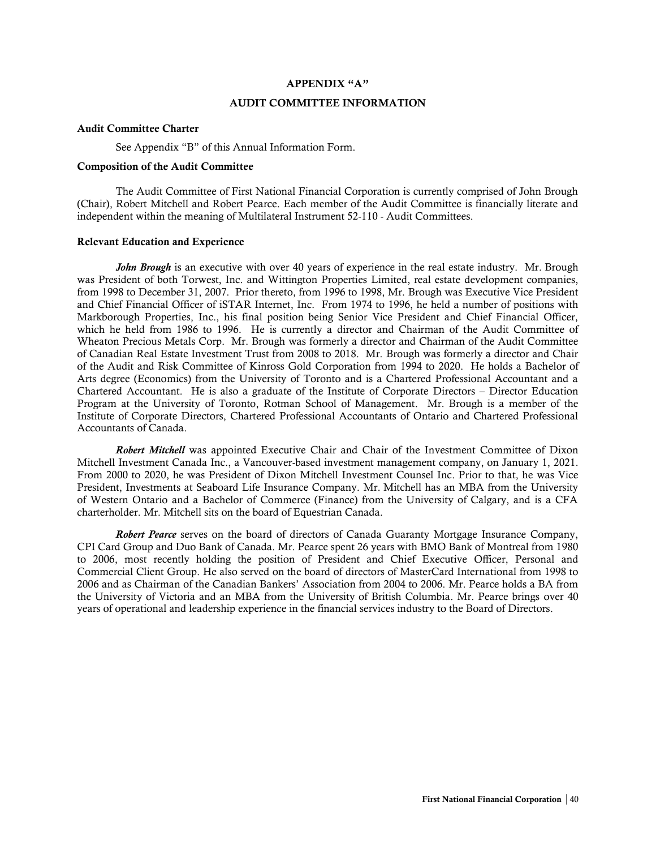#### APPENDIX "A"

### AUDIT COMMITTEE INFORMATION

#### Audit Committee Charter

See Appendix "B" of this Annual Information Form.

## Composition of the Audit Committee

The Audit Committee of First National Financial Corporation is currently comprised of John Brough (Chair), Robert Mitchell and Robert Pearce. Each member of the Audit Committee is financially literate and independent within the meaning of Multilateral Instrument 52-110 - Audit Committees.

#### Relevant Education and Experience

*John Brough* is an executive with over 40 years of experience in the real estate industry. Mr. Brough was President of both Torwest, Inc. and Wittington Properties Limited, real estate development companies, from 1998 to December 31, 2007. Prior thereto, from 1996 to 1998, Mr. Brough was Executive Vice President and Chief Financial Officer of iSTAR Internet, Inc. From 1974 to 1996, he held a number of positions with Markborough Properties, Inc., his final position being Senior Vice President and Chief Financial Officer, which he held from 1986 to 1996. He is currently a director and Chairman of the Audit Committee of Wheaton Precious Metals Corp. Mr. Brough was formerly a director and Chairman of the Audit Committee of Canadian Real Estate Investment Trust from 2008 to 2018. Mr. Brough was formerly a director and Chair of the Audit and Risk Committee of Kinross Gold Corporation from 1994 to 2020. He holds a Bachelor of Arts degree (Economics) from the University of Toronto and is a Chartered Professional Accountant and a Chartered Accountant. He is also a graduate of the Institute of Corporate Directors – Director Education Program at the University of Toronto, Rotman School of Management. Mr. Brough is a member of the Institute of Corporate Directors, Chartered Professional Accountants of Ontario and Chartered Professional Accountants of Canada.

*Robert Mitchell* was appointed Executive Chair and Chair of the Investment Committee of Dixon Mitchell Investment Canada Inc., a Vancouver-based investment management company, on January 1, 2021. From 2000 to 2020, he was President of Dixon Mitchell Investment Counsel Inc. Prior to that, he was Vice President, Investments at Seaboard Life Insurance Company. Mr. Mitchell has an MBA from the University of Western Ontario and a Bachelor of Commerce (Finance) from the University of Calgary, and is a CFA charterholder. Mr. Mitchell sits on the board of Equestrian Canada.

*Robert Pearce* serves on the board of directors of Canada Guaranty Mortgage Insurance Company, CPI Card Group and Duo Bank of Canada. Mr. Pearce spent 26 years with BMO Bank of Montreal from 1980 to 2006, most recently holding the position of President and Chief Executive Officer, Personal and Commercial Client Group. He also served on the board of directors of MasterCard International from 1998 to 2006 and as Chairman of the Canadian Bankers' Association from 2004 to 2006. Mr. Pearce holds a BA from the University of Victoria and an MBA from the University of British Columbia. Mr. Pearce brings over 40 years of operational and leadership experience in the financial services industry to the Board of Directors.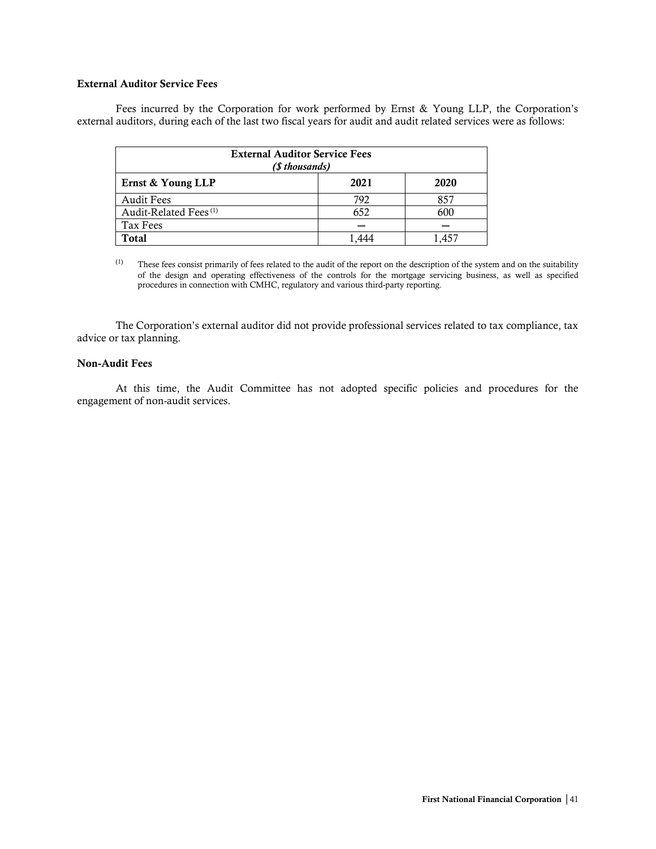## External Auditor Service Fees

Fees incurred by the Corporation for work performed by Ernst & Young LLP, the Corporation's external auditors, during each of the last two fiscal years for audit and audit related services were as follows:

| <b>External Auditor Service Fees</b><br>(\$ thousands) |      |      |  |
|--------------------------------------------------------|------|------|--|
| Ernst & Young LLP                                      | 2021 | 2020 |  |
| <b>Audit Fees</b>                                      | 792  | 857  |  |
| Audit-Related Fees <sup>(1)</sup>                      | 652  | 600  |  |
| Tax Fees                                               |      |      |  |
| <b>Total</b>                                           |      |      |  |

 $(1)$  These fees consist primarily of fees related to the audit of the report on the description of the system and on the suitability of the design and operating effectiveness of the controls for the mortgage servicing business, as well as specified procedures in connection with CMHC, regulatory and various third-party reporting.

The Corporation's external auditor did not provide professional services related to tax compliance, tax advice or tax planning.

## Non-Audit Fees

At this time, the Audit Committee has not adopted specific policies and procedures for the engagement of non-audit services.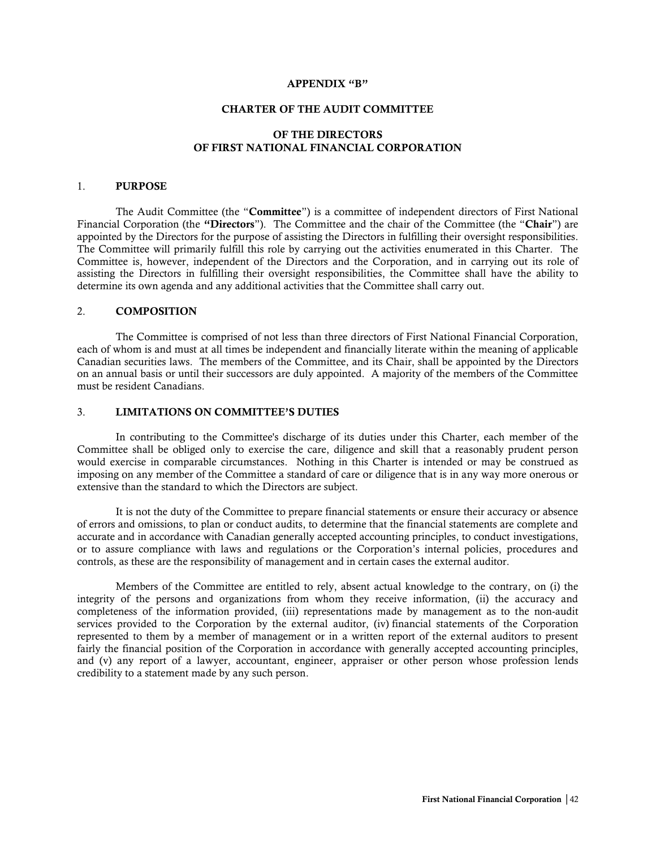#### APPENDIX "B"

#### CHARTER OF THE AUDIT COMMITTEE

## OF THE DIRECTORS OF FIRST NATIONAL FINANCIAL CORPORATION

#### 1. PURPOSE

The Audit Committee (the "Committee") is a committee of independent directors of First National Financial Corporation (the "Directors"). The Committee and the chair of the Committee (the "Chair") are appointed by the Directors for the purpose of assisting the Directors in fulfilling their oversight responsibilities. The Committee will primarily fulfill this role by carrying out the activities enumerated in this Charter. The Committee is, however, independent of the Directors and the Corporation, and in carrying out its role of assisting the Directors in fulfilling their oversight responsibilities, the Committee shall have the ability to determine its own agenda and any additional activities that the Committee shall carry out.

#### 2. COMPOSITION

The Committee is comprised of not less than three directors of First National Financial Corporation, each of whom is and must at all times be independent and financially literate within the meaning of applicable Canadian securities laws. The members of the Committee, and its Chair, shall be appointed by the Directors on an annual basis or until their successors are duly appointed. A majority of the members of the Committee must be resident Canadians.

## 3. LIMITATIONS ON COMMITTEE'S DUTIES

In contributing to the Committee's discharge of its duties under this Charter, each member of the Committee shall be obliged only to exercise the care, diligence and skill that a reasonably prudent person would exercise in comparable circumstances. Nothing in this Charter is intended or may be construed as imposing on any member of the Committee a standard of care or diligence that is in any way more onerous or extensive than the standard to which the Directors are subject.

It is not the duty of the Committee to prepare financial statements or ensure their accuracy or absence of errors and omissions, to plan or conduct audits, to determine that the financial statements are complete and accurate and in accordance with Canadian generally accepted accounting principles, to conduct investigations, or to assure compliance with laws and regulations or the Corporation's internal policies, procedures and controls, as these are the responsibility of management and in certain cases the external auditor.

Members of the Committee are entitled to rely, absent actual knowledge to the contrary, on (i) the integrity of the persons and organizations from whom they receive information, (ii) the accuracy and completeness of the information provided, (iii) representations made by management as to the non-audit services provided to the Corporation by the external auditor, (iv) financial statements of the Corporation represented to them by a member of management or in a written report of the external auditors to present fairly the financial position of the Corporation in accordance with generally accepted accounting principles, and (v) any report of a lawyer, accountant, engineer, appraiser or other person whose profession lends credibility to a statement made by any such person.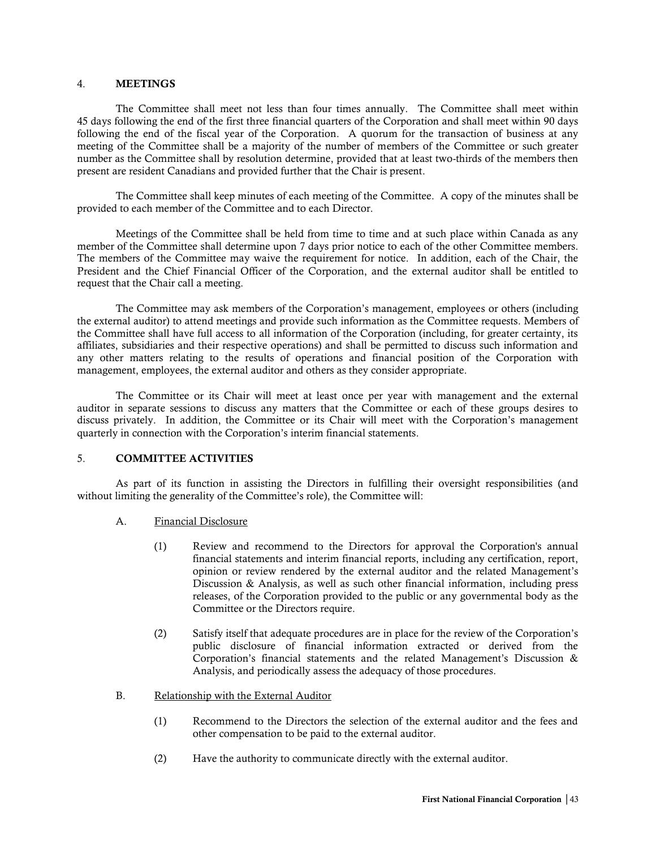#### 4. MEETINGS

The Committee shall meet not less than four times annually. The Committee shall meet within 45 days following the end of the first three financial quarters of the Corporation and shall meet within 90 days following the end of the fiscal year of the Corporation. A quorum for the transaction of business at any meeting of the Committee shall be a majority of the number of members of the Committee or such greater number as the Committee shall by resolution determine, provided that at least two-thirds of the members then present are resident Canadians and provided further that the Chair is present.

The Committee shall keep minutes of each meeting of the Committee. A copy of the minutes shall be provided to each member of the Committee and to each Director.

Meetings of the Committee shall be held from time to time and at such place within Canada as any member of the Committee shall determine upon 7 days prior notice to each of the other Committee members. The members of the Committee may waive the requirement for notice. In addition, each of the Chair, the President and the Chief Financial Officer of the Corporation, and the external auditor shall be entitled to request that the Chair call a meeting.

The Committee may ask members of the Corporation's management, employees or others (including the external auditor) to attend meetings and provide such information as the Committee requests. Members of the Committee shall have full access to all information of the Corporation (including, for greater certainty, its affiliates, subsidiaries and their respective operations) and shall be permitted to discuss such information and any other matters relating to the results of operations and financial position of the Corporation with management, employees, the external auditor and others as they consider appropriate.

The Committee or its Chair will meet at least once per year with management and the external auditor in separate sessions to discuss any matters that the Committee or each of these groups desires to discuss privately. In addition, the Committee or its Chair will meet with the Corporation's management quarterly in connection with the Corporation's interim financial statements.

#### 5. COMMITTEE ACTIVITIES

As part of its function in assisting the Directors in fulfilling their oversight responsibilities (and without limiting the generality of the Committee's role), the Committee will:

- A. Financial Disclosure
	- (1) Review and recommend to the Directors for approval the Corporation's annual financial statements and interim financial reports, including any certification, report, opinion or review rendered by the external auditor and the related Management's Discussion & Analysis, as well as such other financial information, including press releases, of the Corporation provided to the public or any governmental body as the Committee or the Directors require.
	- (2) Satisfy itself that adequate procedures are in place for the review of the Corporation's public disclosure of financial information extracted or derived from the Corporation's financial statements and the related Management's Discussion & Analysis, and periodically assess the adequacy of those procedures.
- B. Relationship with the External Auditor
	- (1) Recommend to the Directors the selection of the external auditor and the fees and other compensation to be paid to the external auditor.
	- (2) Have the authority to communicate directly with the external auditor.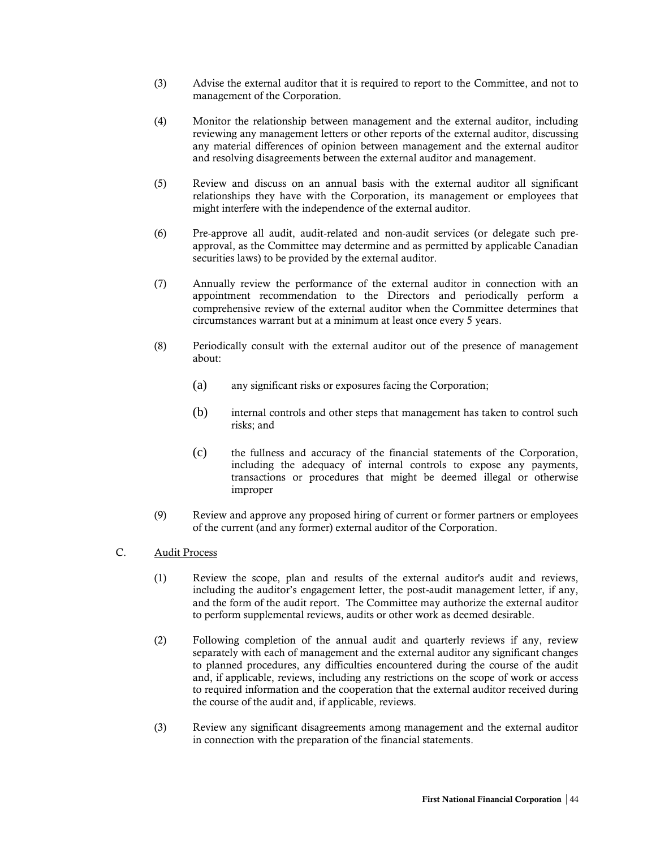- (3) Advise the external auditor that it is required to report to the Committee, and not to management of the Corporation.
- (4) Monitor the relationship between management and the external auditor, including reviewing any management letters or other reports of the external auditor, discussing any material differences of opinion between management and the external auditor and resolving disagreements between the external auditor and management.
- (5) Review and discuss on an annual basis with the external auditor all significant relationships they have with the Corporation, its management or employees that might interfere with the independence of the external auditor.
- (6) Pre-approve all audit, audit-related and non-audit services (or delegate such preapproval, as the Committee may determine and as permitted by applicable Canadian securities laws) to be provided by the external auditor.
- (7) Annually review the performance of the external auditor in connection with an appointment recommendation to the Directors and periodically perform a comprehensive review of the external auditor when the Committee determines that circumstances warrant but at a minimum at least once every 5 years.
- (8) Periodically consult with the external auditor out of the presence of management about:
	- (a) any significant risks or exposures facing the Corporation;
	- (b) internal controls and other steps that management has taken to control such risks; and
	- (c) the fullness and accuracy of the financial statements of the Corporation, including the adequacy of internal controls to expose any payments, transactions or procedures that might be deemed illegal or otherwise improper
- (9) Review and approve any proposed hiring of current or former partners or employees of the current (and any former) external auditor of the Corporation.
- C. Audit Process
	- (1) Review the scope, plan and results of the external auditor's audit and reviews, including the auditor's engagement letter, the post-audit management letter, if any, and the form of the audit report. The Committee may authorize the external auditor to perform supplemental reviews, audits or other work as deemed desirable.
	- (2) Following completion of the annual audit and quarterly reviews if any, review separately with each of management and the external auditor any significant changes to planned procedures, any difficulties encountered during the course of the audit and, if applicable, reviews, including any restrictions on the scope of work or access to required information and the cooperation that the external auditor received during the course of the audit and, if applicable, reviews.
	- (3) Review any significant disagreements among management and the external auditor in connection with the preparation of the financial statements.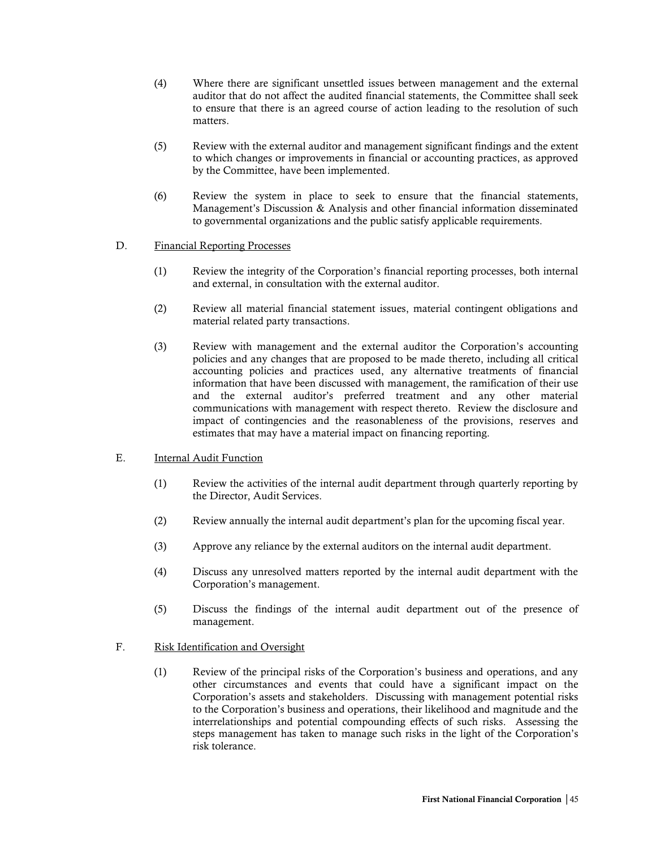- (4) Where there are significant unsettled issues between management and the external auditor that do not affect the audited financial statements, the Committee shall seek to ensure that there is an agreed course of action leading to the resolution of such matters.
- (5) Review with the external auditor and management significant findings and the extent to which changes or improvements in financial or accounting practices, as approved by the Committee, have been implemented.
- (6) Review the system in place to seek to ensure that the financial statements, Management's Discussion & Analysis and other financial information disseminated to governmental organizations and the public satisfy applicable requirements.

## D. Financial Reporting Processes

- (1) Review the integrity of the Corporation's financial reporting processes, both internal and external, in consultation with the external auditor.
- (2) Review all material financial statement issues, material contingent obligations and material related party transactions.
- (3) Review with management and the external auditor the Corporation's accounting policies and any changes that are proposed to be made thereto, including all critical accounting policies and practices used, any alternative treatments of financial information that have been discussed with management, the ramification of their use and the external auditor's preferred treatment and any other material communications with management with respect thereto. Review the disclosure and impact of contingencies and the reasonableness of the provisions, reserves and estimates that may have a material impact on financing reporting.
- E. Internal Audit Function
	- (1) Review the activities of the internal audit department through quarterly reporting by the Director, Audit Services.
	- (2) Review annually the internal audit department's plan for the upcoming fiscal year.
	- (3) Approve any reliance by the external auditors on the internal audit department.
	- (4) Discuss any unresolved matters reported by the internal audit department with the Corporation's management.
	- (5) Discuss the findings of the internal audit department out of the presence of management.

## F. Risk Identification and Oversight

(1) Review of the principal risks of the Corporation's business and operations, and any other circumstances and events that could have a significant impact on the Corporation's assets and stakeholders. Discussing with management potential risks to the Corporation's business and operations, their likelihood and magnitude and the interrelationships and potential compounding effects of such risks. Assessing the steps management has taken to manage such risks in the light of the Corporation's risk tolerance.